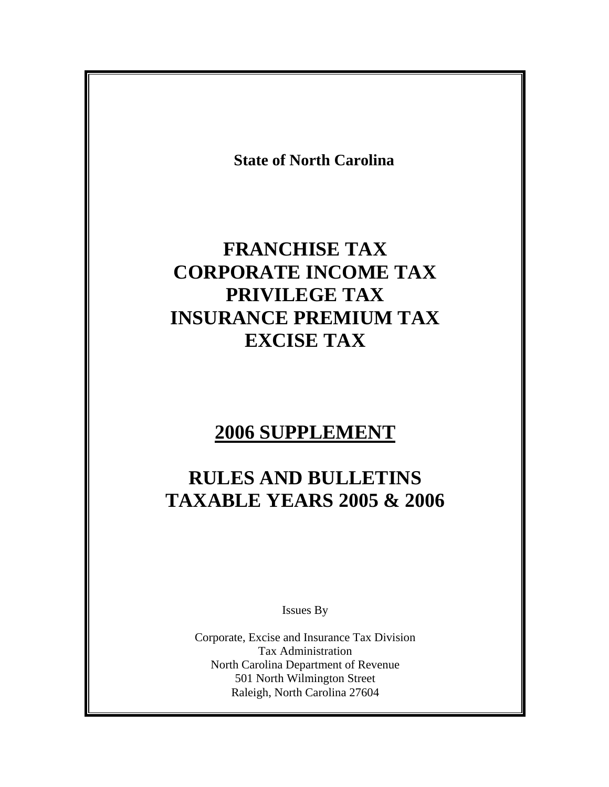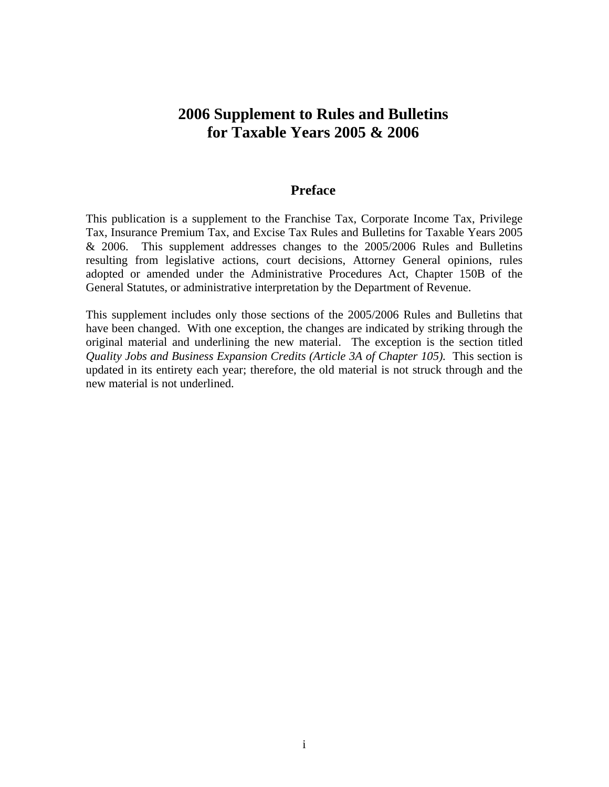## **2006 Supplement to Rules and Bulletins for Taxable Years 2005 & 2006**

### **Preface**

This publication is a supplement to the Franchise Tax, Corporate Income Tax, Privilege Tax, Insurance Premium Tax, and Excise Tax Rules and Bulletins for Taxable Years 2005 & 2006. This supplement addresses changes to the 2005/2006 Rules and Bulletins resulting from legislative actions, court decisions, Attorney General opinions, rules adopted or amended under the Administrative Procedures Act, Chapter 150B of the General Statutes, or administrative interpretation by the Department of Revenue.

This supplement includes only those sections of the 2005/2006 Rules and Bulletins that have been changed. With one exception, the changes are indicated by striking through the original material and underlining the new material. The exception is the section titled *Quality Jobs and Business Expansion Credits (Article 3A of Chapter 105).* This section is updated in its entirety each year; therefore, the old material is not struck through and the new material is not underlined.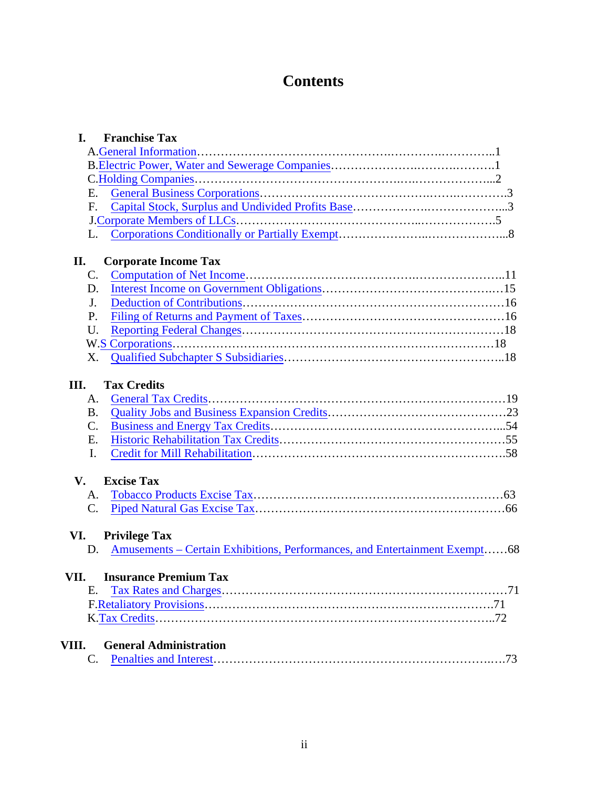# **Contents**

| I.<br><b>Franchise Tax</b>                                                       |
|----------------------------------------------------------------------------------|
|                                                                                  |
|                                                                                  |
|                                                                                  |
| Ε.                                                                               |
| F.                                                                               |
|                                                                                  |
| L.                                                                               |
| II.<br><b>Corporate Income Tax</b>                                               |
| $\mathbf{C}$ .                                                                   |
| D.                                                                               |
| J.                                                                               |
| P.                                                                               |
| U.                                                                               |
|                                                                                  |
| X.                                                                               |
| А.<br><b>B.</b><br>C.<br>Ε.<br>I.                                                |
| <b>Excise Tax</b><br>V.                                                          |
| A.                                                                               |
| C.                                                                               |
| VI.<br><b>Privilege Tax</b>                                                      |
| Amusements – Certain Exhibitions, Performances, and Entertainment Exempt68<br>D. |
| VII.<br><b>Insurance Premium Tax</b>                                             |
| E.                                                                               |
|                                                                                  |
|                                                                                  |
|                                                                                  |
| VIII.<br><b>General Administration</b>                                           |
| C.                                                                               |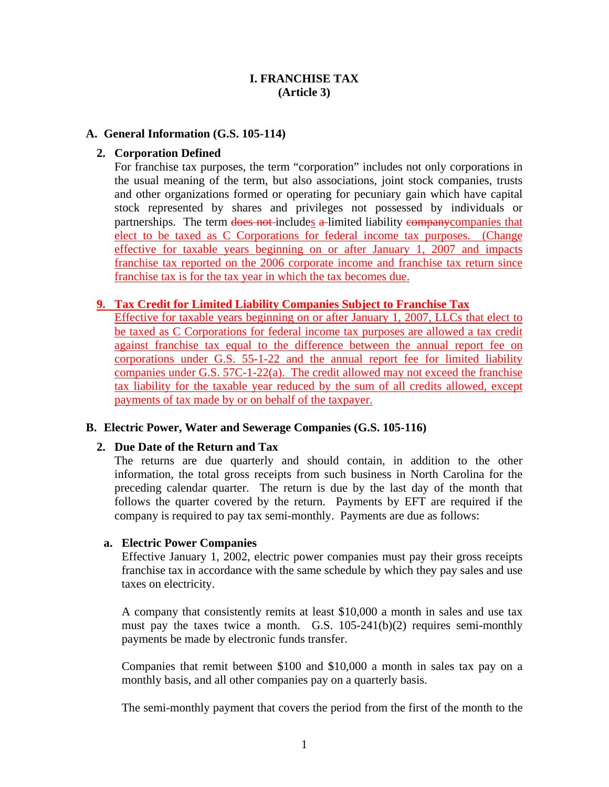### **I. FRANCHISE TAX (Article 3)**

#### <span id="page-3-0"></span>**A. General Information (G.S. 105-114)**

#### **2. Corporation Defined**

For franchise tax purposes, the term "corporation" includes not only corporations in the usual meaning of the term, but also associations, joint stock companies, trusts and other organizations formed or operating for pecuniary gain which have capital stock represented by shares and privileges not possessed by individuals or partnerships. The term does not includes a limited liability company companies that elect to be taxed as C Corporations for federal income tax purposes. (Change effective for taxable years beginning on or after January 1, 2007 and impacts franchise tax reported on the 2006 corporate income and franchise tax return since franchise tax is for the tax year in which the tax becomes due.

#### **9. Tax Credit for Limited Liability Companies Subject to Franchise Tax**

Effective for taxable years beginning on or after January 1, 2007, LLCs that elect to be taxed as C Corporations for federal income tax purposes are allowed a tax credit against franchise tax equal to the difference between the annual report fee on corporations under G.S. 55-1-22 and the annual report fee for limited liability companies under G.S. 57C-1-22(a). The credit allowed may not exceed the franchise tax liability for the taxable year reduced by the sum of all credits allowed, except payments of tax made by or on behalf of the taxpayer.

### **B. Electric Power, Water and Sewerage Companies (G.S. 105-116)**

#### **2. Due Date of the Return and Tax**

The returns are due quarterly and should contain, in addition to the other information, the total gross receipts from such business in North Carolina for the preceding calendar quarter. The return is due by the last day of the month that follows the quarter covered by the return. Payments by EFT are required if the company is required to pay tax semi-monthly. Payments are due as follows:

#### **a. Electric Power Companies**

Effective January 1, 2002, electric power companies must pay their gross receipts franchise tax in accordance with the same schedule by which they pay sales and use taxes on electricity.

A company that consistently remits at least \$10,000 a month in sales and use tax must pay the taxes twice a month. G.S. 105-241(b)(2) requires semi-monthly payments be made by electronic funds transfer.

Companies that remit between \$100 and \$10,000 a month in sales tax pay on a monthly basis, and all other companies pay on a quarterly basis.

The semi-monthly payment that covers the period from the first of the month to the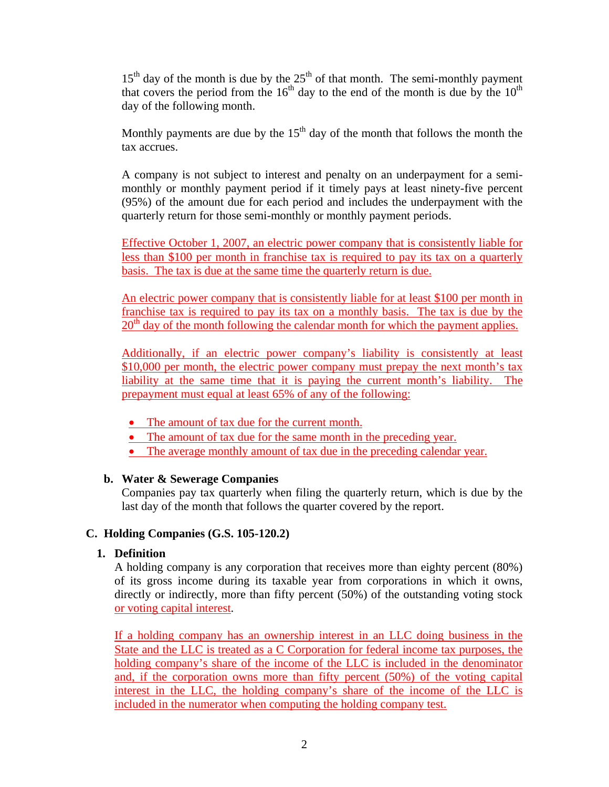<span id="page-4-0"></span> $15<sup>th</sup>$  day of the month is due by the  $25<sup>th</sup>$  of that month. The semi-monthly payment that covers the period from the  $16<sup>th</sup>$  day to the end of the month is due by the  $10<sup>th</sup>$ day of the following month.

Monthly payments are due by the  $15<sup>th</sup>$  day of the month that follows the month the tax accrues.

A company is not subject to interest and penalty on an underpayment for a semimonthly or monthly payment period if it timely pays at least ninety-five percent (95%) of the amount due for each period and includes the underpayment with the quarterly return for those semi-monthly or monthly payment periods.

Effective October 1, 2007, an electric power company that is consistently liable for less than \$100 per month in franchise tax is required to pay its tax on a quarterly basis. The tax is due at the same time the quarterly return is due.

An electric power company that is consistently liable for at least \$100 per month in franchise tax is required to pay its tax on a monthly basis. The tax is due by the  $20<sup>th</sup>$  day of the month following the calendar month for which the payment applies.

Additionally, if an electric power company's liability is consistently at least \$10,000 per month, the electric power company must prepay the next month's tax liability at the same time that it is paying the current month's liability. The prepayment must equal at least 65% of any of the following:

- The amount of tax due for the current month.
- The amount of tax due for the same month in the preceding year.
- The average monthly amount of tax due in the preceding calendar year.

### **b. Water & Sewerage Companies**

Companies pay tax quarterly when filing the quarterly return, which is due by the last day of the month that follows the quarter covered by the report.

### **C. Holding Companies (G.S. 105-120.2)**

### **1. Definition**

A holding company is any corporation that receives more than eighty percent (80%) of its gross income during its taxable year from corporations in which it owns, directly or indirectly, more than fifty percent (50%) of the outstanding voting stock or voting capital interest.

If a holding company has an ownership interest in an LLC doing business in the State and the LLC is treated as a C Corporation for federal income tax purposes, the holding company's share of the income of the LLC is included in the denominator and, if the corporation owns more than fifty percent (50%) of the voting capital interest in the LLC, the holding company's share of the income of the LLC is included in the numerator when computing the holding company test.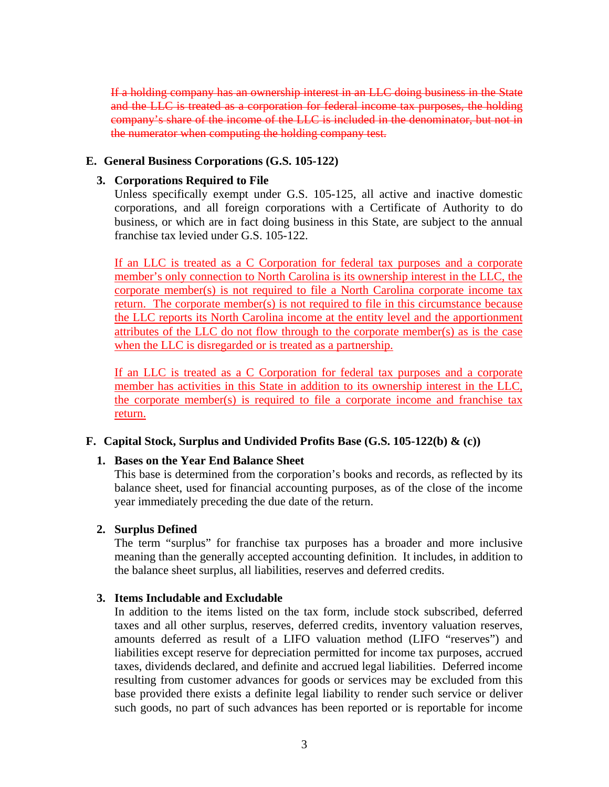<span id="page-5-0"></span>If a holding company has an ownership interest in an LLC doing business in the State and the LLC is treated as a corporation for federal income tax purposes, the holding company's share of the income of the LLC is included in the denominator, but not in the numerator when computing the holding company test.

### **E. General Business Corporations (G.S. 105-122)**

### **3. Corporations Required to File**

Unless specifically exempt under G.S. 105-125, all active and inactive domestic corporations, and all foreign corporations with a Certificate of Authority to do business, or which are in fact doing business in this State, are subject to the annual franchise tax levied under G.S. 105-122.

If an LLC is treated as a C Corporation for federal tax purposes and a corporate member's only connection to North Carolina is its ownership interest in the LLC, the corporate member(s) is not required to file a North Carolina corporate income tax return. The corporate member(s) is not required to file in this circumstance because the LLC reports its North Carolina income at the entity level and the apportionment attributes of the LLC do not flow through to the corporate member(s) as is the case when the LLC is disregarded or is treated as a partnership.

If an LLC is treated as a C Corporation for federal tax purposes and a corporate member has activities in this State in addition to its ownership interest in the LLC, the corporate member(s) is required to file a corporate income and franchise tax return.

### **F. Capital Stock, Surplus and Undivided Profits Base (G.S. 105-122(b) & (c))**

### **1. Bases on the Year End Balance Sheet**

This base is determined from the corporation's books and records, as reflected by its balance sheet, used for financial accounting purposes, as of the close of the income year immediately preceding the due date of the return.

### **2. Surplus Defined**

The term "surplus" for franchise tax purposes has a broader and more inclusive meaning than the generally accepted accounting definition. It includes, in addition to the balance sheet surplus, all liabilities, reserves and deferred credits.

### **3. Items Includable and Excludable**

In addition to the items listed on the tax form, include stock subscribed, deferred taxes and all other surplus, reserves, deferred credits, inventory valuation reserves, amounts deferred as result of a LIFO valuation method (LIFO "reserves") and liabilities except reserve for depreciation permitted for income tax purposes, accrued taxes, dividends declared, and definite and accrued legal liabilities. Deferred income resulting from customer advances for goods or services may be excluded from this base provided there exists a definite legal liability to render such service or deliver such goods, no part of such advances has been reported or is reportable for income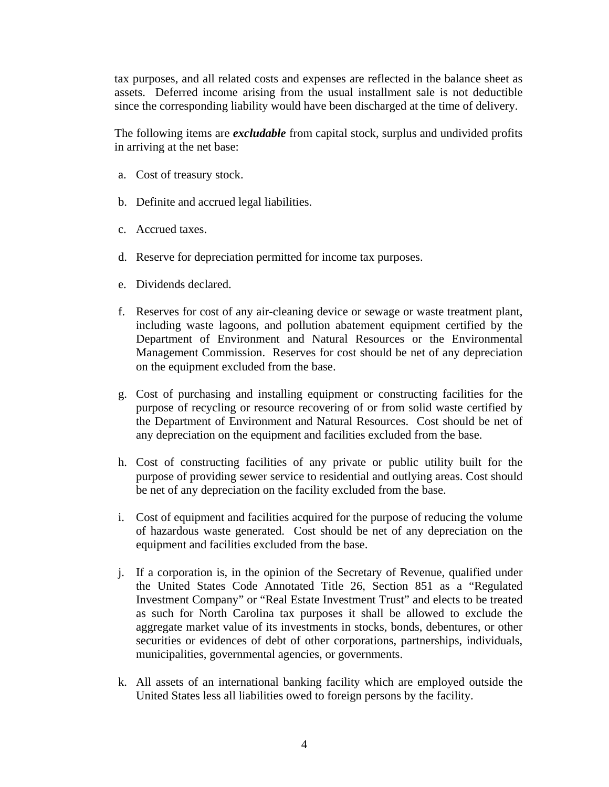tax purposes, and all related costs and expenses are reflected in the balance sheet as assets. Deferred income arising from the usual installment sale is not deductible since the corresponding liability would have been discharged at the time of delivery.

The following items are *excludable* from capital stock, surplus and undivided profits in arriving at the net base:

- a. Cost of treasury stock.
- b. Definite and accrued legal liabilities.
- c. Accrued taxes.
- d. Reserve for depreciation permitted for income tax purposes.
- e. Dividends declared.
- f. Reserves for cost of any air-cleaning device or sewage or waste treatment plant, including waste lagoons, and pollution abatement equipment certified by the Department of Environment and Natural Resources or the Environmental Management Commission. Reserves for cost should be net of any depreciation on the equipment excluded from the base.
- g. Cost of purchasing and installing equipment or constructing facilities for the purpose of recycling or resource recovering of or from solid waste certified by the Department of Environment and Natural Resources. Cost should be net of any depreciation on the equipment and facilities excluded from the base.
- h. Cost of constructing facilities of any private or public utility built for the purpose of providing sewer service to residential and outlying areas. Cost should be net of any depreciation on the facility excluded from the base.
- i. Cost of equipment and facilities acquired for the purpose of reducing the volume of hazardous waste generated. Cost should be net of any depreciation on the equipment and facilities excluded from the base.
- j. If a corporation is, in the opinion of the Secretary of Revenue, qualified under the United States Code Annotated Title 26, Section 851 as a "Regulated Investment Company" or "Real Estate Investment Trust" and elects to be treated as such for North Carolina tax purposes it shall be allowed to exclude the aggregate market value of its investments in stocks, bonds, debentures, or other securities or evidences of debt of other corporations, partnerships, individuals, municipalities, governmental agencies, or governments.
- k. All assets of an international banking facility which are employed outside the United States less all liabilities owed to foreign persons by the facility.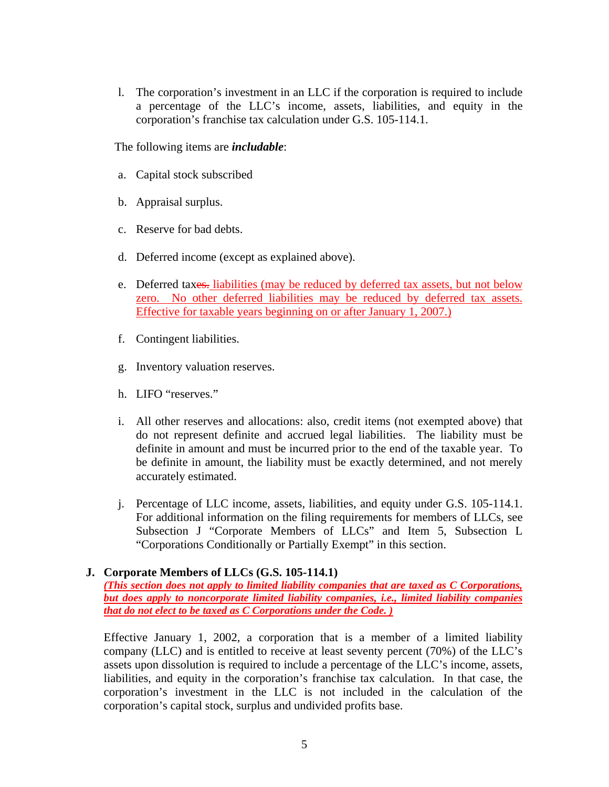<span id="page-7-0"></span>l. The corporation's investment in an LLC if the corporation is required to include a percentage of the LLC's income, assets, liabilities, and equity in the corporation's franchise tax calculation under G.S. 105-114.1.

The following items are *includable*:

- a. Capital stock subscribed
- b. Appraisal surplus.
- c. Reserve for bad debts.
- d. Deferred income (except as explained above).
- e. Deferred taxes. liabilities (may be reduced by deferred tax assets, but not below zero. No other deferred liabilities may be reduced by deferred tax assets. Effective for taxable years beginning on or after January 1, 2007.)
- f. Contingent liabilities.
- g. Inventory valuation reserves.
- h. LIFO "reserves."
- i. All other reserves and allocations: also, credit items (not exempted above) that do not represent definite and accrued legal liabilities. The liability must be definite in amount and must be incurred prior to the end of the taxable year. To be definite in amount, the liability must be exactly determined, and not merely accurately estimated.
- j. Percentage of LLC income, assets, liabilities, and equity under G.S. 105-114.1. For additional information on the filing requirements for members of LLCs, see Subsection J "Corporate Members of LLCs" and Item 5, Subsection L "Corporations Conditionally or Partially Exempt" in this section.

### **J. Corporate Members of LLCs (G.S. 105-114.1)**

*(This section does not apply to limited liability companies that are taxed as C Corporations, but does apply to noncorporate limited liability companies, i.e., limited liability companies that do not elect to be taxed as C Corporations under the Code. )*

Effective January 1, 2002, a corporation that is a member of a limited liability company (LLC) and is entitled to receive at least seventy percent (70%) of the LLC's assets upon dissolution is required to include a percentage of the LLC's income, assets, liabilities, and equity in the corporation's franchise tax calculation. In that case, the corporation's investment in the LLC is not included in the calculation of the corporation's capital stock, surplus and undivided profits base.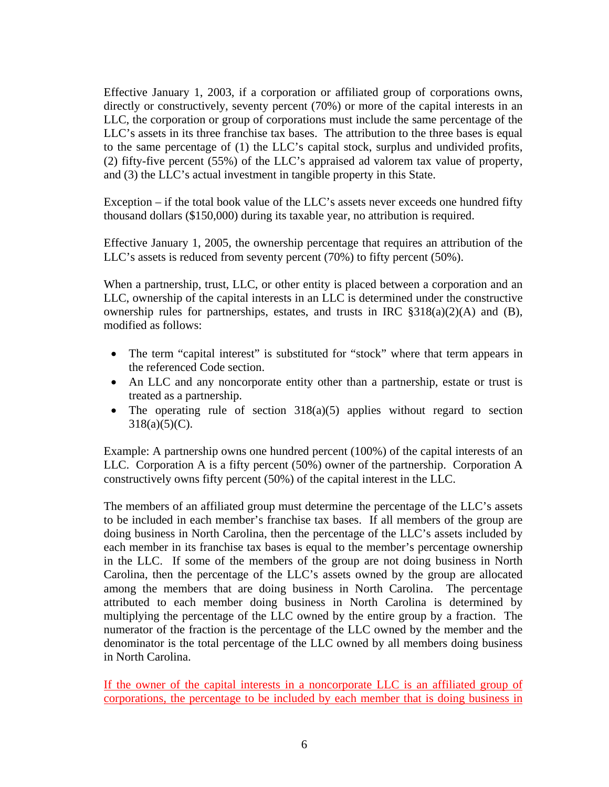Effective January 1, 2003, if a corporation or affiliated group of corporations owns, directly or constructively, seventy percent (70%) or more of the capital interests in an LLC, the corporation or group of corporations must include the same percentage of the LLC's assets in its three franchise tax bases. The attribution to the three bases is equal to the same percentage of (1) the LLC's capital stock, surplus and undivided profits, (2) fifty-five percent (55%) of the LLC's appraised ad valorem tax value of property, and (3) the LLC's actual investment in tangible property in this State.

Exception – if the total book value of the LLC's assets never exceeds one hundred fifty thousand dollars (\$150,000) during its taxable year, no attribution is required.

Effective January 1, 2005, the ownership percentage that requires an attribution of the LLC's assets is reduced from seventy percent (70%) to fifty percent (50%).

When a partnership, trust, LLC, or other entity is placed between a corporation and an LLC, ownership of the capital interests in an LLC is determined under the constructive ownership rules for partnerships, estates, and trusts in IRC §318(a)(2)(A) and (B), modified as follows:

- The term "capital interest" is substituted for "stock" where that term appears in the referenced Code section.
- An LLC and any noncorporate entity other than a partnership, estate or trust is treated as a partnership.
- The operating rule of section  $318(a)(5)$  applies without regard to section  $318(a)(5)(C)$ .

Example: A partnership owns one hundred percent (100%) of the capital interests of an LLC. Corporation A is a fifty percent (50%) owner of the partnership. Corporation A constructively owns fifty percent (50%) of the capital interest in the LLC.

The members of an affiliated group must determine the percentage of the LLC's assets to be included in each member's franchise tax bases. If all members of the group are doing business in North Carolina, then the percentage of the LLC's assets included by each member in its franchise tax bases is equal to the member's percentage ownership in the LLC. If some of the members of the group are not doing business in North Carolina, then the percentage of the LLC's assets owned by the group are allocated among the members that are doing business in North Carolina. The percentage attributed to each member doing business in North Carolina is determined by multiplying the percentage of the LLC owned by the entire group by a fraction. The numerator of the fraction is the percentage of the LLC owned by the member and the denominator is the total percentage of the LLC owned by all members doing business in North Carolina.

If the owner of the capital interests in a noncorporate LLC is an affiliated group of corporations, the percentage to be included by each member that is doing business in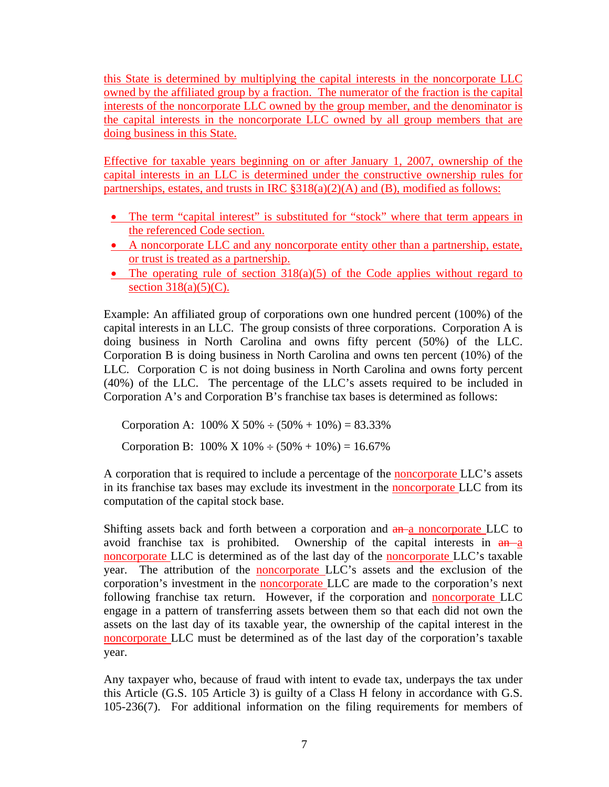this State is determined by multiplying the capital interests in the noncorporate LLC owned by the affiliated group by a fraction. The numerator of the fraction is the capital interests of the noncorporate LLC owned by the group member, and the denominator is the capital interests in the noncorporate LLC owned by all group members that are doing business in this State.

Effective for taxable years beginning on or after January 1, 2007, ownership of the capital interests in an LLC is determined under the constructive ownership rules for partnerships, estates, and trusts in IRC §318(a)(2)(A) and (B), modified as follows:

- The term "capital interest" is substituted for "stock" where that term appears in the referenced Code section.
- A noncorporate LLC and any noncorporate entity other than a partnership, estate, or trust is treated as a partnership.
- The operating rule of section  $318(a)(5)$  of the Code applies without regard to section  $318(a)(5)(C)$ .

Example: An affiliated group of corporations own one hundred percent (100%) of the capital interests in an LLC. The group consists of three corporations. Corporation A is doing business in North Carolina and owns fifty percent (50%) of the LLC. Corporation B is doing business in North Carolina and owns ten percent (10%) of the LLC. Corporation C is not doing business in North Carolina and owns forty percent (40%) of the LLC. The percentage of the LLC's assets required to be included in Corporation A's and Corporation B's franchise tax bases is determined as follows:

Corporation A:  $100\% \text{ X } 50\% \div (50\% + 10\%) = 83.33\%$ 

Corporation B:  $100\% \times 10\% \div (50\% + 10\%) = 16.67\%$ 

A corporation that is required to include a percentage of the noncorporate LLC's assets in its franchise tax bases may exclude its investment in the noncorporate LLC from its computation of the capital stock base.

Shifting assets back and forth between a corporation and  $a_n$  a noncorporate LLC to avoid franchise tax is prohibited. Ownership of the capital interests in  $a_n$ noncorporate LLC is determined as of the last day of the noncorporate LLC's taxable year. The attribution of the noncorporate LLC's assets and the exclusion of the corporation's investment in the **noncorporate** LLC are made to the corporation's next following franchise tax return. However, if the corporation and noncorporate LLC engage in a pattern of transferring assets between them so that each did not own the assets on the last day of its taxable year, the ownership of the capital interest in the noncorporate LLC must be determined as of the last day of the corporation's taxable year.

Any taxpayer who, because of fraud with intent to evade tax, underpays the tax under this Article (G.S. 105 Article 3) is guilty of a Class H felony in accordance with G.S. 105-236(7). For additional information on the filing requirements for members of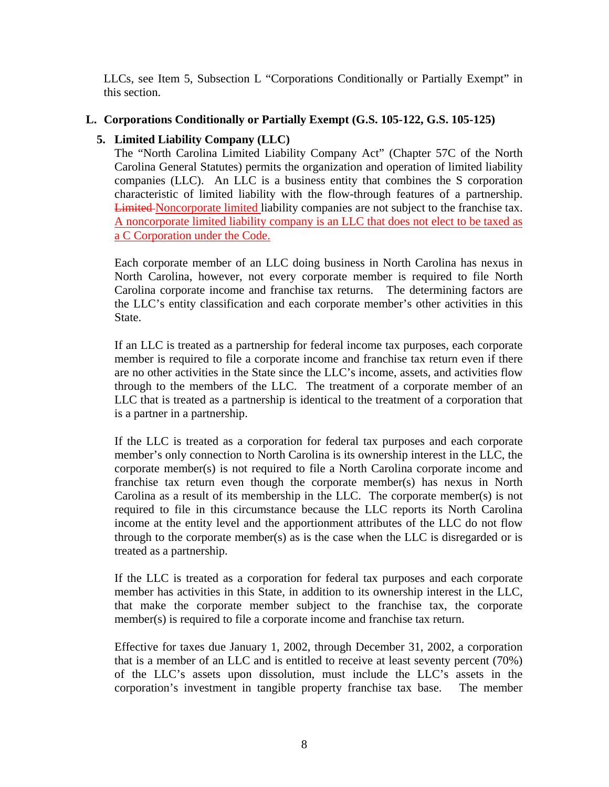<span id="page-10-0"></span>LLCs, see Item 5, Subsection L "Corporations Conditionally or Partially Exempt" in this section.

### **L. Corporations Conditionally or Partially Exempt (G.S. 105-122, G.S. 105-125)**

### **5. Limited Liability Company (LLC)**

The "North Carolina Limited Liability Company Act" (Chapter 57C of the North Carolina General Statutes) permits the organization and operation of limited liability companies (LLC). An LLC is a business entity that combines the S corporation characteristic of limited liability with the flow-through features of a partnership. Limited Noncorporate limited liability companies are not subject to the franchise tax. A noncorporate limited liability company is an LLC that does not elect to be taxed as a C Corporation under the Code.

Each corporate member of an LLC doing business in North Carolina has nexus in North Carolina, however, not every corporate member is required to file North Carolina corporate income and franchise tax returns. The determining factors are the LLC's entity classification and each corporate member's other activities in this State.

If an LLC is treated as a partnership for federal income tax purposes, each corporate member is required to file a corporate income and franchise tax return even if there are no other activities in the State since the LLC's income, assets, and activities flow through to the members of the LLC. The treatment of a corporate member of an LLC that is treated as a partnership is identical to the treatment of a corporation that is a partner in a partnership.

If the LLC is treated as a corporation for federal tax purposes and each corporate member's only connection to North Carolina is its ownership interest in the LLC, the corporate member(s) is not required to file a North Carolina corporate income and franchise tax return even though the corporate member(s) has nexus in North Carolina as a result of its membership in the LLC. The corporate member(s) is not required to file in this circumstance because the LLC reports its North Carolina income at the entity level and the apportionment attributes of the LLC do not flow through to the corporate member(s) as is the case when the LLC is disregarded or is treated as a partnership.

If the LLC is treated as a corporation for federal tax purposes and each corporate member has activities in this State, in addition to its ownership interest in the LLC, that make the corporate member subject to the franchise tax, the corporate member(s) is required to file a corporate income and franchise tax return.

Effective for taxes due January 1, 2002, through December 31, 2002, a corporation that is a member of an LLC and is entitled to receive at least seventy percent (70%) of the LLC's assets upon dissolution, must include the LLC's assets in the corporation's investment in tangible property franchise tax base. The member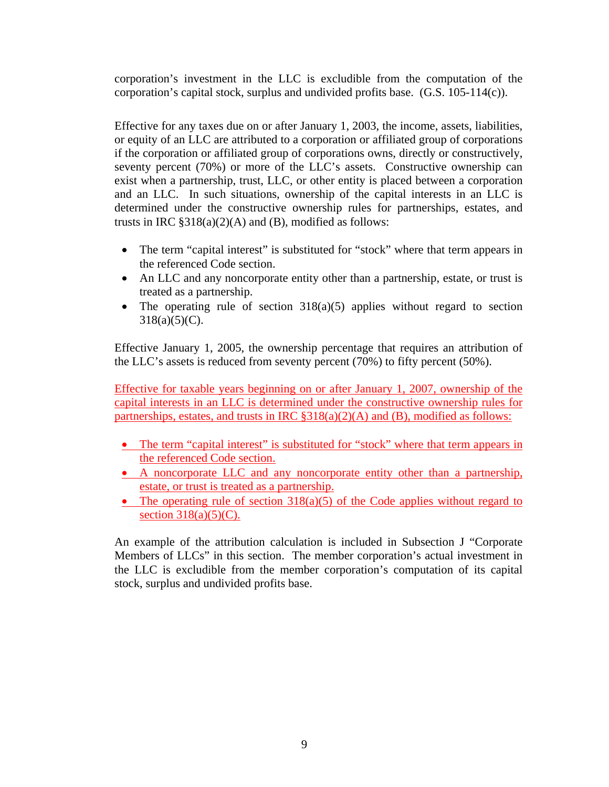corporation's investment in the LLC is excludible from the computation of the corporation's capital stock, surplus and undivided profits base. (G.S. 105-114(c)).

Effective for any taxes due on or after January 1, 2003, the income, assets, liabilities, or equity of an LLC are attributed to a corporation or affiliated group of corporations if the corporation or affiliated group of corporations owns, directly or constructively, seventy percent (70%) or more of the LLC's assets. Constructive ownership can exist when a partnership, trust, LLC, or other entity is placed between a corporation and an LLC. In such situations, ownership of the capital interests in an LLC is determined under the constructive ownership rules for partnerships, estates, and trusts in IRC  $\S 318(a)(2)(A)$  and (B), modified as follows:

- The term "capital interest" is substituted for "stock" where that term appears in the referenced Code section.
- An LLC and any noncorporate entity other than a partnership, estate, or trust is treated as a partnership.
- The operating rule of section 318(a)(5) applies without regard to section  $318(a)(5)(C)$ .

Effective January 1, 2005, the ownership percentage that requires an attribution of the LLC's assets is reduced from seventy percent (70%) to fifty percent (50%).

Effective for taxable years beginning on or after January 1, 2007, ownership of the capital interests in an LLC is determined under the constructive ownership rules for partnerships, estates, and trusts in IRC §318(a)(2)(A) and (B), modified as follows:

- The term "capital interest" is substituted for "stock" where that term appears in the referenced Code section.
- A noncorporate LLC and any noncorporate entity other than a partnership, estate, or trust is treated as a partnership.
- The operating rule of section  $318(a)(5)$  of the Code applies without regard to section  $318(a)(5)(C)$ .

An example of the attribution calculation is included in Subsection J "Corporate Members of LLCs" in this section. The member corporation's actual investment in the LLC is excludible from the member corporation's computation of its capital stock, surplus and undivided profits base.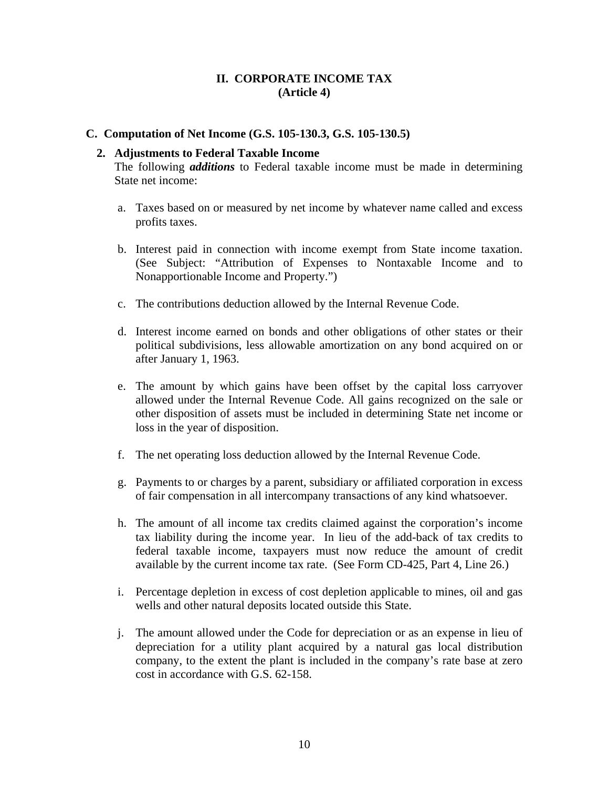### **II. CORPORATE INCOME TAX (Article 4)**

#### **C. Computation of Net Income (G.S. 105-130.3, G.S. 105-130.5)**

#### **2. Adjustments to Federal Taxable Income**

The following *additions* to Federal taxable income must be made in determining State net income:

- a. Taxes based on or measured by net income by whatever name called and excess profits taxes.
- b. Interest paid in connection with income exempt from State income taxation. (See Subject: "Attribution of Expenses to Nontaxable Income and to Nonapportionable Income and Property.")
- c. The contributions deduction allowed by the Internal Revenue Code.
- d. Interest income earned on bonds and other obligations of other states or their political subdivisions, less allowable amortization on any bond acquired on or after January 1, 1963.
- e. The amount by which gains have been offset by the capital loss carryover allowed under the Internal Revenue Code. All gains recognized on the sale or other disposition of assets must be included in determining State net income or loss in the year of disposition.
- f. The net operating loss deduction allowed by the Internal Revenue Code.
- g. Payments to or charges by a parent, subsidiary or affiliated corporation in excess of fair compensation in all intercompany transactions of any kind whatsoever.
- h. The amount of all income tax credits claimed against the corporation's income tax liability during the income year. In lieu of the add-back of tax credits to federal taxable income, taxpayers must now reduce the amount of credit available by the current income tax rate. (See Form CD-425, Part 4, Line 26.)
- i. Percentage depletion in excess of cost depletion applicable to mines, oil and gas wells and other natural deposits located outside this State.
- j. The amount allowed under the Code for depreciation or as an expense in lieu of depreciation for a utility plant acquired by a natural gas local distribution company, to the extent the plant is included in the company's rate base at zero cost in accordance with G.S. 62-158.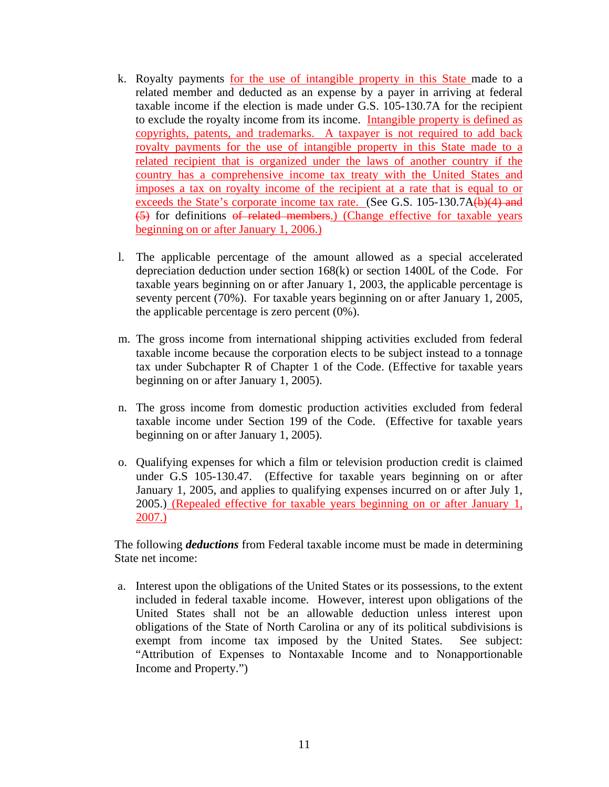- <span id="page-13-0"></span>k. Royalty payments for the use of intangible property in this State made to a related member and deducted as an expense by a payer in arriving at federal taxable income if the election is made under G.S. 105-130.7A for the recipient to exclude the royalty income from its income. Intangible property is defined as copyrights, patents, and trademarks. A taxpayer is not required to add back royalty payments for the use of intangible property in this State made to a related recipient that is organized under the laws of another country if the country has a comprehensive income tax treaty with the United States and imposes a tax on royalty income of the recipient at a rate that is equal to or exceeds the State's corporate income tax rate. (See G.S. 105-130.7A(b)(4) and (5) for definitions of related members.) (Change effective for taxable years beginning on or after January 1, 2006.)
- l. The applicable percentage of the amount allowed as a special accelerated depreciation deduction under section 168(k) or section 1400L of the Code. For taxable years beginning on or after January 1, 2003, the applicable percentage is seventy percent (70%). For taxable years beginning on or after January 1, 2005, the applicable percentage is zero percent (0%).
- m. The gross income from international shipping activities excluded from federal taxable income because the corporation elects to be subject instead to a tonnage tax under Subchapter R of Chapter 1 of the Code. (Effective for taxable years beginning on or after January 1, 2005).
- n. The gross income from domestic production activities excluded from federal taxable income under Section 199 of the Code. (Effective for taxable years beginning on or after January 1, 2005).
- o. Qualifying expenses for which a film or television production credit is claimed under G.S 105-130.47. (Effective for taxable years beginning on or after January 1, 2005, and applies to qualifying expenses incurred on or after July 1, 2005.) (Repealed effective for taxable years beginning on or after January 1, 2007.)

The following *deductions* from Federal taxable income must be made in determining State net income:

a. Interest upon the obligations of the United States or its possessions, to the extent included in federal taxable income. However, interest upon obligations of the United States shall not be an allowable deduction unless interest upon obligations of the State of North Carolina or any of its political subdivisions is exempt from income tax imposed by the United States. See subject: "Attribution of Expenses to Nontaxable Income and to Nonapportionable Income and Property.")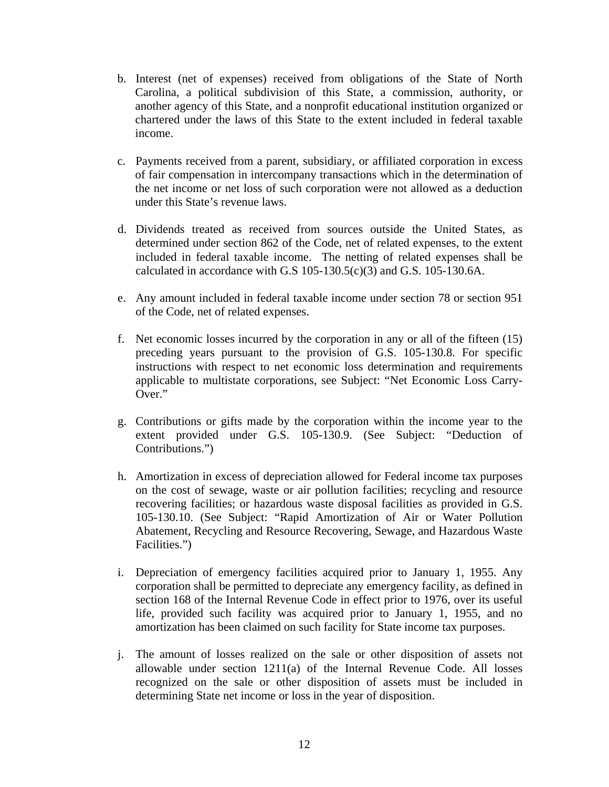- b. Interest (net of expenses) received from obligations of the State of North Carolina, a political subdivision of this State, a commission, authority, or another agency of this State, and a nonprofit educational institution organized or chartered under the laws of this State to the extent included in federal taxable income.
- c. Payments received from a parent, subsidiary, or affiliated corporation in excess of fair compensation in intercompany transactions which in the determination of the net income or net loss of such corporation were not allowed as a deduction under this State's revenue laws.
- d. Dividends treated as received from sources outside the United States, as determined under section 862 of the Code, net of related expenses, to the extent included in federal taxable income. The netting of related expenses shall be calculated in accordance with G.S 105-130.5(c)(3) and G.S. 105-130.6A.
- e. Any amount included in federal taxable income under section 78 or section 951 of the Code, net of related expenses.
- f. Net economic losses incurred by the corporation in any or all of the fifteen (15) preceding years pursuant to the provision of G.S. 105-130.8. For specific instructions with respect to net economic loss determination and requirements applicable to multistate corporations, see Subject: "Net Economic Loss Carry-Over."
- g. Contributions or gifts made by the corporation within the income year to the extent provided under G.S. 105-130.9. (See Subject: "Deduction of Contributions.")
- h. Amortization in excess of depreciation allowed for Federal income tax purposes on the cost of sewage, waste or air pollution facilities; recycling and resource recovering facilities; or hazardous waste disposal facilities as provided in G.S. 105-130.10. (See Subject: "Rapid Amortization of Air or Water Pollution Abatement, Recycling and Resource Recovering, Sewage, and Hazardous Waste Facilities.")
- i. Depreciation of emergency facilities acquired prior to January 1, 1955. Any corporation shall be permitted to depreciate any emergency facility, as defined in section 168 of the Internal Revenue Code in effect prior to 1976, over its useful life, provided such facility was acquired prior to January 1, 1955, and no amortization has been claimed on such facility for State income tax purposes.
- j. The amount of losses realized on the sale or other disposition of assets not allowable under section  $1211(a)$  of the Internal Revenue Code. All losses recognized on the sale or other disposition of assets must be included in determining State net income or loss in the year of disposition.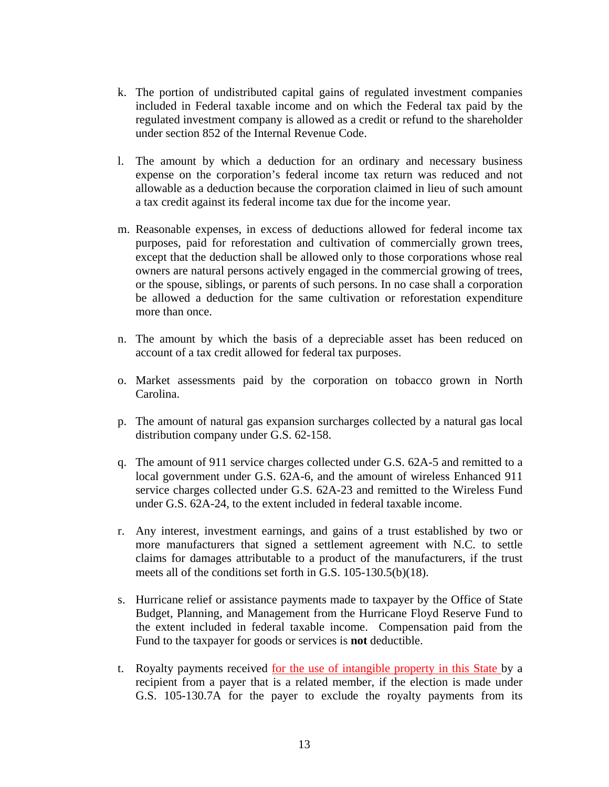- k. The portion of undistributed capital gains of regulated investment companies included in Federal taxable income and on which the Federal tax paid by the regulated investment company is allowed as a credit or refund to the shareholder under section 852 of the Internal Revenue Code.
- l. The amount by which a deduction for an ordinary and necessary business expense on the corporation's federal income tax return was reduced and not allowable as a deduction because the corporation claimed in lieu of such amount a tax credit against its federal income tax due for the income year.
- m. Reasonable expenses, in excess of deductions allowed for federal income tax purposes, paid for reforestation and cultivation of commercially grown trees, except that the deduction shall be allowed only to those corporations whose real owners are natural persons actively engaged in the commercial growing of trees, or the spouse, siblings, or parents of such persons. In no case shall a corporation be allowed a deduction for the same cultivation or reforestation expenditure more than once.
- n. The amount by which the basis of a depreciable asset has been reduced on account of a tax credit allowed for federal tax purposes.
- o. Market assessments paid by the corporation on tobacco grown in North Carolina.
- p. The amount of natural gas expansion surcharges collected by a natural gas local distribution company under G.S. 62-158.
- q. The amount of 911 service charges collected under G.S. 62A-5 and remitted to a local government under G.S. 62A-6, and the amount of wireless Enhanced 911 service charges collected under G.S. 62A-23 and remitted to the Wireless Fund under G.S. 62A-24, to the extent included in federal taxable income.
- r. Any interest, investment earnings, and gains of a trust established by two or more manufacturers that signed a settlement agreement with N.C. to settle claims for damages attributable to a product of the manufacturers, if the trust meets all of the conditions set forth in G.S. 105-130.5(b)(18).
- s. Hurricane relief or assistance payments made to taxpayer by the Office of State Budget, Planning, and Management from the Hurricane Floyd Reserve Fund to the extent included in federal taxable income. Compensation paid from the Fund to the taxpayer for goods or services is **not** deductible.
- t. Royalty payments received for the use of intangible property in this State by a recipient from a payer that is a related member, if the election is made under G.S. 105-130.7A for the payer to exclude the royalty payments from its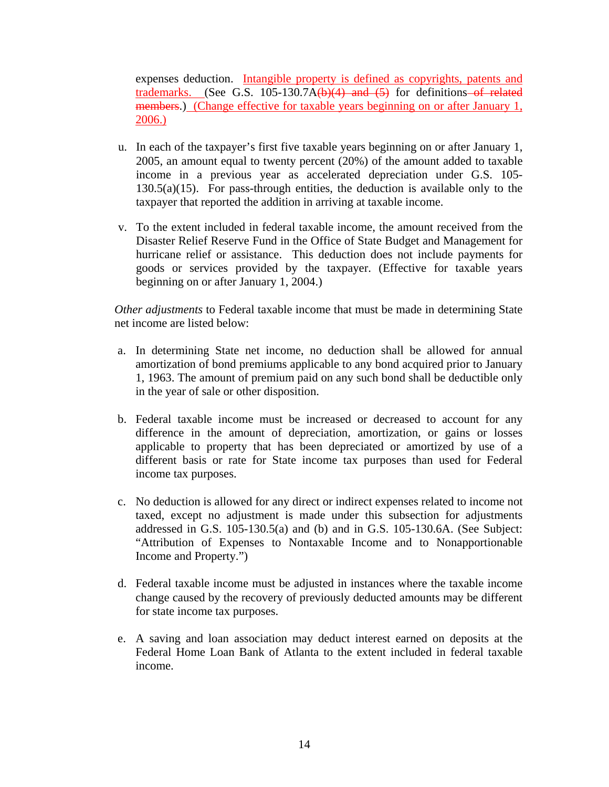expenses deduction. Intangible property is defined as copyrights, patents and trademarks. (See G.S. 105-130.7A $(b)(4)$  and  $(5)$  for definitions of related members.) (Change effective for taxable years beginning on or after January 1, 2006.)

- u. In each of the taxpayer's first five taxable years beginning on or after January 1, 2005, an amount equal to twenty percent (20%) of the amount added to taxable income in a previous year as accelerated depreciation under G.S. 105-  $130.5(a)(15)$ . For pass-through entities, the deduction is available only to the taxpayer that reported the addition in arriving at taxable income.
- v. To the extent included in federal taxable income, the amount received from the Disaster Relief Reserve Fund in the Office of State Budget and Management for hurricane relief or assistance. This deduction does not include payments for goods or services provided by the taxpayer. (Effective for taxable years beginning on or after January 1, 2004.)

*Other adjustments* to Federal taxable income that must be made in determining State net income are listed below:

- a. In determining State net income, no deduction shall be allowed for annual amortization of bond premiums applicable to any bond acquired prior to January 1, 1963. The amount of premium paid on any such bond shall be deductible only in the year of sale or other disposition.
- b. Federal taxable income must be increased or decreased to account for any difference in the amount of depreciation, amortization, or gains or losses applicable to property that has been depreciated or amortized by use of a different basis or rate for State income tax purposes than used for Federal income tax purposes.
- c. No deduction is allowed for any direct or indirect expenses related to income not taxed, except no adjustment is made under this subsection for adjustments addressed in G.S. 105-130.5(a) and (b) and in G.S. 105-130.6A. (See Subject: "Attribution of Expenses to Nontaxable Income and to Nonapportionable Income and Property.")
- d. Federal taxable income must be adjusted in instances where the taxable income change caused by the recovery of previously deducted amounts may be different for state income tax purposes.
- e. A saving and loan association may deduct interest earned on deposits at the Federal Home Loan Bank of Atlanta to the extent included in federal taxable income.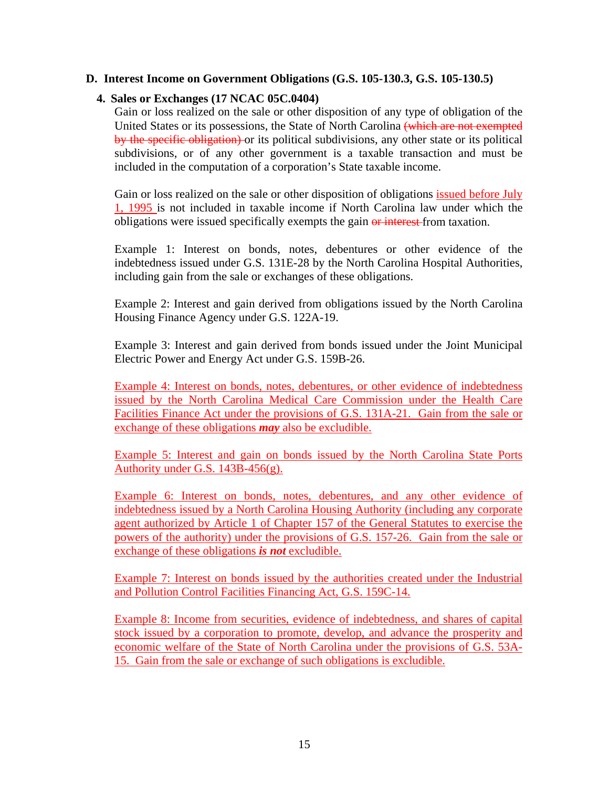### <span id="page-17-0"></span>**D. Interest Income on Government Obligations (G.S. 105-130.3, G.S. 105-130.5)**

### **4. Sales or Exchanges (17 NCAC 05C.0404)**

Gain or loss realized on the sale or other disposition of any type of obligation of the United States or its possessions, the State of North Carolina (which are not exempted by the specific obligation) or its political subdivisions, any other state or its political subdivisions, or of any other government is a taxable transaction and must be included in the computation of a corporation's State taxable income.

Gain or loss realized on the sale or other disposition of obligations issued before July 1, 1995 is not included in taxable income if North Carolina law under which the obligations were issued specifically exempts the gain or interest from taxation.

Example 1: Interest on bonds, notes, debentures or other evidence of the indebtedness issued under G.S. 131E-28 by the North Carolina Hospital Authorities, including gain from the sale or exchanges of these obligations.

Example 2: Interest and gain derived from obligations issued by the North Carolina Housing Finance Agency under G.S. 122A-19.

Example 3: Interest and gain derived from bonds issued under the Joint Municipal Electric Power and Energy Act under G.S. 159B-26.

Example 4: Interest on bonds, notes, debentures, or other evidence of indebtedness issued by the North Carolina Medical Care Commission under the Health Care Facilities Finance Act under the provisions of G.S. 131A-21. Gain from the sale or exchange of these obligations *may* also be excludible.

Example 5: Interest and gain on bonds issued by the North Carolina State Ports Authority under G.S. 143B-456(g).

Example 6: Interest on bonds, notes, debentures, and any other evidence of indebtedness issued by a North Carolina Housing Authority (including any corporate agent authorized by Article 1 of Chapter 157 of the General Statutes to exercise the powers of the authority) under the provisions of G.S. 157-26. Gain from the sale or exchange of these obligations *is not* excludible.

Example 7: Interest on bonds issued by the authorities created under the Industrial and Pollution Control Facilities Financing Act, G.S. 159C-14.

Example 8: Income from securities, evidence of indebtedness, and shares of capital stock issued by a corporation to promote, develop, and advance the prosperity and economic welfare of the State of North Carolina under the provisions of G.S. 53A-15. Gain from the sale or exchange of such obligations is excludible.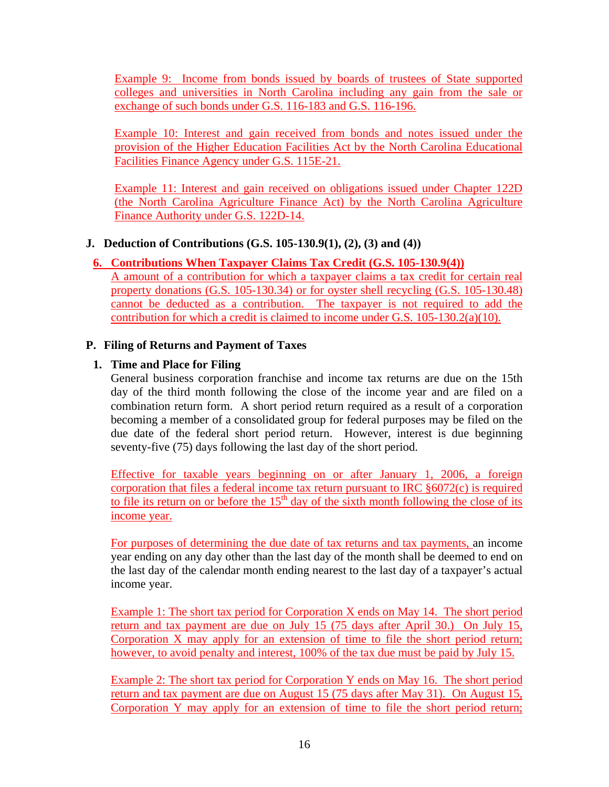<span id="page-18-0"></span>Example 9: Income from bonds issued by boards of trustees of State supported colleges and universities in North Carolina including any gain from the sale or exchange of such bonds under G.S. 116-183 and G.S. 116-196.

Example 10: Interest and gain received from bonds and notes issued under the provision of the Higher Education Facilities Act by the North Carolina Educational Facilities Finance Agency under G.S. 115E-21.

Example 11: Interest and gain received on obligations issued under Chapter 122D (the North Carolina Agriculture Finance Act) by the North Carolina Agriculture Finance Authority under G.S. 122D-14.

### **J. Deduction of Contributions (G.S. 105-130.9(1), (2), (3) and (4))**

### **6. Contributions When Taxpayer Claims Tax Credit (G.S. 105-130.9(4))**

A amount of a contribution for which a taxpayer claims a tax credit for certain real property donations (G.S. 105-130.34) or for oyster shell recycling (G.S. 105-130.48) cannot be deducted as a contribution. The taxpayer is not required to add the contribution for which a credit is claimed to income under G.S. 105-130.2(a)(10).

### **P. Filing of Returns and Payment of Taxes**

### **1. Time and Place for Filing**

General business corporation franchise and income tax returns are due on the 15th day of the third month following the close of the income year and are filed on a combination return form. A short period return required as a result of a corporation becoming a member of a consolidated group for federal purposes may be filed on the due date of the federal short period return. However, interest is due beginning seventy-five (75) days following the last day of the short period.

Effective for taxable years beginning on or after January 1, 2006, a foreign corporation that files a federal income tax return pursuant to IRC §6072(c) is required to file its return on or before the  $15<sup>th</sup>$  day of the sixth month following the close of its income year.

For purposes of determining the due date of tax returns and tax payments, an income year ending on any day other than the last day of the month shall be deemed to end on the last day of the calendar month ending nearest to the last day of a taxpayer's actual income year.

Example 1: The short tax period for Corporation X ends on May 14. The short period return and tax payment are due on July 15 (75 days after April 30.) On July 15, Corporation X may apply for an extension of time to file the short period return; however, to avoid penalty and interest, 100% of the tax due must be paid by July 15.

Example 2: The short tax period for Corporation Y ends on May 16. The short period return and tax payment are due on August 15 (75 days after May 31). On August 15, Corporation Y may apply for an extension of time to file the short period return;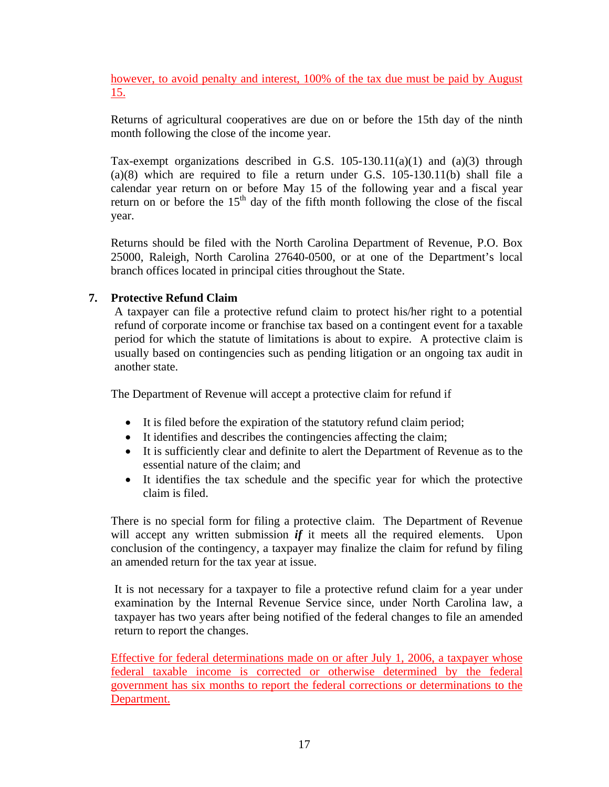however, to avoid penalty and interest, 100% of the tax due must be paid by August 15.

Returns of agricultural cooperatives are due on or before the 15th day of the ninth month following the close of the income year.

Tax-exempt organizations described in G.S.  $105-130.11(a)(1)$  and  $(a)(3)$  through (a)(8) which are required to file a return under G.S. 105-130.11(b) shall file a calendar year return on or before May 15 of the following year and a fiscal year return on or before the  $15<sup>th</sup>$  day of the fifth month following the close of the fiscal year.

Returns should be filed with the North Carolina Department of Revenue, P.O. Box 25000, Raleigh, North Carolina 27640-0500, or at one of the Department's local branch offices located in principal cities throughout the State.

### **7. Protective Refund Claim**

A taxpayer can file a protective refund claim to protect his/her right to a potential refund of corporate income or franchise tax based on a contingent event for a taxable period for which the statute of limitations is about to expire. A protective claim is usually based on contingencies such as pending litigation or an ongoing tax audit in another state.

The Department of Revenue will accept a protective claim for refund if

- It is filed before the expiration of the statutory refund claim period;
- It identifies and describes the contingencies affecting the claim;
- It is sufficiently clear and definite to alert the Department of Revenue as to the essential nature of the claim; and
- It identifies the tax schedule and the specific year for which the protective claim is filed.

There is no special form for filing a protective claim. The Department of Revenue will accept any written submission *if* it meets all the required elements. Upon conclusion of the contingency, a taxpayer may finalize the claim for refund by filing an amended return for the tax year at issue.

It is not necessary for a taxpayer to file a protective refund claim for a year under examination by the Internal Revenue Service since, under North Carolina law, a taxpayer has two years after being notified of the federal changes to file an amended return to report the changes.

Effective for federal determinations made on or after July 1, 2006, a taxpayer whose federal taxable income is corrected or otherwise determined by the federal government has six months to report the federal corrections or determinations to the Department.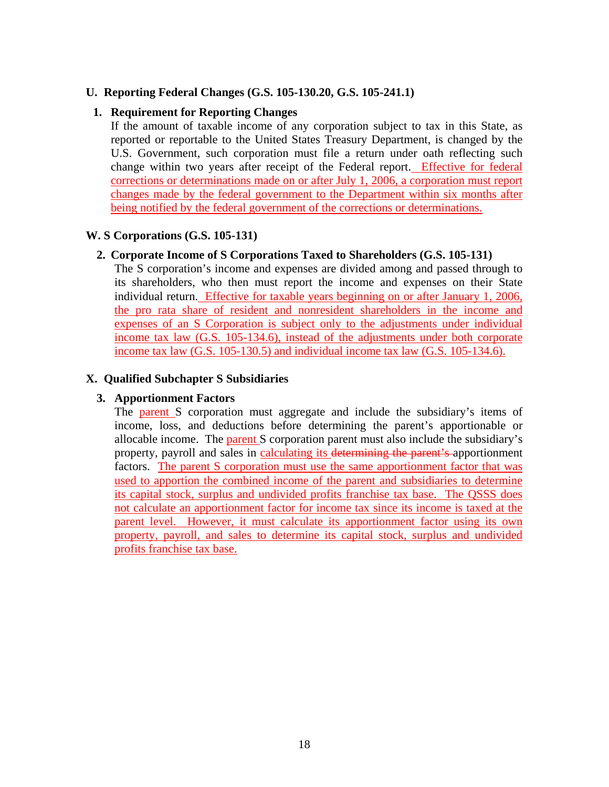### <span id="page-20-0"></span>**U. Reporting Federal Changes (G.S. 105-130.20, G.S. 105-241.1)**

### **1. Requirement for Reporting Changes**

If the amount of taxable income of any corporation subject to tax in this State, as reported or reportable to the United States Treasury Department, is changed by the U.S. Government, such corporation must file a return under oath reflecting such change within two years after receipt of the Federal report. Effective for federal corrections or determinations made on or after July 1, 2006, a corporation must report changes made by the federal government to the Department within six months after being notified by the federal government of the corrections or determinations.

#### **W. S Corporations (G.S. 105-131)**

#### **2. Corporate Income of S Corporations Taxed to Shareholders (G.S. 105-131)**

The S corporation's income and expenses are divided among and passed through to its shareholders, who then must report the income and expenses on their State individual return. Effective for taxable years beginning on or after January 1, 2006, the pro rata share of resident and nonresident shareholders in the income and expenses of an S Corporation is subject only to the adjustments under individual income tax law (G.S. 105-134.6), instead of the adjustments under both corporate income tax law (G.S. 105-130.5) and individual income tax law (G.S. 105-134.6).

#### **X. Qualified Subchapter S Subsidiaries**

#### **3. Apportionment Factors**

The parent S corporation must aggregate and include the subsidiary's items of income, loss, and deductions before determining the parent's apportionable or allocable income. The parent S corporation parent must also include the subsidiary's property, payroll and sales in calculating its determining the parent's apportionment factors. The parent S corporation must use the same apportionment factor that was used to apportion the combined income of the parent and subsidiaries to determine its capital stock, surplus and undivided profits franchise tax base. The QSSS does not calculate an apportionment factor for income tax since its income is taxed at the parent level. However, it must calculate its apportionment factor using its own property, payroll, and sales to determine its capital stock, surplus and undivided profits franchise tax base.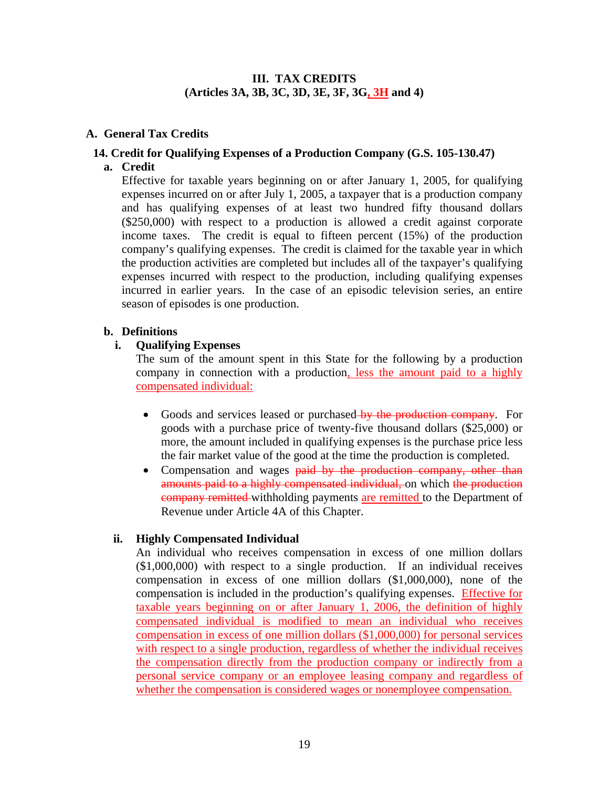### **III. TAX CREDITS (Articles 3A, 3B, 3C, 3D, 3E, 3F, 3G, 3H and 4)**

### <span id="page-21-0"></span>**A. General Tax Credits**

### **14. Credit for Qualifying Expenses of a Production Company (G.S. 105-130.47)**

**a. Credit**

Effective for taxable years beginning on or after January 1, 2005, for qualifying expenses incurred on or after July 1, 2005, a taxpayer that is a production company and has qualifying expenses of at least two hundred fifty thousand dollars (\$250,000) with respect to a production is allowed a credit against corporate income taxes. The credit is equal to fifteen percent (15%) of the production company's qualifying expenses. The credit is claimed for the taxable year in which the production activities are completed but includes all of the taxpayer's qualifying expenses incurred with respect to the production, including qualifying expenses incurred in earlier years. In the case of an episodic television series, an entire season of episodes is one production.

### **b. Definitions**

### **i. Qualifying Expenses**

The sum of the amount spent in this State for the following by a production company in connection with a production, less the amount paid to a highly compensated individual:

- Goods and services leased or purchased by the production company. For goods with a purchase price of twenty-five thousand dollars (\$25,000) or more, the amount included in qualifying expenses is the purchase price less the fair market value of the good at the time the production is completed.
- Compensation and wages paid by the production company, other than amounts paid to a highly compensated individual, on which the production company remitted withholding payments are remitted to the Department of Revenue under Article 4A of this Chapter.

### **ii. Highly Compensated Individual**

An individual who receives compensation in excess of one million dollars (\$1,000,000) with respect to a single production. If an individual receives compensation in excess of one million dollars (\$1,000,000), none of the compensation is included in the production's qualifying expenses. Effective for taxable years beginning on or after January 1, 2006, the definition of highly compensated individual is modified to mean an individual who receives compensation in excess of one million dollars (\$1,000,000) for personal services with respect to a single production, regardless of whether the individual receives the compensation directly from the production company or indirectly from a personal service company or an employee leasing company and regardless of whether the compensation is considered wages or nonemployee compensation.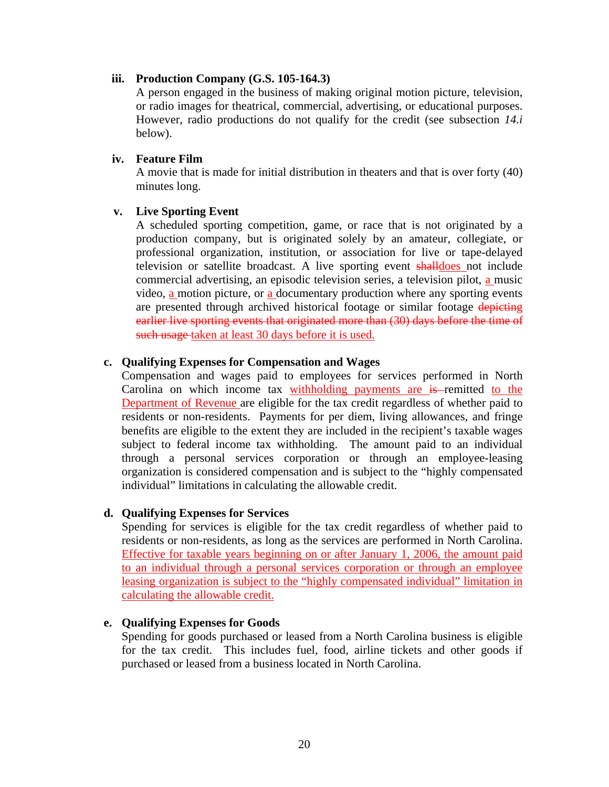#### **iii. Production Company (G.S. 105-164.3)**

A person engaged in the business of making original motion picture, television, or radio images for theatrical, commercial, advertising, or educational purposes. However, radio productions do not qualify for the credit (see subsection *14.i* below).

#### **iv. Feature Film**

A movie that is made for initial distribution in theaters and that is over forty (40) minutes long.

### **v. Live Sporting Event**

A scheduled sporting competition, game, or race that is not originated by a production company, but is originated solely by an amateur, collegiate, or professional organization, institution, or association for live or tape-delayed television or satellite broadcast. A live sporting event shalldoes not include commercial advertising, an episodic television series, a television pilot, a music video, a motion picture, or a documentary production where any sporting events are presented through archived historical footage or similar footage depicting earlier live sporting events that originated more than (30) days before the time of such usage taken at least 30 days before it is used.

### **c. Qualifying Expenses for Compensation and Wages**

Compensation and wages paid to employees for services performed in North Carolina on which income tax withholding payments are is remitted to the Department of Revenue are eligible for the tax credit regardless of whether paid to residents or non-residents. Payments for per diem, living allowances, and fringe benefits are eligible to the extent they are included in the recipient's taxable wages subject to federal income tax withholding. The amount paid to an individual through a personal services corporation or through an employee-leasing organization is considered compensation and is subject to the "highly compensated individual" limitations in calculating the allowable credit.

### **d. Qualifying Expenses for Services**

Spending for services is eligible for the tax credit regardless of whether paid to residents or non-residents, as long as the services are performed in North Carolina. Effective for taxable years beginning on or after January 1, 2006, the amount paid to an individual through a personal services corporation or through an employee leasing organization is subject to the "highly compensated individual" limitation in calculating the allowable credit.

### **e. Qualifying Expenses for Goods**

Spending for goods purchased or leased from a North Carolina business is eligible for the tax credit. This includes fuel, food, airline tickets and other goods if purchased or leased from a business located in North Carolina.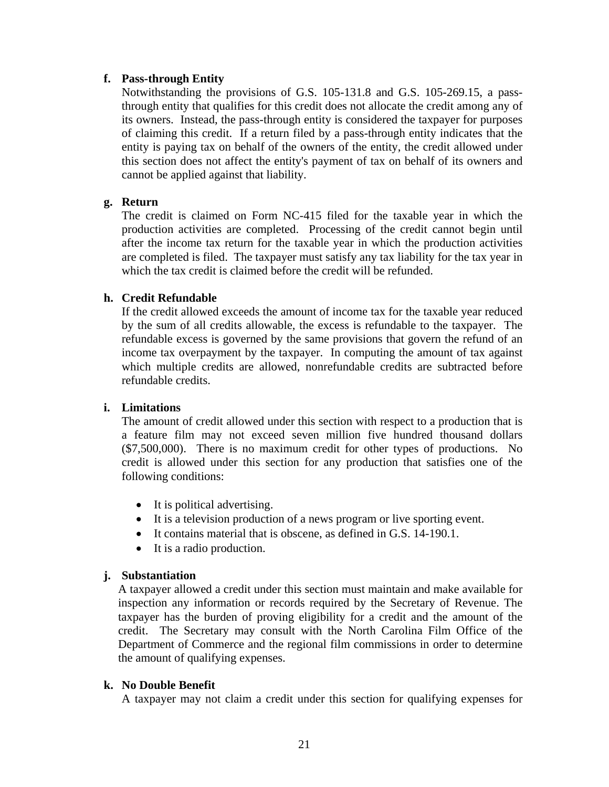### **f. Pass-through Entity**

Notwithstanding the provisions of G.S. 105-131.8 and G.S. 105-269.15, a passthrough entity that qualifies for this credit does not allocate the credit among any of its owners. Instead, the pass-through entity is considered the taxpayer for purposes of claiming this credit. If a return filed by a pass-through entity indicates that the entity is paying tax on behalf of the owners of the entity, the credit allowed under this section does not affect the entity's payment of tax on behalf of its owners and cannot be applied against that liability.

### **g. Return**

The credit is claimed on Form NC-415 filed for the taxable year in which the production activities are completed. Processing of the credit cannot begin until after the income tax return for the taxable year in which the production activities are completed is filed. The taxpayer must satisfy any tax liability for the tax year in which the tax credit is claimed before the credit will be refunded.

### **h. Credit Refundable**

If the credit allowed exceeds the amount of income tax for the taxable year reduced by the sum of all credits allowable, the excess is refundable to the taxpayer. The refundable excess is governed by the same provisions that govern the refund of an income tax overpayment by the taxpayer. In computing the amount of tax against which multiple credits are allowed, nonrefundable credits are subtracted before refundable credits.

### **i. Limitations**

The amount of credit allowed under this section with respect to a production that is a feature film may not exceed seven million five hundred thousand dollars (\$7,500,000). There is no maximum credit for other types of productions. No credit is allowed under this section for any production that satisfies one of the following conditions:

- It is political advertising.
- It is a television production of a news program or live sporting event.
- It contains material that is obscene, as defined in G.S. 14-190.1.
- It is a radio production.

#### **j. Substantiation**

A taxpayer allowed a credit under this section must maintain and make available for inspection any information or records required by the Secretary of Revenue. The taxpayer has the burden of proving eligibility for a credit and the amount of the credit. The Secretary may consult with the North Carolina Film Office of the Department of Commerce and the regional film commissions in order to determine the amount of qualifying expenses.

#### **k. No Double Benefit**

A taxpayer may not claim a credit under this section for qualifying expenses for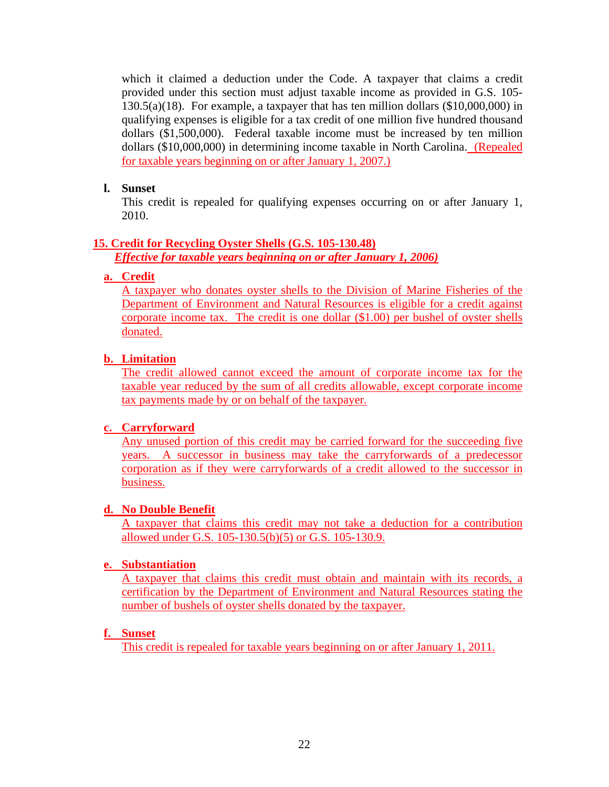which it claimed a deduction under the Code. A taxpayer that claims a credit provided under this section must adjust taxable income as provided in G.S. 105- 130.5(a)(18). For example, a taxpayer that has ten million dollars (\$10,000,000) in qualifying expenses is eligible for a tax credit of one million five hundred thousand dollars (\$1,500,000). Federal taxable income must be increased by ten million dollars (\$10,000,000) in determining income taxable in North Carolina. (Repealed for taxable years beginning on or after January 1, 2007.)

### **l. Sunset**

This credit is repealed for qualifying expenses occurring on or after January 1, 2010.

### **15. Credit for Recycling Oyster Shells (G.S. 105-130.48)**

*Effective for taxable years beginning on or after January 1, 2006)*

### **a. Credit**

A taxpayer who donates oyster shells to the Division of Marine Fisheries of the Department of Environment and Natural Resources is eligible for a credit against corporate income tax. The credit is one dollar (\$1.00) per bushel of oyster shells donated.

### **b. Limitation**

The credit allowed cannot exceed the amount of corporate income tax for the taxable year reduced by the sum of all credits allowable, except corporate income tax payments made by or on behalf of the taxpayer.

### **c. Carryforward**

Any unused portion of this credit may be carried forward for the succeeding five years. A successor in business may take the carryforwards of a predecessor corporation as if they were carryforwards of a credit allowed to the successor in business.

### **d. No Double Benefit**

A taxpayer that claims this credit may not take a deduction for a contribution allowed under G.S. 105-130.5(b)(5) or G.S. 105-130.9.

### **e. Substantiation**

A taxpayer that claims this credit must obtain and maintain with its records, a certification by the Department of Environment and Natural Resources stating the number of bushels of oyster shells donated by the taxpayer.

### **f. Sunset**

This credit is repealed for taxable years beginning on or after January 1, 2011.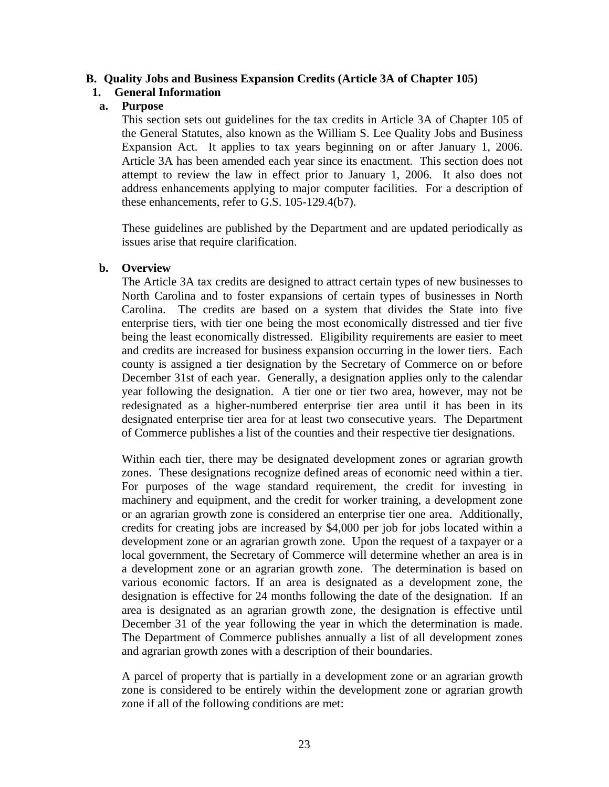### <span id="page-25-0"></span>**B. Quality Jobs and Business Expansion Credits (Article 3A of Chapter 105)**

### **1. General Information**

### **a. Purpose**

This section sets out guidelines for the tax credits in Article 3A of Chapter 105 of the General Statutes, also known as the William S. Lee Quality Jobs and Business Expansion Act. It applies to tax years beginning on or after January 1, 2006. Article 3A has been amended each year since its enactment. This section does not attempt to review the law in effect prior to January 1, 2006. It also does not address enhancements applying to major computer facilities. For a description of these enhancements, refer to G.S. 105-129.4(b7).

These guidelines are published by the Department and are updated periodically as issues arise that require clarification.

### **b. Overview**

The Article 3A tax credits are designed to attract certain types of new businesses to North Carolina and to foster expansions of certain types of businesses in North Carolina. The credits are based on a system that divides the State into five enterprise tiers, with tier one being the most economically distressed and tier five being the least economically distressed. Eligibility requirements are easier to meet and credits are increased for business expansion occurring in the lower tiers. Each county is assigned a tier designation by the Secretary of Commerce on or before December 31st of each year. Generally, a designation applies only to the calendar year following the designation. A tier one or tier two area, however, may not be redesignated as a higher-numbered enterprise tier area until it has been in its designated enterprise tier area for at least two consecutive years. The Department of Commerce publishes a list of the counties and their respective tier designations.

Within each tier, there may be designated development zones or agrarian growth zones. These designations recognize defined areas of economic need within a tier. For purposes of the wage standard requirement, the credit for investing in machinery and equipment, and the credit for worker training, a development zone or an agrarian growth zone is considered an enterprise tier one area. Additionally, credits for creating jobs are increased by \$4,000 per job for jobs located within a development zone or an agrarian growth zone. Upon the request of a taxpayer or a local government, the Secretary of Commerce will determine whether an area is in a development zone or an agrarian growth zone. The determination is based on various economic factors. If an area is designated as a development zone, the designation is effective for 24 months following the date of the designation. If an area is designated as an agrarian growth zone, the designation is effective until December 31 of the year following the year in which the determination is made. The Department of Commerce publishes annually a list of all development zones and agrarian growth zones with a description of their boundaries.

A parcel of property that is partially in a development zone or an agrarian growth zone is considered to be entirely within the development zone or agrarian growth zone if all of the following conditions are met: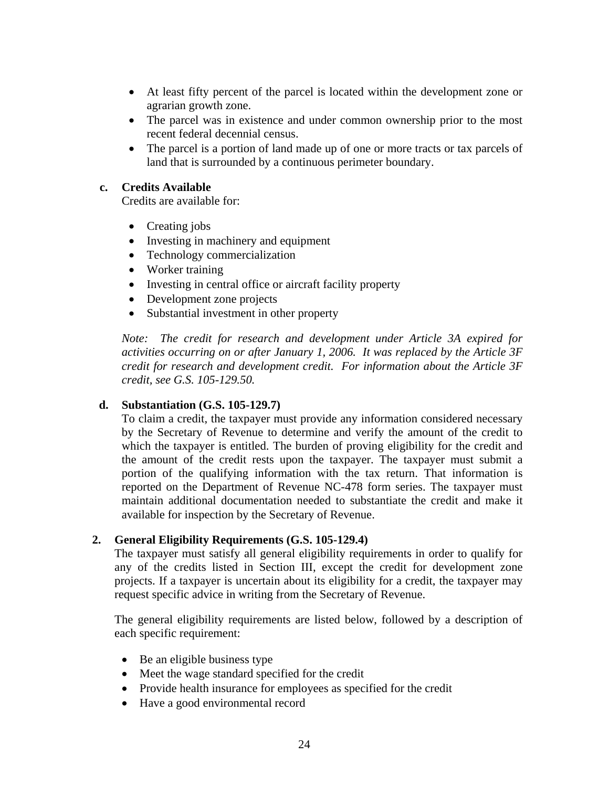- At least fifty percent of the parcel is located within the development zone or agrarian growth zone.
- The parcel was in existence and under common ownership prior to the most recent federal decennial census.
- The parcel is a portion of land made up of one or more tracts or tax parcels of land that is surrounded by a continuous perimeter boundary.

### **c. Credits Available**

Credits are available for:

- Creating jobs
- Investing in machinery and equipment
- Technology commercialization
- Worker training
- Investing in central office or aircraft facility property
- Development zone projects
- Substantial investment in other property

*Note: The credit for research and development under Article 3A expired for activities occurring on or after January 1, 2006. It was replaced by the Article 3F credit for research and development credit. For information about the Article 3F credit, see G.S. 105-129.50.* 

### **d. Substantiation (G.S. 105-129.7)**

To claim a credit, the taxpayer must provide any information considered necessary by the Secretary of Revenue to determine and verify the amount of the credit to which the taxpayer is entitled. The burden of proving eligibility for the credit and the amount of the credit rests upon the taxpayer. The taxpayer must submit a portion of the qualifying information with the tax return. That information is reported on the Department of Revenue NC-478 form series. The taxpayer must maintain additional documentation needed to substantiate the credit and make it available for inspection by the Secretary of Revenue.

### **2. General Eligibility Requirements (G.S. 105-129.4)**

The taxpayer must satisfy all general eligibility requirements in order to qualify for any of the credits listed in Section III, except the credit for development zone projects. If a taxpayer is uncertain about its eligibility for a credit, the taxpayer may request specific advice in writing from the Secretary of Revenue.

The general eligibility requirements are listed below, followed by a description of each specific requirement:

- Be an eligible business type
- Meet the wage standard specified for the credit
- Provide health insurance for employees as specified for the credit
- Have a good environmental record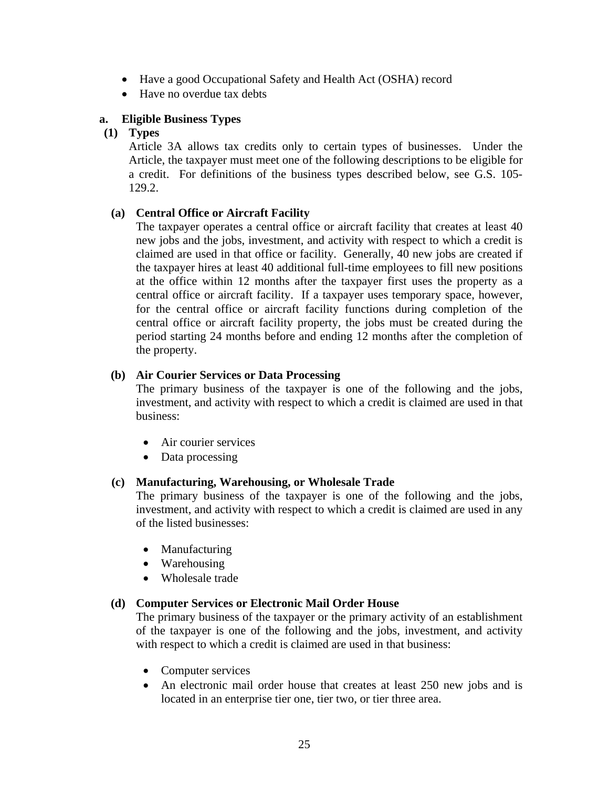- Have a good Occupational Safety and Health Act (OSHA) record
- Have no overdue tax debts

### **a. Eligible Business Types**

### **(1) Types**

Article 3A allows tax credits only to certain types of businesses. Under the Article, the taxpayer must meet one of the following descriptions to be eligible for a credit. For definitions of the business types described below, see G.S. 105- 129.2.

### **(a) Central Office or Aircraft Facility**

The taxpayer operates a central office or aircraft facility that creates at least 40 new jobs and the jobs, investment, and activity with respect to which a credit is claimed are used in that office or facility. Generally, 40 new jobs are created if the taxpayer hires at least 40 additional full-time employees to fill new positions at the office within 12 months after the taxpayer first uses the property as a central office or aircraft facility. If a taxpayer uses temporary space, however, for the central office or aircraft facility functions during completion of the central office or aircraft facility property, the jobs must be created during the period starting 24 months before and ending 12 months after the completion of the property.

### **(b) Air Courier Services or Data Processing**

The primary business of the taxpayer is one of the following and the jobs, investment, and activity with respect to which a credit is claimed are used in that business:

- Air courier services
- Data processing

### **(c) Manufacturing, Warehousing, or Wholesale Trade**

The primary business of the taxpayer is one of the following and the jobs, investment, and activity with respect to which a credit is claimed are used in any of the listed businesses:

- Manufacturing
- Warehousing
- Wholesale trade

### **(d) Computer Services or Electronic Mail Order House**

The primary business of the taxpayer or the primary activity of an establishment of the taxpayer is one of the following and the jobs, investment, and activity with respect to which a credit is claimed are used in that business:

- Computer services
- An electronic mail order house that creates at least 250 new jobs and is located in an enterprise tier one, tier two, or tier three area.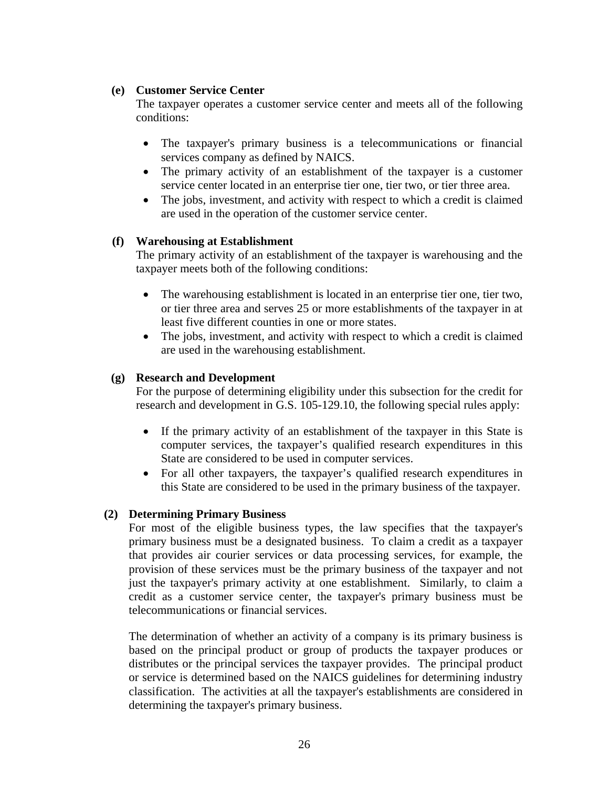### **(e) Customer Service Center**

The taxpayer operates a customer service center and meets all of the following conditions:

- The taxpayer's primary business is a telecommunications or financial services company as defined by NAICS.
- The primary activity of an establishment of the taxpayer is a customer service center located in an enterprise tier one, tier two, or tier three area.
- The jobs, investment, and activity with respect to which a credit is claimed are used in the operation of the customer service center.

### **(f) Warehousing at Establishment**

The primary activity of an establishment of the taxpayer is warehousing and the taxpayer meets both of the following conditions:

- The warehousing establishment is located in an enterprise tier one, tier two, or tier three area and serves 25 or more establishments of the taxpayer in at least five different counties in one or more states.
- The jobs, investment, and activity with respect to which a credit is claimed are used in the warehousing establishment.

### **(g) Research and Development**

For the purpose of determining eligibility under this subsection for the credit for research and development in G.S. 105-129.10, the following special rules apply:

- If the primary activity of an establishment of the taxpayer in this State is computer services, the taxpayer's qualified research expenditures in this State are considered to be used in computer services.
- For all other taxpayers, the taxpayer's qualified research expenditures in this State are considered to be used in the primary business of the taxpayer.

### **(2) Determining Primary Business**

For most of the eligible business types, the law specifies that the taxpayer's primary business must be a designated business. To claim a credit as a taxpayer that provides air courier services or data processing services, for example, the provision of these services must be the primary business of the taxpayer and not just the taxpayer's primary activity at one establishment. Similarly, to claim a credit as a customer service center, the taxpayer's primary business must be telecommunications or financial services.

The determination of whether an activity of a company is its primary business is based on the principal product or group of products the taxpayer produces or distributes or the principal services the taxpayer provides. The principal product or service is determined based on the NAICS guidelines for determining industry classification. The activities at all the taxpayer's establishments are considered in determining the taxpayer's primary business.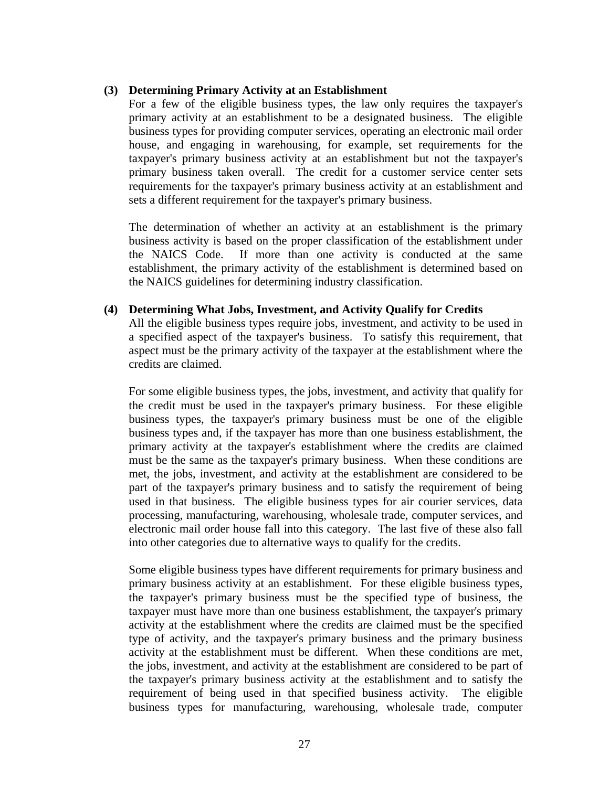### **(3) Determining Primary Activity at an Establishment**

For a few of the eligible business types, the law only requires the taxpayer's primary activity at an establishment to be a designated business. The eligible business types for providing computer services, operating an electronic mail order house, and engaging in warehousing, for example, set requirements for the taxpayer's primary business activity at an establishment but not the taxpayer's primary business taken overall. The credit for a customer service center sets requirements for the taxpayer's primary business activity at an establishment and sets a different requirement for the taxpayer's primary business.

The determination of whether an activity at an establishment is the primary business activity is based on the proper classification of the establishment under the NAICS Code. If more than one activity is conducted at the same establishment, the primary activity of the establishment is determined based on the NAICS guidelines for determining industry classification.

### **(4) Determining What Jobs, Investment, and Activity Qualify for Credits**

All the eligible business types require jobs, investment, and activity to be used in a specified aspect of the taxpayer's business. To satisfy this requirement, that aspect must be the primary activity of the taxpayer at the establishment where the credits are claimed.

For some eligible business types, the jobs, investment, and activity that qualify for the credit must be used in the taxpayer's primary business. For these eligible business types, the taxpayer's primary business must be one of the eligible business types and, if the taxpayer has more than one business establishment, the primary activity at the taxpayer's establishment where the credits are claimed must be the same as the taxpayer's primary business. When these conditions are met, the jobs, investment, and activity at the establishment are considered to be part of the taxpayer's primary business and to satisfy the requirement of being used in that business. The eligible business types for air courier services, data processing, manufacturing, warehousing, wholesale trade, computer services, and electronic mail order house fall into this category. The last five of these also fall into other categories due to alternative ways to qualify for the credits.

Some eligible business types have different requirements for primary business and primary business activity at an establishment. For these eligible business types, the taxpayer's primary business must be the specified type of business, the taxpayer must have more than one business establishment, the taxpayer's primary activity at the establishment where the credits are claimed must be the specified type of activity, and the taxpayer's primary business and the primary business activity at the establishment must be different. When these conditions are met, the jobs, investment, and activity at the establishment are considered to be part of the taxpayer's primary business activity at the establishment and to satisfy the requirement of being used in that specified business activity. The eligible business types for manufacturing, warehousing, wholesale trade, computer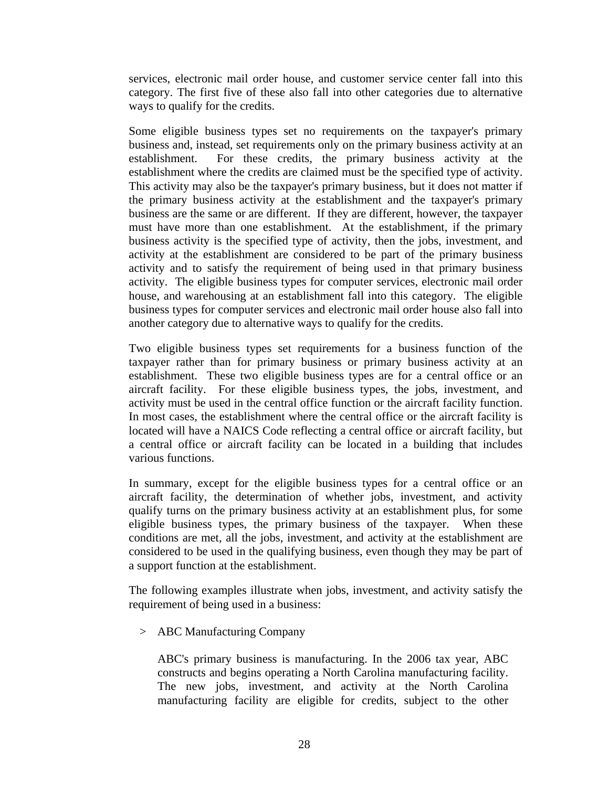services, electronic mail order house, and customer service center fall into this category. The first five of these also fall into other categories due to alternative ways to qualify for the credits.

Some eligible business types set no requirements on the taxpayer's primary business and, instead, set requirements only on the primary business activity at an establishment. For these credits, the primary business activity at the establishment where the credits are claimed must be the specified type of activity. This activity may also be the taxpayer's primary business, but it does not matter if the primary business activity at the establishment and the taxpayer's primary business are the same or are different. If they are different, however, the taxpayer must have more than one establishment. At the establishment, if the primary business activity is the specified type of activity, then the jobs, investment, and activity at the establishment are considered to be part of the primary business activity and to satisfy the requirement of being used in that primary business activity. The eligible business types for computer services, electronic mail order house, and warehousing at an establishment fall into this category. The eligible business types for computer services and electronic mail order house also fall into another category due to alternative ways to qualify for the credits.

Two eligible business types set requirements for a business function of the taxpayer rather than for primary business or primary business activity at an establishment. These two eligible business types are for a central office or an aircraft facility. For these eligible business types, the jobs, investment, and activity must be used in the central office function or the aircraft facility function. In most cases, the establishment where the central office or the aircraft facility is located will have a NAICS Code reflecting a central office or aircraft facility, but a central office or aircraft facility can be located in a building that includes various functions.

In summary, except for the eligible business types for a central office or an aircraft facility, the determination of whether jobs, investment, and activity qualify turns on the primary business activity at an establishment plus, for some eligible business types, the primary business of the taxpayer. When these conditions are met, all the jobs, investment, and activity at the establishment are considered to be used in the qualifying business, even though they may be part of a support function at the establishment.

The following examples illustrate when jobs, investment, and activity satisfy the requirement of being used in a business:

> ABC Manufacturing Company

ABC's primary business is manufacturing. In the 2006 tax year, ABC constructs and begins operating a North Carolina manufacturing facility. The new jobs, investment, and activity at the North Carolina manufacturing facility are eligible for credits, subject to the other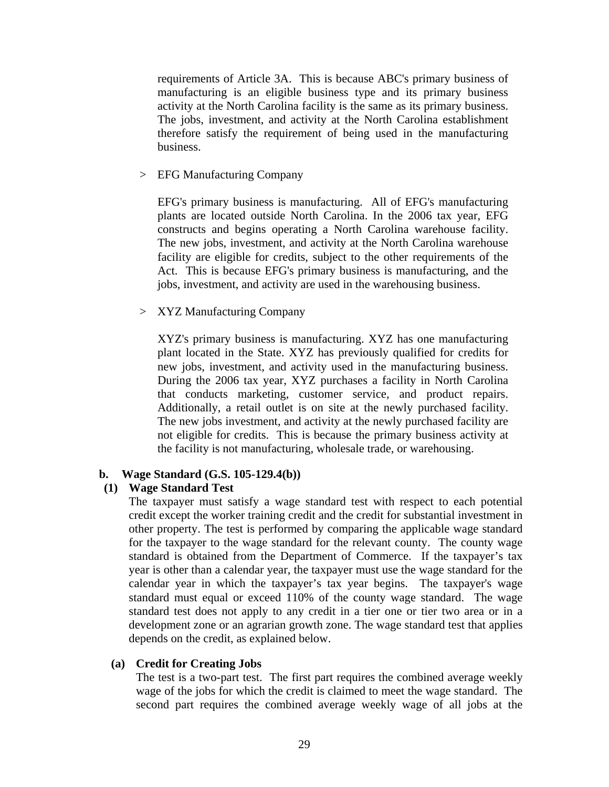requirements of Article 3A. This is because ABC's primary business of manufacturing is an eligible business type and its primary business activity at the North Carolina facility is the same as its primary business. The jobs, investment, and activity at the North Carolina establishment therefore satisfy the requirement of being used in the manufacturing business.

> EFG Manufacturing Company

EFG's primary business is manufacturing. All of EFG's manufacturing plants are located outside North Carolina. In the 2006 tax year, EFG constructs and begins operating a North Carolina warehouse facility. The new jobs, investment, and activity at the North Carolina warehouse facility are eligible for credits, subject to the other requirements of the Act. This is because EFG's primary business is manufacturing, and the jobs, investment, and activity are used in the warehousing business.

> XYZ Manufacturing Company

XYZ's primary business is manufacturing. XYZ has one manufacturing plant located in the State. XYZ has previously qualified for credits for new jobs, investment, and activity used in the manufacturing business. During the 2006 tax year, XYZ purchases a facility in North Carolina that conducts marketing, customer service, and product repairs. Additionally, a retail outlet is on site at the newly purchased facility. The new jobs investment, and activity at the newly purchased facility are not eligible for credits. This is because the primary business activity at the facility is not manufacturing, wholesale trade, or warehousing.

#### **b. Wage Standard (G.S. 105-129.4(b))**

#### **(1) Wage Standard Test**

The taxpayer must satisfy a wage standard test with respect to each potential credit except the worker training credit and the credit for substantial investment in other property. The test is performed by comparing the applicable wage standard for the taxpayer to the wage standard for the relevant county. The county wage standard is obtained from the Department of Commerce. If the taxpayer's tax year is other than a calendar year, the taxpayer must use the wage standard for the calendar year in which the taxpayer's tax year begins. The taxpayer's wage standard must equal or exceed 110% of the county wage standard. The wage standard test does not apply to any credit in a tier one or tier two area or in a development zone or an agrarian growth zone. The wage standard test that applies depends on the credit, as explained below.

#### **(a) Credit for Creating Jobs**

The test is a two-part test. The first part requires the combined average weekly wage of the jobs for which the credit is claimed to meet the wage standard. The second part requires the combined average weekly wage of all jobs at the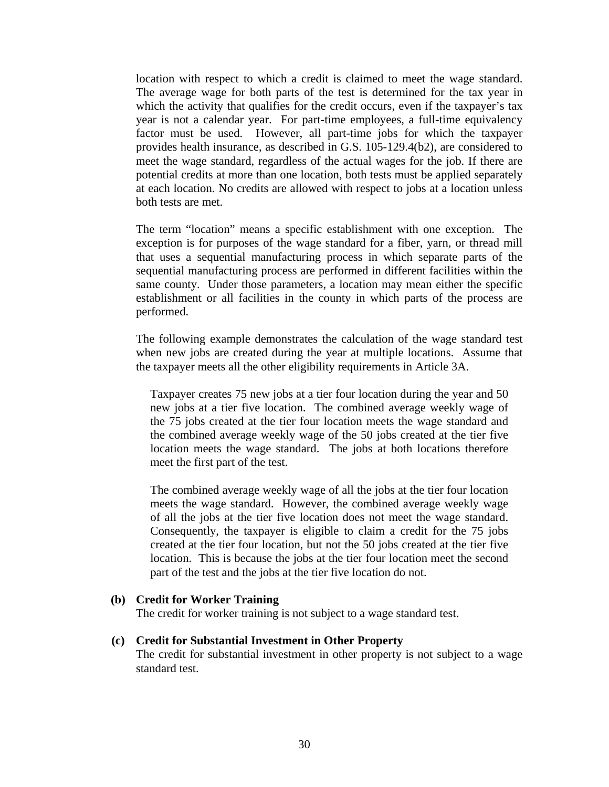location with respect to which a credit is claimed to meet the wage standard. The average wage for both parts of the test is determined for the tax year in which the activity that qualifies for the credit occurs, even if the taxpayer's tax year is not a calendar year. For part-time employees, a full-time equivalency factor must be used. However, all part-time jobs for which the taxpayer provides health insurance, as described in G.S. 105-129.4(b2), are considered to meet the wage standard, regardless of the actual wages for the job. If there are potential credits at more than one location, both tests must be applied separately at each location. No credits are allowed with respect to jobs at a location unless both tests are met.

The term "location" means a specific establishment with one exception. The exception is for purposes of the wage standard for a fiber, yarn, or thread mill that uses a sequential manufacturing process in which separate parts of the sequential manufacturing process are performed in different facilities within the same county. Under those parameters, a location may mean either the specific establishment or all facilities in the county in which parts of the process are performed.

The following example demonstrates the calculation of the wage standard test when new jobs are created during the year at multiple locations. Assume that the taxpayer meets all the other eligibility requirements in Article 3A.

Taxpayer creates 75 new jobs at a tier four location during the year and 50 new jobs at a tier five location. The combined average weekly wage of the 75 jobs created at the tier four location meets the wage standard and the combined average weekly wage of the 50 jobs created at the tier five location meets the wage standard. The jobs at both locations therefore meet the first part of the test.

The combined average weekly wage of all the jobs at the tier four location meets the wage standard. However, the combined average weekly wage of all the jobs at the tier five location does not meet the wage standard. Consequently, the taxpayer is eligible to claim a credit for the 75 jobs created at the tier four location, but not the 50 jobs created at the tier five location. This is because the jobs at the tier four location meet the second part of the test and the jobs at the tier five location do not.

#### **(b) Credit for Worker Training**

The credit for worker training is not subject to a wage standard test.

#### **(c) Credit for Substantial Investment in Other Property**

The credit for substantial investment in other property is not subject to a wage standard test.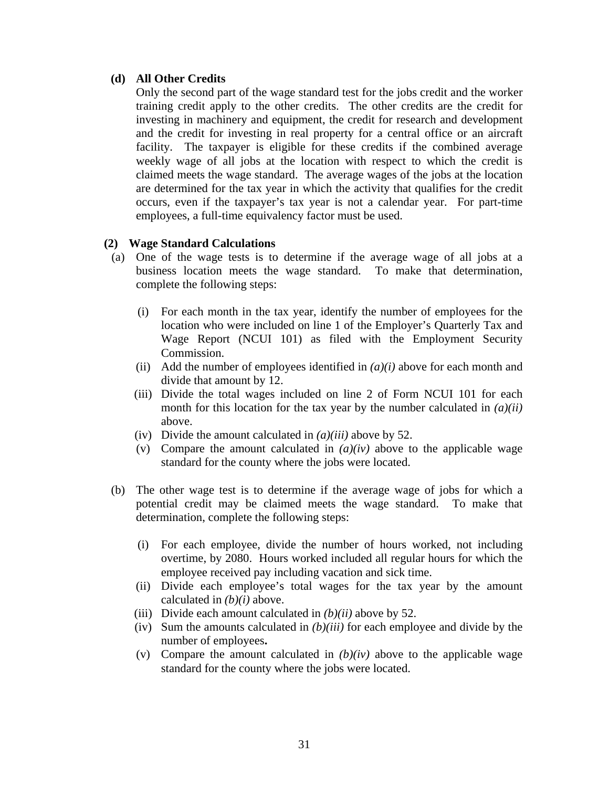#### **(d) All Other Credits**

Only the second part of the wage standard test for the jobs credit and the worker training credit apply to the other credits. The other credits are the credit for investing in machinery and equipment, the credit for research and development and the credit for investing in real property for a central office or an aircraft facility. The taxpayer is eligible for these credits if the combined average weekly wage of all jobs at the location with respect to which the credit is claimed meets the wage standard. The average wages of the jobs at the location are determined for the tax year in which the activity that qualifies for the credit occurs, even if the taxpayer's tax year is not a calendar year. For part-time employees, a full-time equivalency factor must be used.

### **(2) Wage Standard Calculations**

- (a) One of the wage tests is to determine if the average wage of all jobs at a business location meets the wage standard. To make that determination, complete the following steps:
	- (i) For each month in the tax year, identify the number of employees for the location who were included on line 1 of the Employer's Quarterly Tax and Wage Report (NCUI 101) as filed with the Employment Security Commission.
	- (ii) Add the number of employees identified in  $(a)(i)$  above for each month and divide that amount by 12.
	- (iii) Divide the total wages included on line 2 of Form NCUI 101 for each month for this location for the tax year by the number calculated in *(a)(ii)* above.
	- (iv) Divide the amount calculated in *(a)(iii)* above by 52.
	- (v) Compare the amount calculated in  $(a)(iv)$  above to the applicable wage standard for the county where the jobs were located.
- (b) The other wage test is to determine if the average wage of jobs for which a potential credit may be claimed meets the wage standard. To make that determination, complete the following steps:
	- (i) For each employee, divide the number of hours worked, not including overtime, by 2080. Hours worked included all regular hours for which the employee received pay including vacation and sick time.
	- (ii) Divide each employee's total wages for the tax year by the amount calculated in *(b)(i)* above.
	- (iii) Divide each amount calculated in *(b)(ii)* above by 52.
	- (iv) Sum the amounts calculated in *(b)(iii)* for each employee and divide by the number of employees**.**
	- (v) Compare the amount calculated in  $(b)(iv)$  above to the applicable wage standard for the county where the jobs were located.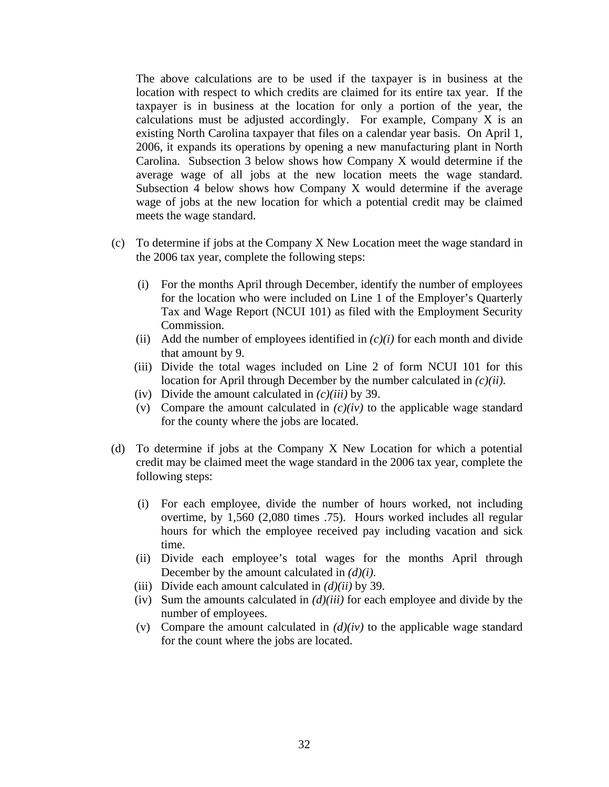The above calculations are to be used if the taxpayer is in business at the location with respect to which credits are claimed for its entire tax year. If the taxpayer is in business at the location for only a portion of the year, the calculations must be adjusted accordingly. For example, Company X is an existing North Carolina taxpayer that files on a calendar year basis. On April 1, 2006, it expands its operations by opening a new manufacturing plant in North Carolina. Subsection 3 below shows how Company X would determine if the average wage of all jobs at the new location meets the wage standard. Subsection 4 below shows how Company X would determine if the average wage of jobs at the new location for which a potential credit may be claimed meets the wage standard.

- (c) To determine if jobs at the Company X New Location meet the wage standard in the 2006 tax year, complete the following steps:
	- (i) For the months April through December, identify the number of employees for the location who were included on Line 1 of the Employer's Quarterly Tax and Wage Report (NCUI 101) as filed with the Employment Security Commission.
	- (ii) Add the number of employees identified in  $(c)(i)$  for each month and divide that amount by 9.
	- (iii) Divide the total wages included on Line 2 of form NCUI 101 for this location for April through December by the number calculated in *(c)(ii)*.
	- (iv) Divide the amount calculated in *(c)(iii)* by 39.
	- (v) Compare the amount calculated in  $(c)(iv)$  to the applicable wage standard for the county where the jobs are located.
- (d) To determine if jobs at the Company X New Location for which a potential credit may be claimed meet the wage standard in the 2006 tax year, complete the following steps:
	- (i) For each employee, divide the number of hours worked, not including overtime, by 1,560 (2,080 times .75). Hours worked includes all regular hours for which the employee received pay including vacation and sick time.
	- (ii) Divide each employee's total wages for the months April through December by the amount calculated in *(d)(i)*.
	- (iii) Divide each amount calculated in *(d)(ii)* by 39.
	- (iv) Sum the amounts calculated in *(d)(iii)* for each employee and divide by the number of employees.
	- (v) Compare the amount calculated in  $(d)(iv)$  to the applicable wage standard for the count where the jobs are located.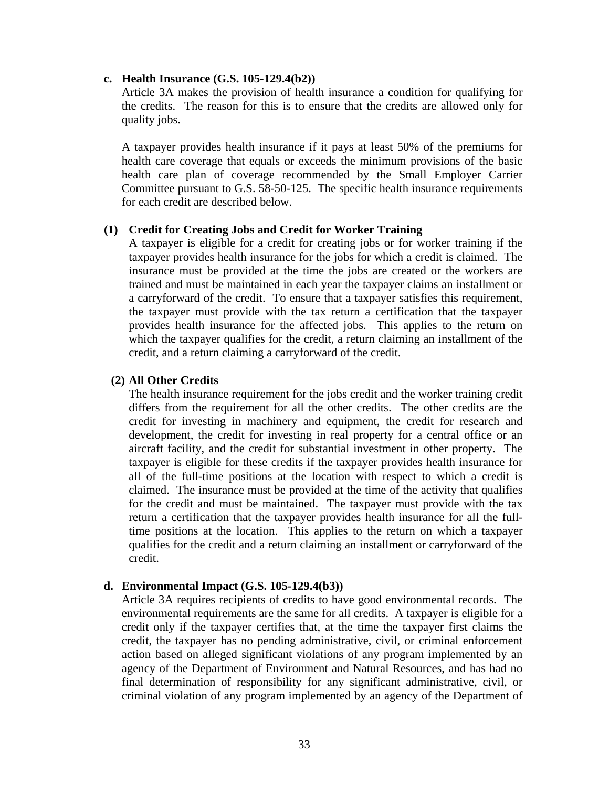#### **c. Health Insurance (G.S. 105-129.4(b2))**

Article 3A makes the provision of health insurance a condition for qualifying for the credits. The reason for this is to ensure that the credits are allowed only for quality jobs.

A taxpayer provides health insurance if it pays at least 50% of the premiums for health care coverage that equals or exceeds the minimum provisions of the basic health care plan of coverage recommended by the Small Employer Carrier Committee pursuant to G.S. 58-50-125. The specific health insurance requirements for each credit are described below.

#### **(1) Credit for Creating Jobs and Credit for Worker Training**

A taxpayer is eligible for a credit for creating jobs or for worker training if the taxpayer provides health insurance for the jobs for which a credit is claimed. The insurance must be provided at the time the jobs are created or the workers are trained and must be maintained in each year the taxpayer claims an installment or a carryforward of the credit. To ensure that a taxpayer satisfies this requirement, the taxpayer must provide with the tax return a certification that the taxpayer provides health insurance for the affected jobs. This applies to the return on which the taxpayer qualifies for the credit, a return claiming an installment of the credit, and a return claiming a carryforward of the credit.

#### **(2) All Other Credits**

The health insurance requirement for the jobs credit and the worker training credit differs from the requirement for all the other credits. The other credits are the credit for investing in machinery and equipment, the credit for research and development, the credit for investing in real property for a central office or an aircraft facility, and the credit for substantial investment in other property. The taxpayer is eligible for these credits if the taxpayer provides health insurance for all of the full-time positions at the location with respect to which a credit is claimed. The insurance must be provided at the time of the activity that qualifies for the credit and must be maintained. The taxpayer must provide with the tax return a certification that the taxpayer provides health insurance for all the fulltime positions at the location. This applies to the return on which a taxpayer qualifies for the credit and a return claiming an installment or carryforward of the credit.

#### **d. Environmental Impact (G.S. 105-129.4(b3))**

Article 3A requires recipients of credits to have good environmental records. The environmental requirements are the same for all credits. A taxpayer is eligible for a credit only if the taxpayer certifies that, at the time the taxpayer first claims the credit, the taxpayer has no pending administrative, civil, or criminal enforcement action based on alleged significant violations of any program implemented by an agency of the Department of Environment and Natural Resources, and has had no final determination of responsibility for any significant administrative, civil, or criminal violation of any program implemented by an agency of the Department of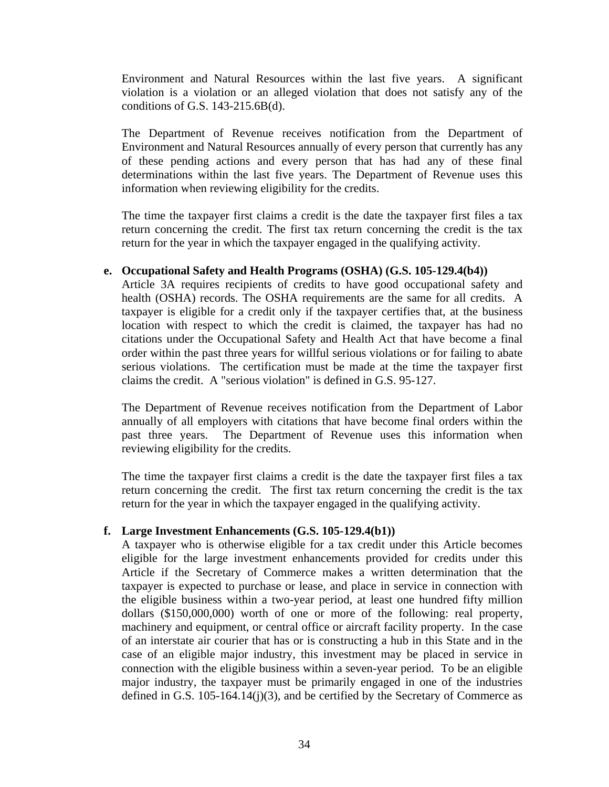Environment and Natural Resources within the last five years. A significant violation is a violation or an alleged violation that does not satisfy any of the conditions of G.S. 143-215.6B(d).

The Department of Revenue receives notification from the Department of Environment and Natural Resources annually of every person that currently has any of these pending actions and every person that has had any of these final determinations within the last five years. The Department of Revenue uses this information when reviewing eligibility for the credits.

The time the taxpayer first claims a credit is the date the taxpayer first files a tax return concerning the credit. The first tax return concerning the credit is the tax return for the year in which the taxpayer engaged in the qualifying activity.

#### **e. Occupational Safety and Health Programs (OSHA) (G.S. 105-129.4(b4))**

Article 3A requires recipients of credits to have good occupational safety and health (OSHA) records. The OSHA requirements are the same for all credits. A taxpayer is eligible for a credit only if the taxpayer certifies that, at the business location with respect to which the credit is claimed, the taxpayer has had no citations under the Occupational Safety and Health Act that have become a final order within the past three years for willful serious violations or for failing to abate serious violations. The certification must be made at the time the taxpayer first claims the credit. A "serious violation" is defined in G.S. 95-127.

The Department of Revenue receives notification from the Department of Labor annually of all employers with citations that have become final orders within the past three years. The Department of Revenue uses this information when reviewing eligibility for the credits.

The time the taxpayer first claims a credit is the date the taxpayer first files a tax return concerning the credit. The first tax return concerning the credit is the tax return for the year in which the taxpayer engaged in the qualifying activity.

#### **f. Large Investment Enhancements (G.S. 105-129.4(b1))**

A taxpayer who is otherwise eligible for a tax credit under this Article becomes eligible for the large investment enhancements provided for credits under this Article if the Secretary of Commerce makes a written determination that the taxpayer is expected to purchase or lease, and place in service in connection with the eligible business within a two-year period, at least one hundred fifty million dollars (\$150,000,000) worth of one or more of the following: real property, machinery and equipment, or central office or aircraft facility property. In the case of an interstate air courier that has or is constructing a hub in this State and in the case of an eligible major industry, this investment may be placed in service in connection with the eligible business within a seven-year period. To be an eligible major industry, the taxpayer must be primarily engaged in one of the industries defined in G.S.  $105-164.14(i)(3)$ , and be certified by the Secretary of Commerce as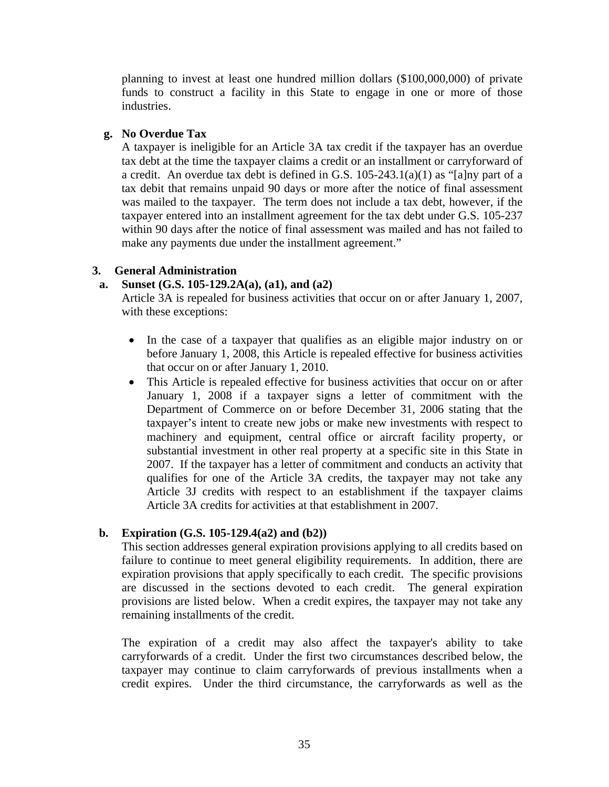planning to invest at least one hundred million dollars (\$100,000,000) of private funds to construct a facility in this State to engage in one or more of those industries.

### **g. No Overdue Tax**

A taxpayer is ineligible for an Article 3A tax credit if the taxpayer has an overdue tax debt at the time the taxpayer claims a credit or an installment or carryforward of a credit. An overdue tax debt is defined in G.S. 105-243.1(a)(1) as "[a]ny part of a tax debit that remains unpaid 90 days or more after the notice of final assessment was mailed to the taxpayer. The term does not include a tax debt, however, if the taxpayer entered into an installment agreement for the tax debt under G.S. 105-237 within 90 days after the notice of final assessment was mailed and has not failed to make any payments due under the installment agreement."

# **3. General Administration**

# **a. Sunset (G.S. 105-129.2A(a), (a1), and (a2)**

Article 3A is repealed for business activities that occur on or after January 1, 2007, with these exceptions:

- In the case of a taxpayer that qualifies as an eligible major industry on or before January 1, 2008, this Article is repealed effective for business activities that occur on or after January 1, 2010.
- This Article is repealed effective for business activities that occur on or after January 1, 2008 if a taxpayer signs a letter of commitment with the Department of Commerce on or before December 31, 2006 stating that the taxpayer's intent to create new jobs or make new investments with respect to machinery and equipment, central office or aircraft facility property, or substantial investment in other real property at a specific site in this State in 2007. If the taxpayer has a letter of commitment and conducts an activity that qualifies for one of the Article 3A credits, the taxpayer may not take any Article 3J credits with respect to an establishment if the taxpayer claims Article 3A credits for activities at that establishment in 2007.

# **b. Expiration (G.S. 105-129.4(a2) and (b2))**

This section addresses general expiration provisions applying to all credits based on failure to continue to meet general eligibility requirements. In addition, there are expiration provisions that apply specifically to each credit. The specific provisions are discussed in the sections devoted to each credit. The general expiration provisions are listed below. When a credit expires, the taxpayer may not take any remaining installments of the credit.

The expiration of a credit may also affect the taxpayer's ability to take carryforwards of a credit. Under the first two circumstances described below, the taxpayer may continue to claim carryforwards of previous installments when a credit expires. Under the third circumstance, the carryforwards as well as the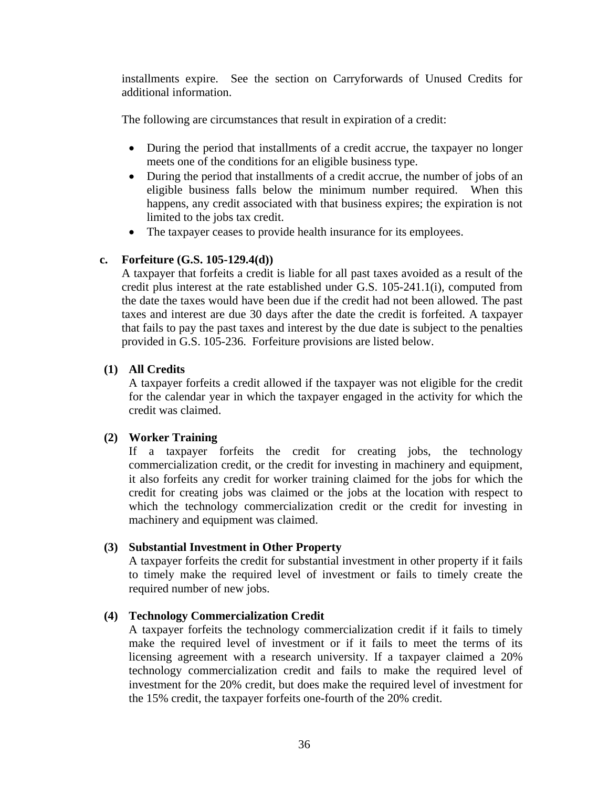installments expire. See the section on Carryforwards of Unused Credits for additional information.

The following are circumstances that result in expiration of a credit:

- During the period that installments of a credit accrue, the taxpayer no longer meets one of the conditions for an eligible business type.
- During the period that installments of a credit accrue, the number of jobs of an eligible business falls below the minimum number required. When this happens, any credit associated with that business expires; the expiration is not limited to the jobs tax credit.
- The taxpayer ceases to provide health insurance for its employees.

# **c. Forfeiture (G.S. 105-129.4(d))**

A taxpayer that forfeits a credit is liable for all past taxes avoided as a result of the credit plus interest at the rate established under G.S. 105-241.1(i), computed from the date the taxes would have been due if the credit had not been allowed. The past taxes and interest are due 30 days after the date the credit is forfeited. A taxpayer that fails to pay the past taxes and interest by the due date is subject to the penalties provided in G.S. 105-236. Forfeiture provisions are listed below.

### **(1) All Credits**

A taxpayer forfeits a credit allowed if the taxpayer was not eligible for the credit for the calendar year in which the taxpayer engaged in the activity for which the credit was claimed.

# **(2) Worker Training**

If a taxpayer forfeits the credit for creating jobs, the technology commercialization credit, or the credit for investing in machinery and equipment, it also forfeits any credit for worker training claimed for the jobs for which the credit for creating jobs was claimed or the jobs at the location with respect to which the technology commercialization credit or the credit for investing in machinery and equipment was claimed.

# **(3) Substantial Investment in Other Property**

A taxpayer forfeits the credit for substantial investment in other property if it fails to timely make the required level of investment or fails to timely create the required number of new jobs.

#### **(4) Technology Commercialization Credit**

A taxpayer forfeits the technology commercialization credit if it fails to timely make the required level of investment or if it fails to meet the terms of its licensing agreement with a research university. If a taxpayer claimed a 20% technology commercialization credit and fails to make the required level of investment for the 20% credit, but does make the required level of investment for the 15% credit, the taxpayer forfeits one-fourth of the 20% credit.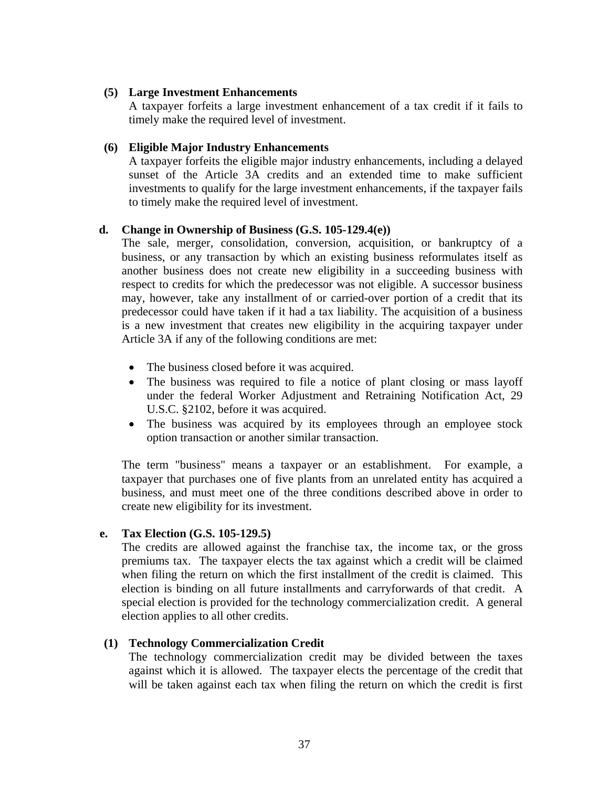### **(5) Large Investment Enhancements**

A taxpayer forfeits a large investment enhancement of a tax credit if it fails to timely make the required level of investment.

### **(6) Eligible Major Industry Enhancements**

A taxpayer forfeits the eligible major industry enhancements, including a delayed sunset of the Article 3A credits and an extended time to make sufficient investments to qualify for the large investment enhancements, if the taxpayer fails to timely make the required level of investment.

### **d. Change in Ownership of Business (G.S. 105-129.4(e))**

The sale, merger, consolidation, conversion, acquisition, or bankruptcy of a business, or any transaction by which an existing business reformulates itself as another business does not create new eligibility in a succeeding business with respect to credits for which the predecessor was not eligible. A successor business may, however, take any installment of or carried-over portion of a credit that its predecessor could have taken if it had a tax liability. The acquisition of a business is a new investment that creates new eligibility in the acquiring taxpayer under Article 3A if any of the following conditions are met:

- The business closed before it was acquired.
- The business was required to file a notice of plant closing or mass layoff under the federal Worker Adjustment and Retraining Notification Act, 29 U.S.C. §2102, before it was acquired.
- The business was acquired by its employees through an employee stock option transaction or another similar transaction.

The term "business" means a taxpayer or an establishment. For example, a taxpayer that purchases one of five plants from an unrelated entity has acquired a business, and must meet one of the three conditions described above in order to create new eligibility for its investment.

#### **e. Tax Election (G.S. 105-129.5)**

The credits are allowed against the franchise tax, the income tax, or the gross premiums tax. The taxpayer elects the tax against which a credit will be claimed when filing the return on which the first installment of the credit is claimed. This election is binding on all future installments and carryforwards of that credit. A special election is provided for the technology commercialization credit. A general election applies to all other credits.

#### **(1) Technology Commercialization Credit**

The technology commercialization credit may be divided between the taxes against which it is allowed. The taxpayer elects the percentage of the credit that will be taken against each tax when filing the return on which the credit is first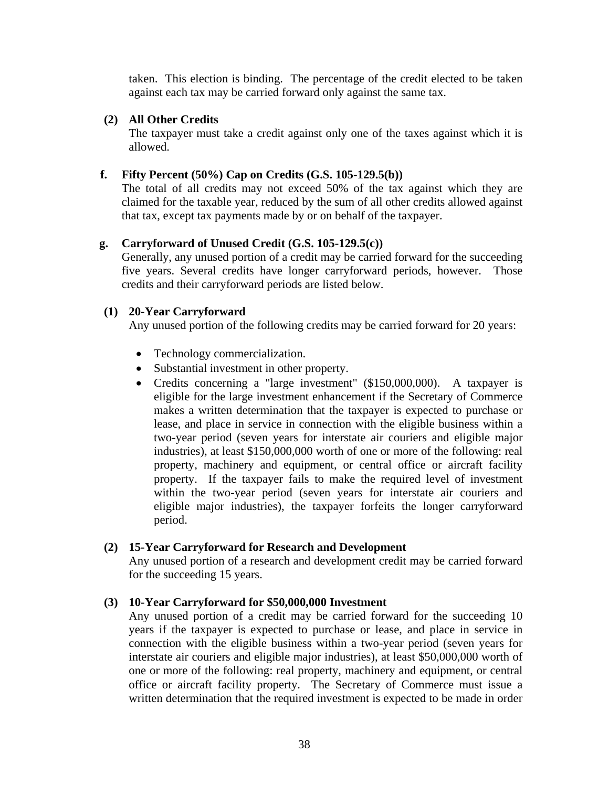taken. This election is binding. The percentage of the credit elected to be taken against each tax may be carried forward only against the same tax.

### **(2) All Other Credits**

The taxpayer must take a credit against only one of the taxes against which it is allowed.

### **f. Fifty Percent (50%) Cap on Credits (G.S. 105-129.5(b))**

The total of all credits may not exceed 50% of the tax against which they are claimed for the taxable year, reduced by the sum of all other credits allowed against that tax, except tax payments made by or on behalf of the taxpayer.

# **g. Carryforward of Unused Credit (G.S. 105-129.5(c))**

Generally, any unused portion of a credit may be carried forward for the succeeding five years. Several credits have longer carryforward periods, however. Those credits and their carryforward periods are listed below.

### **(1) 20-Year Carryforward**

Any unused portion of the following credits may be carried forward for 20 years:

- Technology commercialization.
- Substantial investment in other property.
- Credits concerning a "large investment" (\$150,000,000). A taxpayer is eligible for the large investment enhancement if the Secretary of Commerce makes a written determination that the taxpayer is expected to purchase or lease, and place in service in connection with the eligible business within a two-year period (seven years for interstate air couriers and eligible major industries), at least \$150,000,000 worth of one or more of the following: real property, machinery and equipment, or central office or aircraft facility property. If the taxpayer fails to make the required level of investment within the two-year period (seven years for interstate air couriers and eligible major industries), the taxpayer forfeits the longer carryforward period.

#### **(2) 15-Year Carryforward for Research and Development**

Any unused portion of a research and development credit may be carried forward for the succeeding 15 years.

# **(3) 10-Year Carryforward for \$50,000,000 Investment**

Any unused portion of a credit may be carried forward for the succeeding 10 years if the taxpayer is expected to purchase or lease, and place in service in connection with the eligible business within a two-year period (seven years for interstate air couriers and eligible major industries), at least \$50,000,000 worth of one or more of the following: real property, machinery and equipment, or central office or aircraft facility property. The Secretary of Commerce must issue a written determination that the required investment is expected to be made in order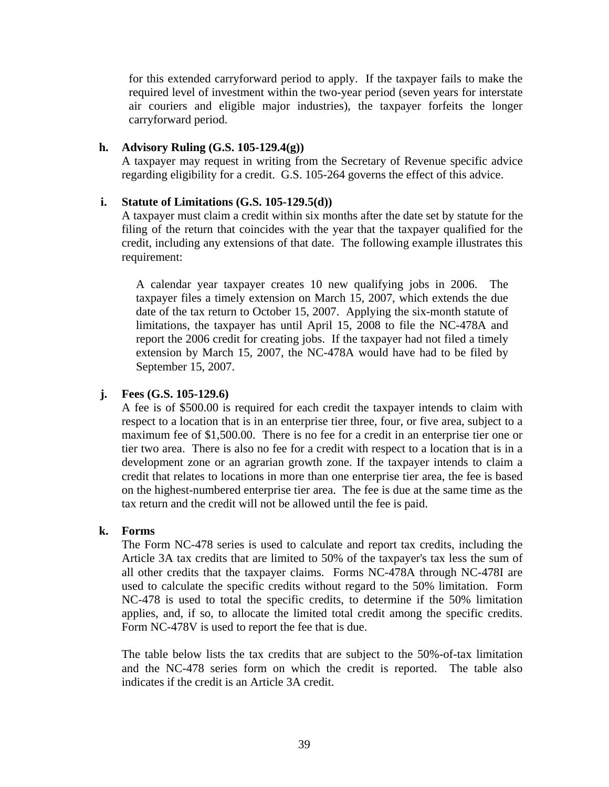for this extended carryforward period to apply. If the taxpayer fails to make the required level of investment within the two-year period (seven years for interstate air couriers and eligible major industries), the taxpayer forfeits the longer carryforward period.

#### **h. Advisory Ruling (G.S. 105-129.4(g))**

A taxpayer may request in writing from the Secretary of Revenue specific advice regarding eligibility for a credit. G.S. 105-264 governs the effect of this advice.

#### **i. Statute of Limitations (G.S. 105-129.5(d))**

A taxpayer must claim a credit within six months after the date set by statute for the filing of the return that coincides with the year that the taxpayer qualified for the credit, including any extensions of that date. The following example illustrates this requirement:

A calendar year taxpayer creates 10 new qualifying jobs in 2006. The taxpayer files a timely extension on March 15, 2007, which extends the due date of the tax return to October 15, 2007. Applying the six-month statute of limitations, the taxpayer has until April 15, 2008 to file the NC-478A and report the 2006 credit for creating jobs. If the taxpayer had not filed a timely extension by March 15, 2007, the NC-478A would have had to be filed by September 15, 2007.

#### **j. Fees (G.S. 105-129.6)**

A fee is of \$500.00 is required for each credit the taxpayer intends to claim with respect to a location that is in an enterprise tier three, four, or five area, subject to a maximum fee of \$1,500.00. There is no fee for a credit in an enterprise tier one or tier two area. There is also no fee for a credit with respect to a location that is in a development zone or an agrarian growth zone. If the taxpayer intends to claim a credit that relates to locations in more than one enterprise tier area, the fee is based on the highest-numbered enterprise tier area. The fee is due at the same time as the tax return and the credit will not be allowed until the fee is paid.

#### **k. Forms**

The Form NC-478 series is used to calculate and report tax credits, including the Article 3A tax credits that are limited to 50% of the taxpayer's tax less the sum of all other credits that the taxpayer claims. Forms NC-478A through NC-478I are used to calculate the specific credits without regard to the 50% limitation. Form NC-478 is used to total the specific credits, to determine if the 50% limitation applies, and, if so, to allocate the limited total credit among the specific credits. Form NC-478V is used to report the fee that is due.

The table below lists the tax credits that are subject to the 50%-of-tax limitation and the NC-478 series form on which the credit is reported. The table also indicates if the credit is an Article 3A credit.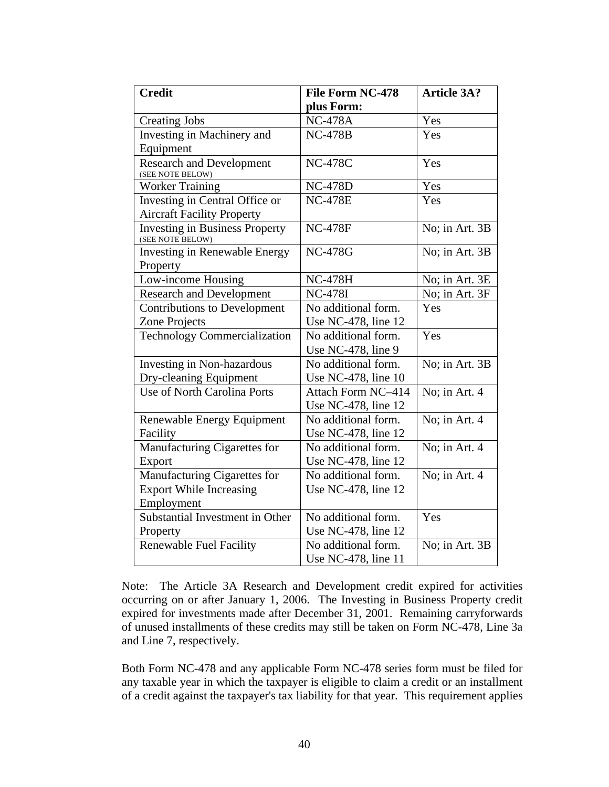| <b>Credit</b>                                             | <b>File Form NC-478</b> | <b>Article 3A?</b> |
|-----------------------------------------------------------|-------------------------|--------------------|
|                                                           | plus Form:              |                    |
| <b>Creating Jobs</b>                                      | <b>NC-478A</b>          | Yes                |
| Investing in Machinery and                                | <b>NC-478B</b>          | Yes                |
| Equipment                                                 |                         |                    |
| <b>Research and Development</b><br>(SEE NOTE BELOW)       | <b>NC-478C</b>          | Yes                |
| <b>Worker Training</b>                                    | <b>NC-478D</b>          | Yes                |
| Investing in Central Office or                            | <b>NC-478E</b>          | Yes                |
| <b>Aircraft Facility Property</b>                         |                         |                    |
| <b>Investing in Business Property</b><br>(SEE NOTE BELOW) | <b>NC-478F</b>          | No; in Art. 3B     |
| <b>Investing in Renewable Energy</b>                      | <b>NC-478G</b>          | No; in Art. 3B     |
| Property                                                  |                         |                    |
| Low-income Housing                                        | <b>NC-478H</b>          | No; in Art. 3E     |
| <b>Research and Development</b>                           | <b>NC-478I</b>          | No; in Art. 3F     |
| <b>Contributions to Development</b>                       | No additional form.     | Yes                |
| <b>Zone Projects</b>                                      | Use NC-478, line 12     |                    |
| <b>Technology Commercialization</b>                       | No additional form.     | Yes                |
|                                                           | Use NC-478, line 9      |                    |
| Investing in Non-hazardous                                | No additional form.     | No; in Art. 3B     |
| Dry-cleaning Equipment                                    | Use NC-478, line 10     |                    |
| Use of North Carolina Ports                               | Attach Form NC-414      | No; in Art. 4      |
|                                                           | Use NC-478, line 12     |                    |
| Renewable Energy Equipment                                | No additional form.     | No; in Art. 4      |
| Facility                                                  | Use NC-478, line 12     |                    |
| Manufacturing Cigarettes for                              | No additional form.     | No; in Art. 4      |
| Export                                                    | Use NC-478, line 12     |                    |
| Manufacturing Cigarettes for                              | No additional form.     | No; in Art. 4      |
| <b>Export While Increasing</b>                            | Use NC-478, line 12     |                    |
| Employment                                                |                         |                    |
| Substantial Investment in Other                           | No additional form.     | Yes                |
| Property                                                  | Use NC-478, line 12     |                    |
| <b>Renewable Fuel Facility</b>                            | No additional form.     | No; in Art. 3B     |
|                                                           | Use NC-478, line 11     |                    |

Note: The Article 3A Research and Development credit expired for activities occurring on or after January 1, 2006. The Investing in Business Property credit expired for investments made after December 31, 2001. Remaining carryforwards of unused installments of these credits may still be taken on Form NC-478, Line 3a and Line 7, respectively.

Both Form NC-478 and any applicable Form NC-478 series form must be filed for any taxable year in which the taxpayer is eligible to claim a credit or an installment of a credit against the taxpayer's tax liability for that year. This requirement applies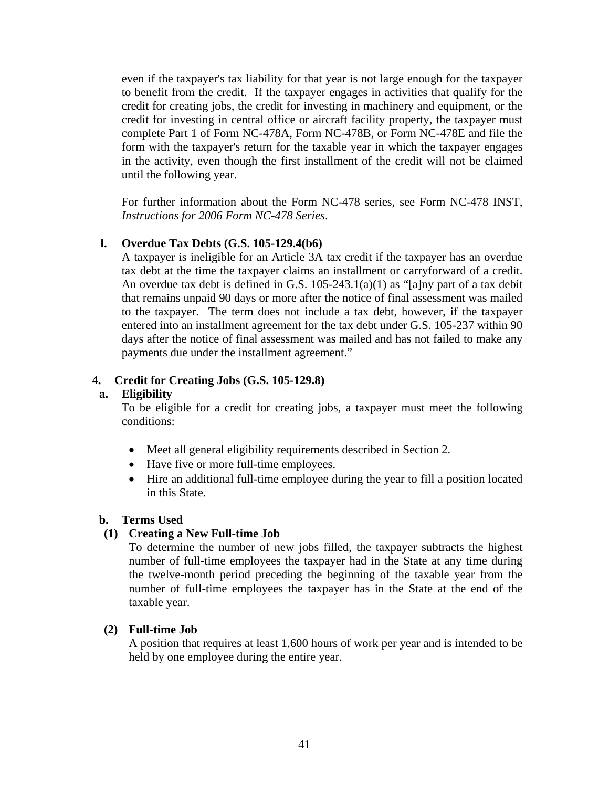even if the taxpayer's tax liability for that year is not large enough for the taxpayer to benefit from the credit. If the taxpayer engages in activities that qualify for the credit for creating jobs, the credit for investing in machinery and equipment, or the credit for investing in central office or aircraft facility property, the taxpayer must complete Part 1 of Form NC-478A, Form NC-478B, or Form NC-478E and file the form with the taxpayer's return for the taxable year in which the taxpayer engages in the activity, even though the first installment of the credit will not be claimed until the following year.

For further information about the Form NC-478 series, see Form NC-478 INST, *Instructions for 2006 Form NC-478 Series*.

# **l. Overdue Tax Debts (G.S. 105-129.4(b6)**

A taxpayer is ineligible for an Article 3A tax credit if the taxpayer has an overdue tax debt at the time the taxpayer claims an installment or carryforward of a credit. An overdue tax debt is defined in G.S. 105-243.1(a)(1) as "[a]ny part of a tax debit that remains unpaid 90 days or more after the notice of final assessment was mailed to the taxpayer. The term does not include a tax debt, however, if the taxpayer entered into an installment agreement for the tax debt under G.S. 105-237 within 90 days after the notice of final assessment was mailed and has not failed to make any payments due under the installment agreement."

# **4. Credit for Creating Jobs (G.S. 105-129.8)**

#### **a. Eligibility**

To be eligible for a credit for creating jobs, a taxpayer must meet the following conditions:

- Meet all general eligibility requirements described in Section 2.
- Have five or more full-time employees.
- Hire an additional full-time employee during the year to fill a position located in this State.

#### **b. Terms Used**

#### **(1) Creating a New Full-time Job**

To determine the number of new jobs filled, the taxpayer subtracts the highest number of full-time employees the taxpayer had in the State at any time during the twelve-month period preceding the beginning of the taxable year from the number of full-time employees the taxpayer has in the State at the end of the taxable year.

#### **(2) Full-time Job**

A position that requires at least 1,600 hours of work per year and is intended to be held by one employee during the entire year.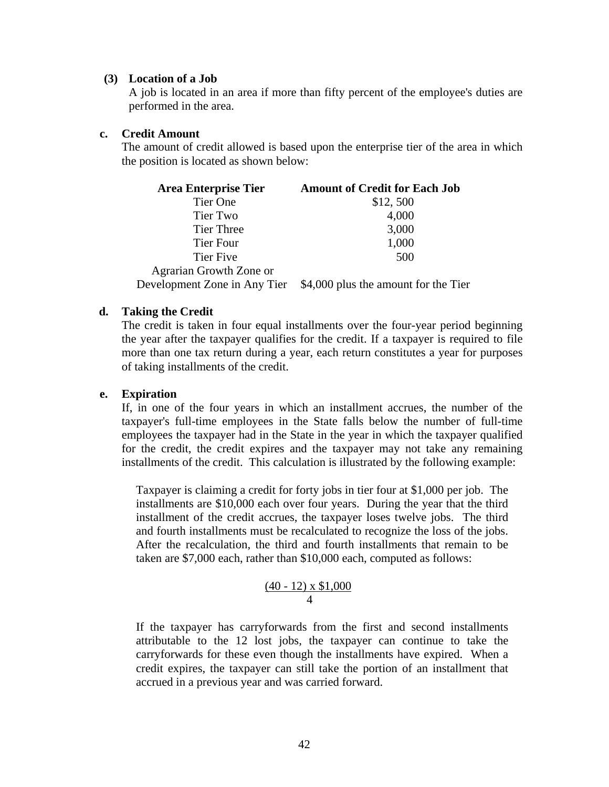#### **(3) Location of a Job**

A job is located in an area if more than fifty percent of the employee's duties are performed in the area.

#### **c. Credit Amount**

The amount of credit allowed is based upon the enterprise tier of the area in which the position is located as shown below:

| <b>Area Enterprise Tier</b> | <b>Amount of Credit for Each Job</b>                              |
|-----------------------------|-------------------------------------------------------------------|
| Tier One                    | \$12,500                                                          |
| Tier Two                    | 4,000                                                             |
| Tier Three                  | 3,000                                                             |
| Tier Four                   | 1,000                                                             |
| <b>Tier Five</b>            | 500                                                               |
| Agrarian Growth Zone or     |                                                                   |
|                             | Development Zone in Any Tier \$4,000 plus the amount for the Tier |

#### **d. Taking the Credit**

The credit is taken in four equal installments over the four-year period beginning the year after the taxpayer qualifies for the credit. If a taxpayer is required to file more than one tax return during a year, each return constitutes a year for purposes of taking installments of the credit.

#### **e. Expiration**

If, in one of the four years in which an installment accrues, the number of the taxpayer's full-time employees in the State falls below the number of full-time employees the taxpayer had in the State in the year in which the taxpayer qualified for the credit, the credit expires and the taxpayer may not take any remaining installments of the credit. This calculation is illustrated by the following example:

Taxpayer is claiming a credit for forty jobs in tier four at \$1,000 per job. The installments are \$10,000 each over four years. During the year that the third installment of the credit accrues, the taxpayer loses twelve jobs. The third and fourth installments must be recalculated to recognize the loss of the jobs. After the recalculation, the third and fourth installments that remain to be taken are \$7,000 each, rather than \$10,000 each, computed as follows:

$$
\frac{(40-12) \times \$1,000}{4}
$$

If the taxpayer has carryforwards from the first and second installments attributable to the 12 lost jobs, the taxpayer can continue to take the carryforwards for these even though the installments have expired. When a credit expires, the taxpayer can still take the portion of an installment that accrued in a previous year and was carried forward.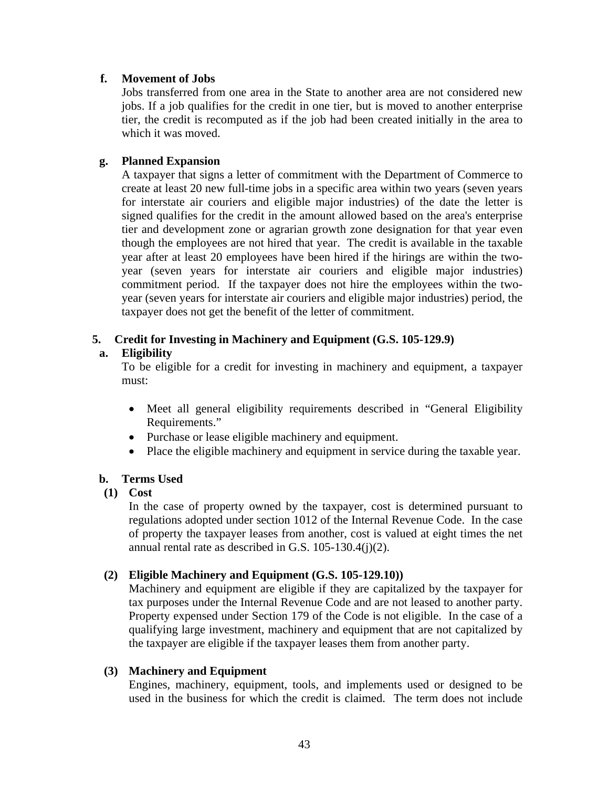### **f. Movement of Jobs**

Jobs transferred from one area in the State to another area are not considered new jobs. If a job qualifies for the credit in one tier, but is moved to another enterprise tier, the credit is recomputed as if the job had been created initially in the area to which it was moved.

### **g. Planned Expansion**

A taxpayer that signs a letter of commitment with the Department of Commerce to create at least 20 new full-time jobs in a specific area within two years (seven years for interstate air couriers and eligible major industries) of the date the letter is signed qualifies for the credit in the amount allowed based on the area's enterprise tier and development zone or agrarian growth zone designation for that year even though the employees are not hired that year. The credit is available in the taxable year after at least 20 employees have been hired if the hirings are within the twoyear (seven years for interstate air couriers and eligible major industries) commitment period. If the taxpayer does not hire the employees within the twoyear (seven years for interstate air couriers and eligible major industries) period, the taxpayer does not get the benefit of the letter of commitment.

# **5. Credit for Investing in Machinery and Equipment (G.S. 105-129.9)**

### **a. Eligibility**

To be eligible for a credit for investing in machinery and equipment, a taxpayer must:

- Meet all general eligibility requirements described in "General Eligibility Requirements."
- Purchase or lease eligible machinery and equipment.
- Place the eligible machinery and equipment in service during the taxable year.

# **b. Terms Used**

# **(1) Cost**

In the case of property owned by the taxpayer, cost is determined pursuant to regulations adopted under section 1012 of the Internal Revenue Code. In the case of property the taxpayer leases from another, cost is valued at eight times the net annual rental rate as described in G.S. 105-130.4(j)(2).

#### **(2) Eligible Machinery and Equipment (G.S. 105-129.10))**

Machinery and equipment are eligible if they are capitalized by the taxpayer for tax purposes under the Internal Revenue Code and are not leased to another party. Property expensed under Section 179 of the Code is not eligible. In the case of a qualifying large investment, machinery and equipment that are not capitalized by the taxpayer are eligible if the taxpayer leases them from another party.

#### **(3) Machinery and Equipment**

Engines, machinery, equipment, tools, and implements used or designed to be used in the business for which the credit is claimed. The term does not include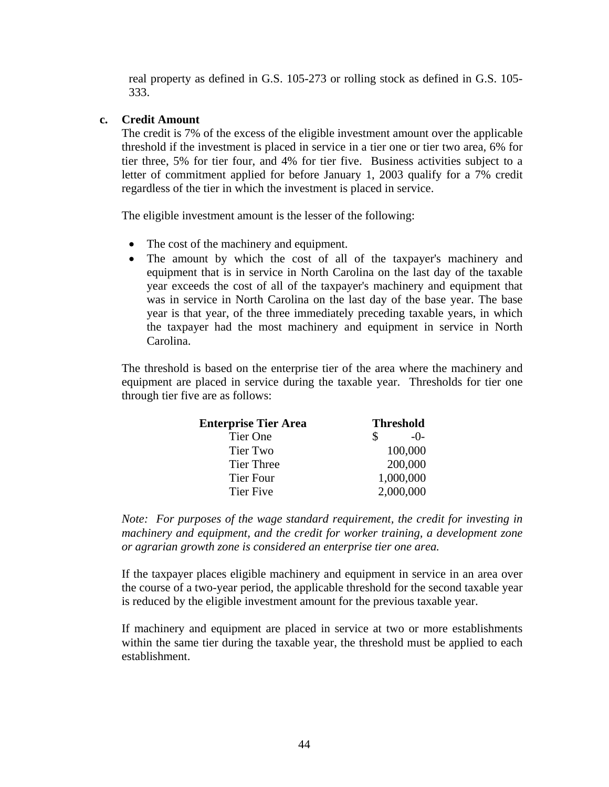real property as defined in G.S. 105-273 or rolling stock as defined in G.S. 105- 333.

### **c. Credit Amount**

The credit is 7% of the excess of the eligible investment amount over the applicable threshold if the investment is placed in service in a tier one or tier two area, 6% for tier three, 5% for tier four, and 4% for tier five. Business activities subject to a letter of commitment applied for before January 1, 2003 qualify for a 7% credit regardless of the tier in which the investment is placed in service.

The eligible investment amount is the lesser of the following:

- The cost of the machinery and equipment.
- The amount by which the cost of all of the taxpayer's machinery and equipment that is in service in North Carolina on the last day of the taxable year exceeds the cost of all of the taxpayer's machinery and equipment that was in service in North Carolina on the last day of the base year. The base year is that year, of the three immediately preceding taxable years, in which the taxpayer had the most machinery and equipment in service in North Carolina.

The threshold is based on the enterprise tier of the area where the machinery and equipment are placed in service during the taxable year. Thresholds for tier one through tier five are as follows:

| <b>Enterprise Tier Area</b> | <b>Threshold</b> |
|-----------------------------|------------------|
| Tier One                    | $-()$ -          |
| Tier Two                    | 100,000          |
| Tier Three                  | 200,000          |
| Tier Four                   | 1,000,000        |
| <b>Tier Five</b>            | 2,000,000        |

*Note: For purposes of the wage standard requirement, the credit for investing in*  machinery and equipment, and the credit for worker training, a development zone *or agrarian growth zone is considered an enterprise tier one area.* 

If the taxpayer places eligible machinery and equipment in service in an area over the course of a two-year period, the applicable threshold for the second taxable year is reduced by the eligible investment amount for the previous taxable year.

If machinery and equipment are placed in service at two or more establishments within the same tier during the taxable year, the threshold must be applied to each establishment.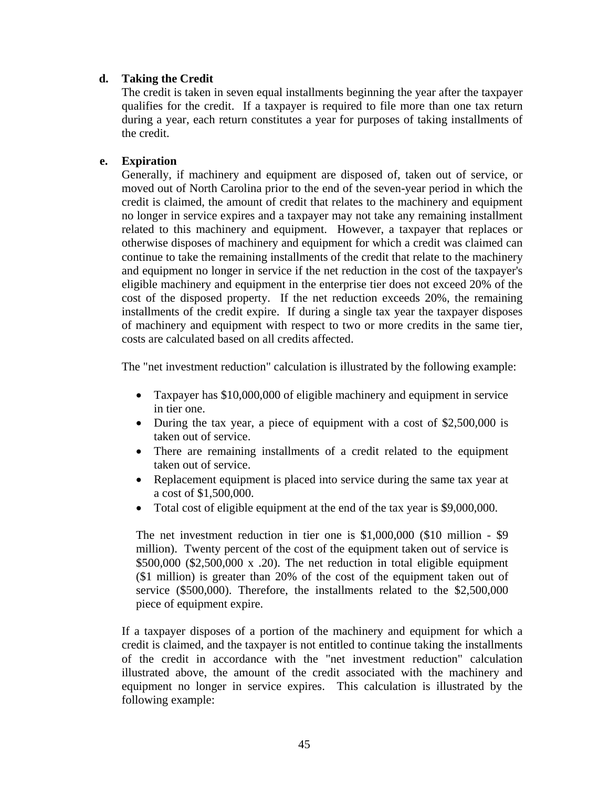### **d. Taking the Credit**

The credit is taken in seven equal installments beginning the year after the taxpayer qualifies for the credit. If a taxpayer is required to file more than one tax return during a year, each return constitutes a year for purposes of taking installments of the credit.

### **e. Expiration**

Generally, if machinery and equipment are disposed of, taken out of service, or moved out of North Carolina prior to the end of the seven-year period in which the credit is claimed, the amount of credit that relates to the machinery and equipment no longer in service expires and a taxpayer may not take any remaining installment related to this machinery and equipment. However, a taxpayer that replaces or otherwise disposes of machinery and equipment for which a credit was claimed can continue to take the remaining installments of the credit that relate to the machinery and equipment no longer in service if the net reduction in the cost of the taxpayer's eligible machinery and equipment in the enterprise tier does not exceed 20% of the cost of the disposed property. If the net reduction exceeds 20%, the remaining installments of the credit expire. If during a single tax year the taxpayer disposes of machinery and equipment with respect to two or more credits in the same tier, costs are calculated based on all credits affected.

The "net investment reduction" calculation is illustrated by the following example:

- Taxpayer has \$10,000,000 of eligible machinery and equipment in service in tier one.
- During the tax year, a piece of equipment with a cost of \$2,500,000 is taken out of service.
- There are remaining installments of a credit related to the equipment taken out of service.
- Replacement equipment is placed into service during the same tax year at a cost of \$1,500,000.
- Total cost of eligible equipment at the end of the tax year is \$9,000,000.

The net investment reduction in tier one is \$1,000,000 (\$10 million - \$9 million). Twenty percent of the cost of the equipment taken out of service is  $$500,000 ($2,500,000 x .20)$ . The net reduction in total eligible equipment (\$1 million) is greater than 20% of the cost of the equipment taken out of service (\$500,000). Therefore, the installments related to the \$2,500,000 piece of equipment expire.

If a taxpayer disposes of a portion of the machinery and equipment for which a credit is claimed, and the taxpayer is not entitled to continue taking the installments of the credit in accordance with the "net investment reduction" calculation illustrated above, the amount of the credit associated with the machinery and equipment no longer in service expires. This calculation is illustrated by the following example: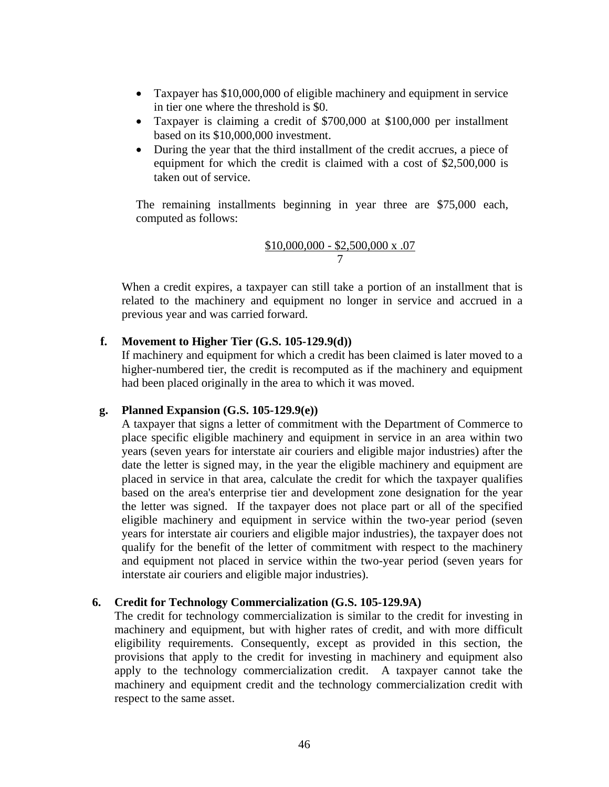- Taxpayer has \$10,000,000 of eligible machinery and equipment in service in tier one where the threshold is \$0.
- Taxpayer is claiming a credit of \$700,000 at \$100,000 per installment based on its \$10,000,000 investment.
- During the year that the third installment of the credit accrues, a piece of equipment for which the credit is claimed with a cost of \$2,500,000 is taken out of service.

The remaining installments beginning in year three are \$75,000 each, computed as follows:

$$
\frac{\$10,000,000 - \$2,500,000 \text{ x } .07}{7}
$$

When a credit expires, a taxpayer can still take a portion of an installment that is related to the machinery and equipment no longer in service and accrued in a previous year and was carried forward.

#### **f. Movement to Higher Tier (G.S. 105-129.9(d))**

If machinery and equipment for which a credit has been claimed is later moved to a higher-numbered tier, the credit is recomputed as if the machinery and equipment had been placed originally in the area to which it was moved.

#### **g. Planned Expansion (G.S. 105-129.9(e))**

A taxpayer that signs a letter of commitment with the Department of Commerce to place specific eligible machinery and equipment in service in an area within two years (seven years for interstate air couriers and eligible major industries) after the date the letter is signed may, in the year the eligible machinery and equipment are placed in service in that area, calculate the credit for which the taxpayer qualifies based on the area's enterprise tier and development zone designation for the year the letter was signed. If the taxpayer does not place part or all of the specified eligible machinery and equipment in service within the two-year period (seven years for interstate air couriers and eligible major industries), the taxpayer does not qualify for the benefit of the letter of commitment with respect to the machinery and equipment not placed in service within the two-year period (seven years for interstate air couriers and eligible major industries).

#### **6. Credit for Technology Commercialization (G.S. 105-129.9A)**

The credit for technology commercialization is similar to the credit for investing in machinery and equipment, but with higher rates of credit, and with more difficult eligibility requirements. Consequently, except as provided in this section, the provisions that apply to the credit for investing in machinery and equipment also apply to the technology commercialization credit. A taxpayer cannot take the machinery and equipment credit and the technology commercialization credit with respect to the same asset.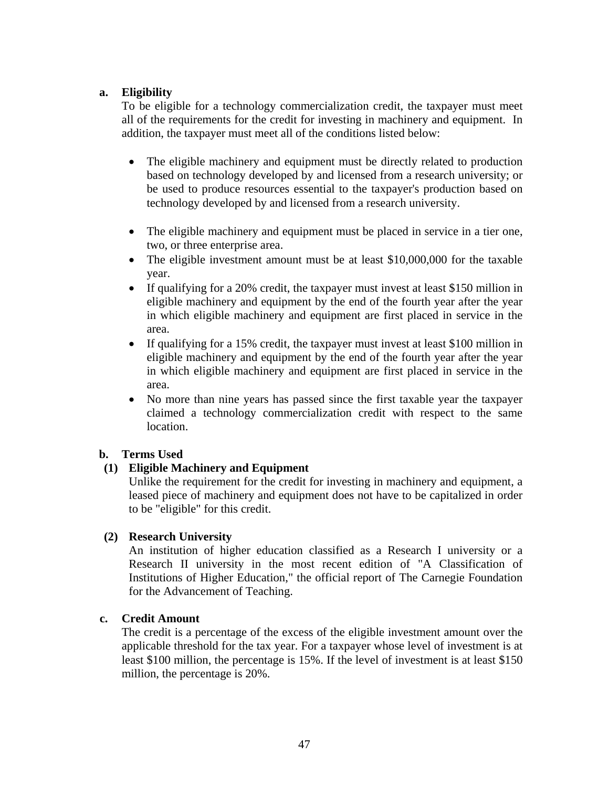### **a. Eligibility**

To be eligible for a technology commercialization credit, the taxpayer must meet all of the requirements for the credit for investing in machinery and equipment. In addition, the taxpayer must meet all of the conditions listed below:

- The eligible machinery and equipment must be directly related to production based on technology developed by and licensed from a research university; or be used to produce resources essential to the taxpayer's production based on technology developed by and licensed from a research university.
- The eligible machinery and equipment must be placed in service in a tier one, two, or three enterprise area.
- The eligible investment amount must be at least \$10,000,000 for the taxable year.
- If qualifying for a 20% credit, the taxpayer must invest at least \$150 million in eligible machinery and equipment by the end of the fourth year after the year in which eligible machinery and equipment are first placed in service in the area.
- If qualifying for a 15% credit, the taxpayer must invest at least \$100 million in eligible machinery and equipment by the end of the fourth year after the year in which eligible machinery and equipment are first placed in service in the area.
- No more than nine years has passed since the first taxable year the taxpayer claimed a technology commercialization credit with respect to the same location.

# **b. Terms Used**

# **(1) Eligible Machinery and Equipment**

Unlike the requirement for the credit for investing in machinery and equipment, a leased piece of machinery and equipment does not have to be capitalized in order to be "eligible" for this credit.

#### **(2) Research University**

An institution of higher education classified as a Research I university or a Research II university in the most recent edition of "A Classification of Institutions of Higher Education," the official report of The Carnegie Foundation for the Advancement of Teaching.

#### **c. Credit Amount**

The credit is a percentage of the excess of the eligible investment amount over the applicable threshold for the tax year. For a taxpayer whose level of investment is at least \$100 million, the percentage is 15%. If the level of investment is at least \$150 million, the percentage is 20%.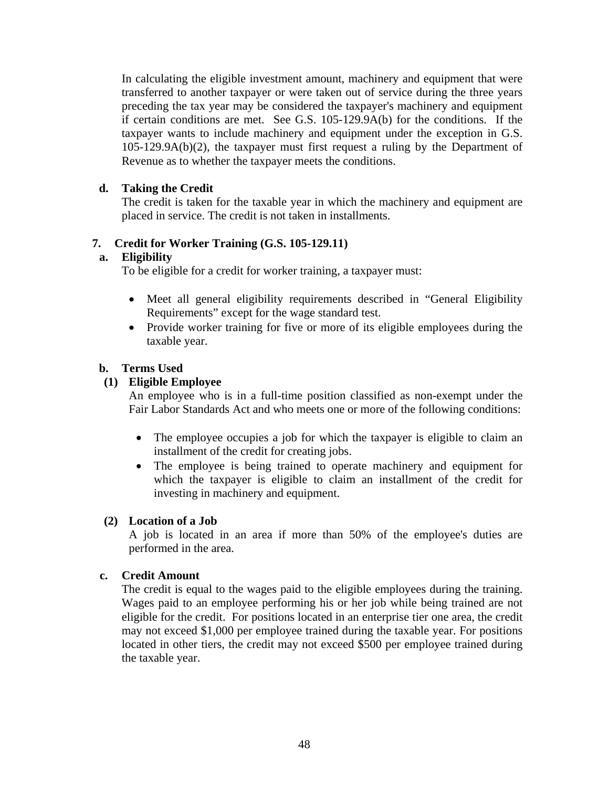In calculating the eligible investment amount, machinery and equipment that were transferred to another taxpayer or were taken out of service during the three years preceding the tax year may be considered the taxpayer's machinery and equipment if certain conditions are met. See G.S. 105-129.9A(b) for the conditions. If the taxpayer wants to include machinery and equipment under the exception in G.S. 105-129.9A(b)(2), the taxpayer must first request a ruling by the Department of Revenue as to whether the taxpayer meets the conditions.

# **d. Taking the Credit**

The credit is taken for the taxable year in which the machinery and equipment are placed in service. The credit is not taken in installments.

# **7. Credit for Worker Training (G.S. 105-129.11)**

### **a. Eligibility**

To be eligible for a credit for worker training, a taxpayer must:

- Meet all general eligibility requirements described in "General Eligibility" Requirements" except for the wage standard test.
- Provide worker training for five or more of its eligible employees during the taxable year.

# **b. Terms Used**

# **(1) Eligible Employee**

An employee who is in a full-time position classified as non-exempt under the Fair Labor Standards Act and who meets one or more of the following conditions:

- The employee occupies a job for which the taxpayer is eligible to claim an installment of the credit for creating jobs.
- The employee is being trained to operate machinery and equipment for which the taxpayer is eligible to claim an installment of the credit for investing in machinery and equipment.

# **(2) Location of a Job**

A job is located in an area if more than 50% of the employee's duties are performed in the area.

#### **c. Credit Amount**

The credit is equal to the wages paid to the eligible employees during the training. Wages paid to an employee performing his or her job while being trained are not eligible for the credit. For positions located in an enterprise tier one area, the credit may not exceed \$1,000 per employee trained during the taxable year. For positions located in other tiers, the credit may not exceed \$500 per employee trained during the taxable year.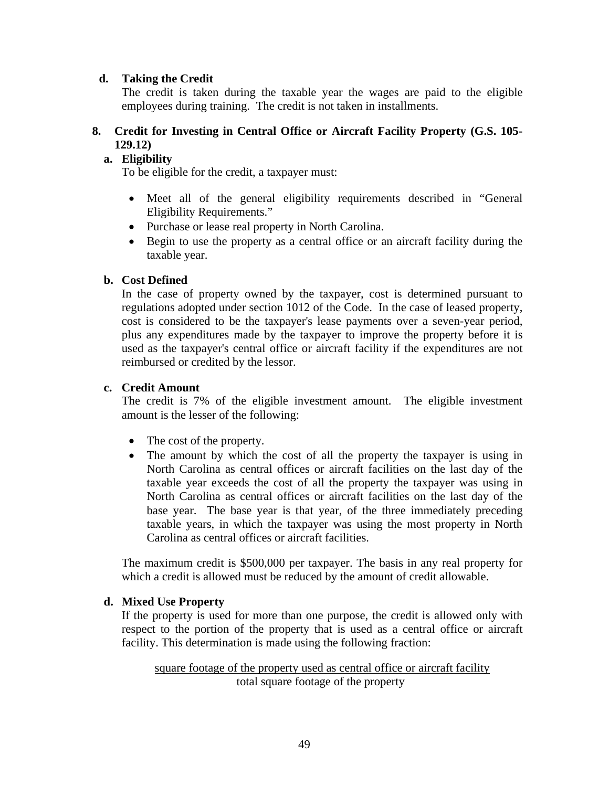### **d. Taking the Credit**

The credit is taken during the taxable year the wages are paid to the eligible employees during training. The credit is not taken in installments.

# **8. Credit for Investing in Central Office or Aircraft Facility Property (G.S. 105- 129.12)**

# **a. Eligibility**

To be eligible for the credit, a taxpayer must:

- Meet all of the general eligibility requirements described in "General Eligibility Requirements."
- Purchase or lease real property in North Carolina.
- Begin to use the property as a central office or an aircraft facility during the taxable year.

### **b. Cost Defined**

In the case of property owned by the taxpayer, cost is determined pursuant to regulations adopted under section 1012 of the Code. In the case of leased property, cost is considered to be the taxpayer's lease payments over a seven-year period, plus any expenditures made by the taxpayer to improve the property before it is used as the taxpayer's central office or aircraft facility if the expenditures are not reimbursed or credited by the lessor.

### **c. Credit Amount**

The credit is 7% of the eligible investment amount. The eligible investment amount is the lesser of the following:

- The cost of the property.
- The amount by which the cost of all the property the taxpayer is using in North Carolina as central offices or aircraft facilities on the last day of the taxable year exceeds the cost of all the property the taxpayer was using in North Carolina as central offices or aircraft facilities on the last day of the base year. The base year is that year, of the three immediately preceding taxable years, in which the taxpayer was using the most property in North Carolina as central offices or aircraft facilities.

The maximum credit is \$500,000 per taxpayer. The basis in any real property for which a credit is allowed must be reduced by the amount of credit allowable.

# **d. Mixed Use Property**

If the property is used for more than one purpose, the credit is allowed only with respect to the portion of the property that is used as a central office or aircraft facility. This determination is made using the following fraction:

square footage of the property used as central office or aircraft facility total square footage of the property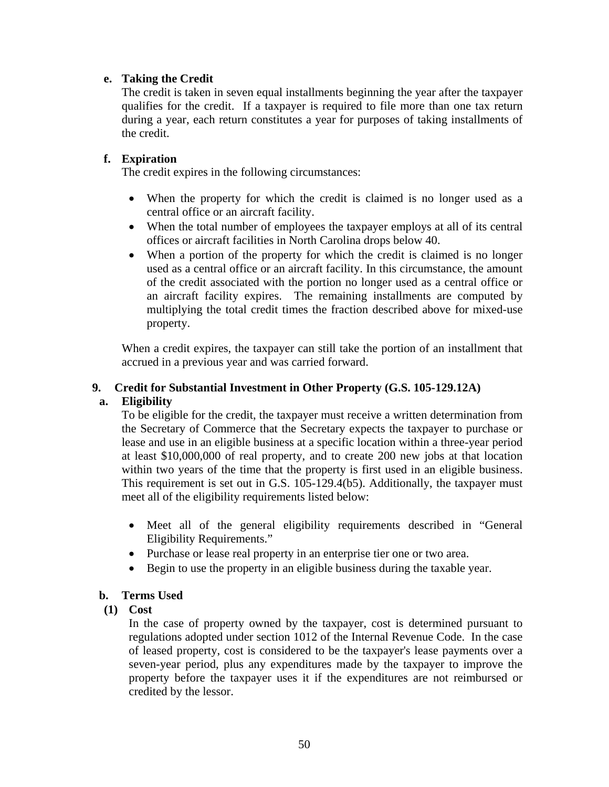### **e. Taking the Credit**

The credit is taken in seven equal installments beginning the year after the taxpayer qualifies for the credit. If a taxpayer is required to file more than one tax return during a year, each return constitutes a year for purposes of taking installments of the credit.

### **f. Expiration**

The credit expires in the following circumstances:

- When the property for which the credit is claimed is no longer used as a central office or an aircraft facility.
- When the total number of employees the taxpayer employs at all of its central offices or aircraft facilities in North Carolina drops below 40.
- When a portion of the property for which the credit is claimed is no longer used as a central office or an aircraft facility. In this circumstance, the amount of the credit associated with the portion no longer used as a central office or an aircraft facility expires. The remaining installments are computed by multiplying the total credit times the fraction described above for mixed-use property.

When a credit expires, the taxpayer can still take the portion of an installment that accrued in a previous year and was carried forward.

### **9. Credit for Substantial Investment in Other Property (G.S. 105-129.12A)**

# **a. Eligibility**

To be eligible for the credit, the taxpayer must receive a written determination from the Secretary of Commerce that the Secretary expects the taxpayer to purchase or lease and use in an eligible business at a specific location within a three-year period at least \$10,000,000 of real property, and to create 200 new jobs at that location within two years of the time that the property is first used in an eligible business. This requirement is set out in G.S. 105-129.4(b5). Additionally, the taxpayer must meet all of the eligibility requirements listed below:

- Meet all of the general eligibility requirements described in "General Eligibility Requirements."
- Purchase or lease real property in an enterprise tier one or two area.
- Begin to use the property in an eligible business during the taxable year.

# **b. Terms Used**

# **(1) Cost**

In the case of property owned by the taxpayer, cost is determined pursuant to regulations adopted under section 1012 of the Internal Revenue Code. In the case of leased property, cost is considered to be the taxpayer's lease payments over a seven-year period, plus any expenditures made by the taxpayer to improve the property before the taxpayer uses it if the expenditures are not reimbursed or credited by the lessor.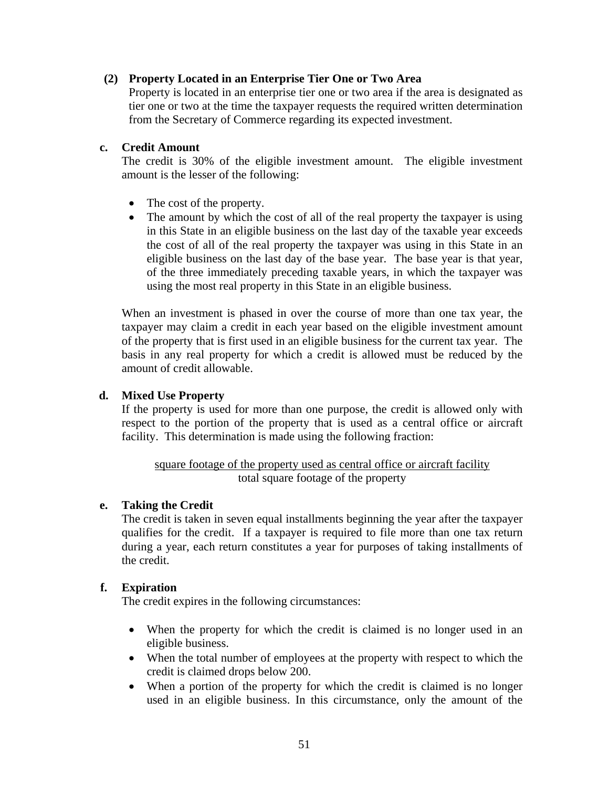### **(2) Property Located in an Enterprise Tier One or Two Area**

Property is located in an enterprise tier one or two area if the area is designated as tier one or two at the time the taxpayer requests the required written determination from the Secretary of Commerce regarding its expected investment.

#### **c. Credit Amount**

The credit is 30% of the eligible investment amount. The eligible investment amount is the lesser of the following:

- The cost of the property.
- The amount by which the cost of all of the real property the taxpayer is using in this State in an eligible business on the last day of the taxable year exceeds the cost of all of the real property the taxpayer was using in this State in an eligible business on the last day of the base year. The base year is that year, of the three immediately preceding taxable years, in which the taxpayer was using the most real property in this State in an eligible business.

When an investment is phased in over the course of more than one tax year, the taxpayer may claim a credit in each year based on the eligible investment amount of the property that is first used in an eligible business for the current tax year. The basis in any real property for which a credit is allowed must be reduced by the amount of credit allowable.

### **d. Mixed Use Property**

If the property is used for more than one purpose, the credit is allowed only with respect to the portion of the property that is used as a central office or aircraft facility. This determination is made using the following fraction:

### square footage of the property used as central office or aircraft facility total square footage of the property

#### **e. Taking the Credit**

The credit is taken in seven equal installments beginning the year after the taxpayer qualifies for the credit. If a taxpayer is required to file more than one tax return during a year, each return constitutes a year for purposes of taking installments of the credit.

# **f. Expiration**

The credit expires in the following circumstances:

- When the property for which the credit is claimed is no longer used in an eligible business.
- When the total number of employees at the property with respect to which the credit is claimed drops below 200.
- When a portion of the property for which the credit is claimed is no longer used in an eligible business. In this circumstance, only the amount of the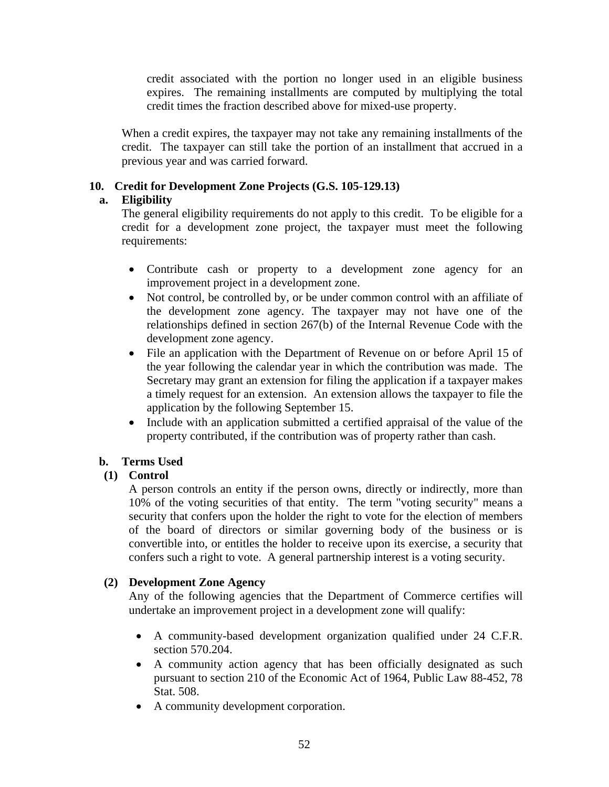credit associated with the portion no longer used in an eligible business expires. The remaining installments are computed by multiplying the total credit times the fraction described above for mixed-use property.

When a credit expires, the taxpayer may not take any remaining installments of the credit. The taxpayer can still take the portion of an installment that accrued in a previous year and was carried forward.

# **10. Credit for Development Zone Projects (G.S. 105-129.13)**

# **a. Eligibility**

The general eligibility requirements do not apply to this credit. To be eligible for a credit for a development zone project, the taxpayer must meet the following requirements:

- Contribute cash or property to a development zone agency for an improvement project in a development zone.
- Not control, be controlled by, or be under common control with an affiliate of the development zone agency. The taxpayer may not have one of the relationships defined in section 267(b) of the Internal Revenue Code with the development zone agency.
- File an application with the Department of Revenue on or before April 15 of the year following the calendar year in which the contribution was made. The Secretary may grant an extension for filing the application if a taxpayer makes a timely request for an extension. An extension allows the taxpayer to file the application by the following September 15.
- Include with an application submitted a certified appraisal of the value of the property contributed, if the contribution was of property rather than cash.

# **b. Terms Used**

# **(1) Control**

A person controls an entity if the person owns, directly or indirectly, more than 10% of the voting securities of that entity. The term "voting security" means a security that confers upon the holder the right to vote for the election of members of the board of directors or similar governing body of the business or is convertible into, or entitles the holder to receive upon its exercise, a security that confers such a right to vote. A general partnership interest is a voting security.

# **(2) Development Zone Agency**

Any of the following agencies that the Department of Commerce certifies will undertake an improvement project in a development zone will qualify:

- A community-based development organization qualified under 24 C.F.R. section 570.204.
- A community action agency that has been officially designated as such pursuant to section 210 of the Economic Act of 1964, Public Law 88-452, 78 Stat. 508.
- A community development corporation.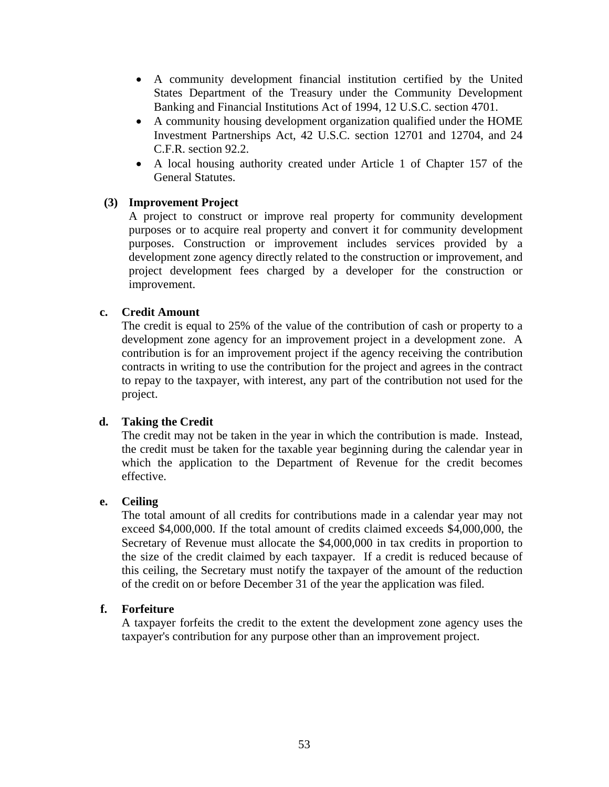- A community development financial institution certified by the United States Department of the Treasury under the Community Development Banking and Financial Institutions Act of 1994, 12 U.S.C. section 4701.
- A community housing development organization qualified under the HOME Investment Partnerships Act, 42 U.S.C. section 12701 and 12704, and 24 C.F.R. section 92.2.
- A local housing authority created under Article 1 of Chapter 157 of the General Statutes.

### **(3) Improvement Project**

A project to construct or improve real property for community development purposes or to acquire real property and convert it for community development purposes. Construction or improvement includes services provided by a development zone agency directly related to the construction or improvement, and project development fees charged by a developer for the construction or improvement.

### **c. Credit Amount**

The credit is equal to 25% of the value of the contribution of cash or property to a development zone agency for an improvement project in a development zone. A contribution is for an improvement project if the agency receiving the contribution contracts in writing to use the contribution for the project and agrees in the contract to repay to the taxpayer, with interest, any part of the contribution not used for the project.

# **d. Taking the Credit**

The credit may not be taken in the year in which the contribution is made. Instead, the credit must be taken for the taxable year beginning during the calendar year in which the application to the Department of Revenue for the credit becomes effective.

#### **e. Ceiling**

The total amount of all credits for contributions made in a calendar year may not exceed \$4,000,000. If the total amount of credits claimed exceeds \$4,000,000, the Secretary of Revenue must allocate the \$4,000,000 in tax credits in proportion to the size of the credit claimed by each taxpayer. If a credit is reduced because of this ceiling, the Secretary must notify the taxpayer of the amount of the reduction of the credit on or before December 31 of the year the application was filed.

#### **f. Forfeiture**

A taxpayer forfeits the credit to the extent the development zone agency uses the taxpayer's contribution for any purpose other than an improvement project.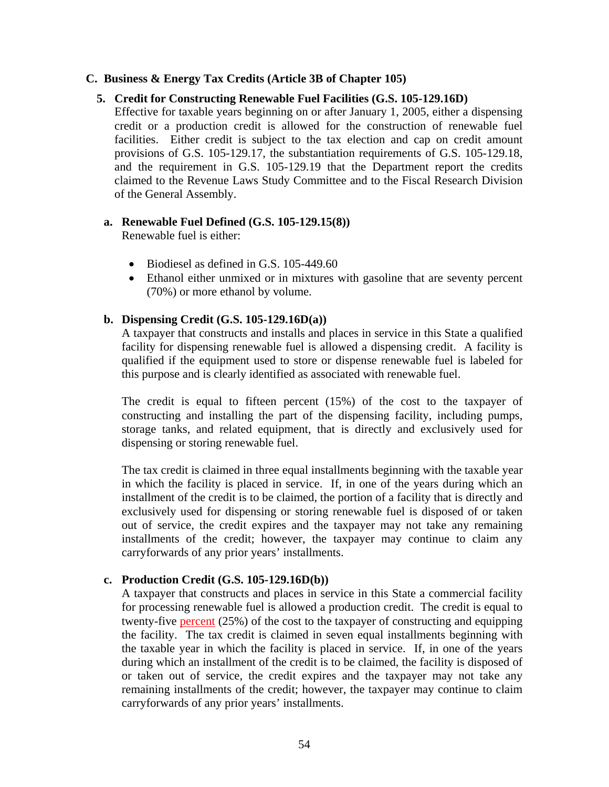#### **C. Business & Energy Tax Credits (Article 3B of Chapter 105)**

#### **5. Credit for Constructing Renewable Fuel Facilities (G.S. 105-129.16D)**

Effective for taxable years beginning on or after January 1, 2005, either a dispensing credit or a production credit is allowed for the construction of renewable fuel facilities. Either credit is subject to the tax election and cap on credit amount provisions of G.S. 105-129.17, the substantiation requirements of G.S. 105-129.18, and the requirement in G.S. 105-129.19 that the Department report the credits claimed to the Revenue Laws Study Committee and to the Fiscal Research Division of the General Assembly.

#### **a. Renewable Fuel Defined (G.S. 105-129.15(8))**

Renewable fuel is either:

- Biodiesel as defined in G.S. 105-449.60
- Ethanol either unmixed or in mixtures with gasoline that are seventy percent (70%) or more ethanol by volume.

#### **b. Dispensing Credit (G.S. 105-129.16D(a))**

A taxpayer that constructs and installs and places in service in this State a qualified facility for dispensing renewable fuel is allowed a dispensing credit. A facility is qualified if the equipment used to store or dispense renewable fuel is labeled for this purpose and is clearly identified as associated with renewable fuel.

The credit is equal to fifteen percent (15%) of the cost to the taxpayer of constructing and installing the part of the dispensing facility, including pumps, storage tanks, and related equipment, that is directly and exclusively used for dispensing or storing renewable fuel.

The tax credit is claimed in three equal installments beginning with the taxable year in which the facility is placed in service. If, in one of the years during which an installment of the credit is to be claimed, the portion of a facility that is directly and exclusively used for dispensing or storing renewable fuel is disposed of or taken out of service, the credit expires and the taxpayer may not take any remaining installments of the credit; however, the taxpayer may continue to claim any carryforwards of any prior years' installments.

#### **c. Production Credit (G.S. 105-129.16D(b))**

A taxpayer that constructs and places in service in this State a commercial facility for processing renewable fuel is allowed a production credit. The credit is equal to twenty-five percent (25%) of the cost to the taxpayer of constructing and equipping the facility. The tax credit is claimed in seven equal installments beginning with the taxable year in which the facility is placed in service. If, in one of the years during which an installment of the credit is to be claimed, the facility is disposed of or taken out of service, the credit expires and the taxpayer may not take any remaining installments of the credit; however, the taxpayer may continue to claim carryforwards of any prior years' installments.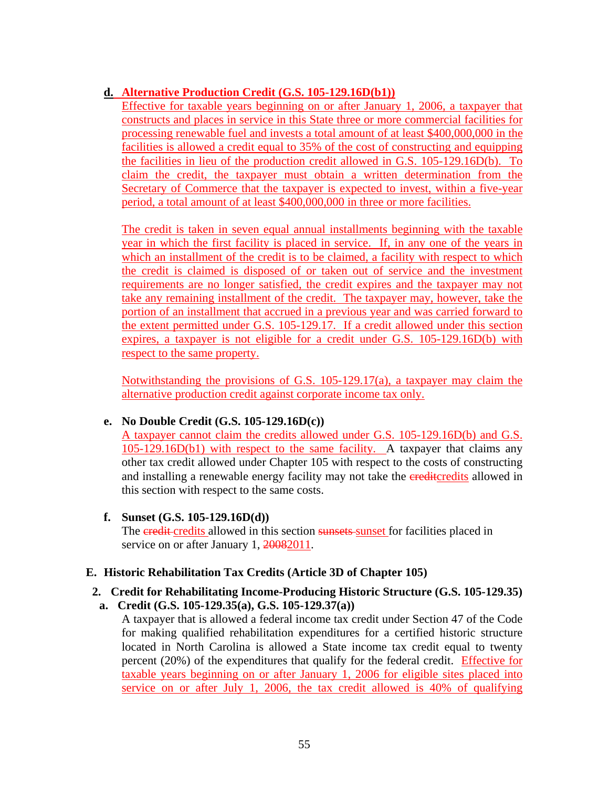# **d. Alternative Production Credit (G.S. 105-129.16D(b1))**

Effective for taxable years beginning on or after January 1, 2006, a taxpayer that constructs and places in service in this State three or more commercial facilities for processing renewable fuel and invests a total amount of at least \$400,000,000 in the facilities is allowed a credit equal to 35% of the cost of constructing and equipping the facilities in lieu of the production credit allowed in G.S. 105-129.16D(b). To claim the credit, the taxpayer must obtain a written determination from the Secretary of Commerce that the taxpayer is expected to invest, within a five-year period, a total amount of at least \$400,000,000 in three or more facilities.

The credit is taken in seven equal annual installments beginning with the taxable year in which the first facility is placed in service. If, in any one of the years in which an installment of the credit is to be claimed, a facility with respect to which the credit is claimed is disposed of or taken out of service and the investment requirements are no longer satisfied, the credit expires and the taxpayer may not take any remaining installment of the credit. The taxpayer may, however, take the portion of an installment that accrued in a previous year and was carried forward to the extent permitted under G.S. 105-129.17. If a credit allowed under this section expires, a taxpayer is not eligible for a credit under G.S. 105-129.16D(b) with respect to the same property.

Notwithstanding the provisions of G.S. 105-129.17(a), a taxpayer may claim the alternative production credit against corporate income tax only.

# **e. No Double Credit (G.S. 105-129.16D(c))**

A taxpayer cannot claim the credits allowed under G.S. 105-129.16D(b) and G.S. 105-129.16D(b1) with respect to the same facility. A taxpayer that claims any other tax credit allowed under Chapter 105 with respect to the costs of constructing and installing a renewable energy facility may not take the creditcredits allowed in this section with respect to the same costs.

# **f. Sunset (G.S. 105-129.16D(d))**

The eredit-credits allowed in this section sunsets-sunset for facilities placed in service on or after January 1, 20082011.

# **E. Historic Rehabilitation Tax Credits (Article 3D of Chapter 105)**

#### **2. Credit for Rehabilitating Income-Producing Historic Structure (G.S. 105-129.35) a. Credit (G.S. 105-129.35(a), G.S. 105-129.37(a))**

A taxpayer that is allowed a federal income tax credit under Section 47 of the Code for making qualified rehabilitation expenditures for a certified historic structure located in North Carolina is allowed a State income tax credit equal to twenty percent (20%) of the expenditures that qualify for the federal credit. Effective for taxable years beginning on or after January 1, 2006 for eligible sites placed into service on or after July 1, 2006, the tax credit allowed is 40% of qualifying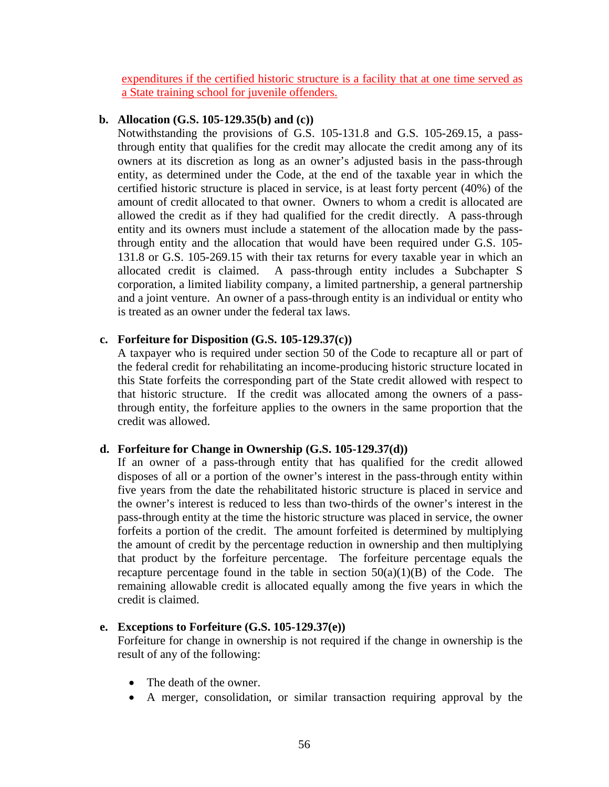expenditures if the certified historic structure is a facility that at one time served as a State training school for juvenile offenders.

### **b. Allocation (G.S. 105-129.35(b) and (c))**

Notwithstanding the provisions of G.S. 105-131.8 and G.S. 105-269.15, a passthrough entity that qualifies for the credit may allocate the credit among any of its owners at its discretion as long as an owner's adjusted basis in the pass-through entity, as determined under the Code, at the end of the taxable year in which the certified historic structure is placed in service, is at least forty percent (40%) of the amount of credit allocated to that owner. Owners to whom a credit is allocated are allowed the credit as if they had qualified for the credit directly. A pass-through entity and its owners must include a statement of the allocation made by the passthrough entity and the allocation that would have been required under G.S. 105- 131.8 or G.S. 105-269.15 with their tax returns for every taxable year in which an allocated credit is claimed. A pass-through entity includes a Subchapter S corporation, a limited liability company, a limited partnership, a general partnership and a joint venture. An owner of a pass-through entity is an individual or entity who is treated as an owner under the federal tax laws.

# **c. Forfeiture for Disposition (G.S. 105-129.37(c))**

A taxpayer who is required under section 50 of the Code to recapture all or part of the federal credit for rehabilitating an income-producing historic structure located in this State forfeits the corresponding part of the State credit allowed with respect to that historic structure. If the credit was allocated among the owners of a passthrough entity, the forfeiture applies to the owners in the same proportion that the credit was allowed.

# **d. Forfeiture for Change in Ownership (G.S. 105-129.37(d))**

If an owner of a pass-through entity that has qualified for the credit allowed disposes of all or a portion of the owner's interest in the pass-through entity within five years from the date the rehabilitated historic structure is placed in service and the owner's interest is reduced to less than two-thirds of the owner's interest in the pass-through entity at the time the historic structure was placed in service, the owner forfeits a portion of the credit. The amount forfeited is determined by multiplying the amount of credit by the percentage reduction in ownership and then multiplying that product by the forfeiture percentage. The forfeiture percentage equals the recapture percentage found in the table in section  $50(a)(1)(B)$  of the Code. The remaining allowable credit is allocated equally among the five years in which the credit is claimed.

#### **e. Exceptions to Forfeiture (G.S. 105-129.37(e))**

Forfeiture for change in ownership is not required if the change in ownership is the result of any of the following:

- The death of the owner.
- A merger, consolidation, or similar transaction requiring approval by the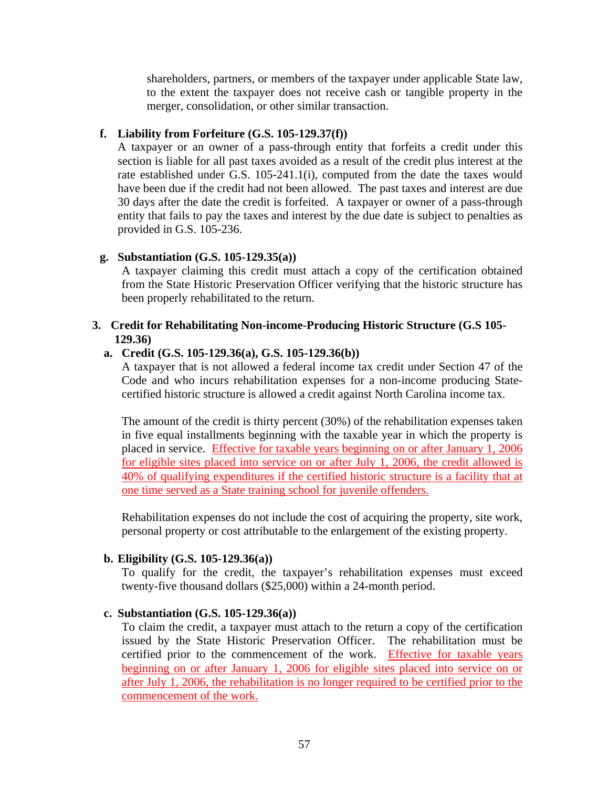shareholders, partners, or members of the taxpayer under applicable State law, to the extent the taxpayer does not receive cash or tangible property in the merger, consolidation, or other similar transaction.

#### **f. Liability from Forfeiture (G.S. 105-129.37(f))**

A taxpayer or an owner of a pass-through entity that forfeits a credit under this section is liable for all past taxes avoided as a result of the credit plus interest at the rate established under G.S. 105-241.1(i), computed from the date the taxes would have been due if the credit had not been allowed. The past taxes and interest are due 30 days after the date the credit is forfeited. A taxpayer or owner of a pass-through entity that fails to pay the taxes and interest by the due date is subject to penalties as provided in G.S. 105-236.

#### **g. Substantiation (G.S. 105-129.35(a))**

A taxpayer claiming this credit must attach a copy of the certification obtained from the State Historic Preservation Officer verifying that the historic structure has been properly rehabilitated to the return.

#### **3. Credit for Rehabilitating Non-income-Producing Historic Structure (G.S 105- 129.36)**

#### **a. Credit (G.S. 105-129.36(a), G.S. 105-129.36(b))**

A taxpayer that is not allowed a federal income tax credit under Section 47 of the Code and who incurs rehabilitation expenses for a non-income producing Statecertified historic structure is allowed a credit against North Carolina income tax.

The amount of the credit is thirty percent (30%) of the rehabilitation expenses taken in five equal installments beginning with the taxable year in which the property is placed in service. Effective for taxable years beginning on or after January 1, 2006 for eligible sites placed into service on or after July 1, 2006, the credit allowed is 40% of qualifying expenditures if the certified historic structure is a facility that at one time served as a State training school for juvenile offenders.

Rehabilitation expenses do not include the cost of acquiring the property, site work, personal property or cost attributable to the enlargement of the existing property.

#### **b. Eligibility (G.S. 105-129.36(a))**

To qualify for the credit, the taxpayer's rehabilitation expenses must exceed twenty-five thousand dollars (\$25,000) within a 24-month period.

#### **c. Substantiation (G.S. 105-129.36(a))**

To claim the credit, a taxpayer must attach to the return a copy of the certification issued by the State Historic Preservation Officer. The rehabilitation must be certified prior to the commencement of the work. Effective for taxable years beginning on or after January 1, 2006 for eligible sites placed into service on or after July 1, 2006, the rehabilitation is no longer required to be certified prior to the commencement of the work.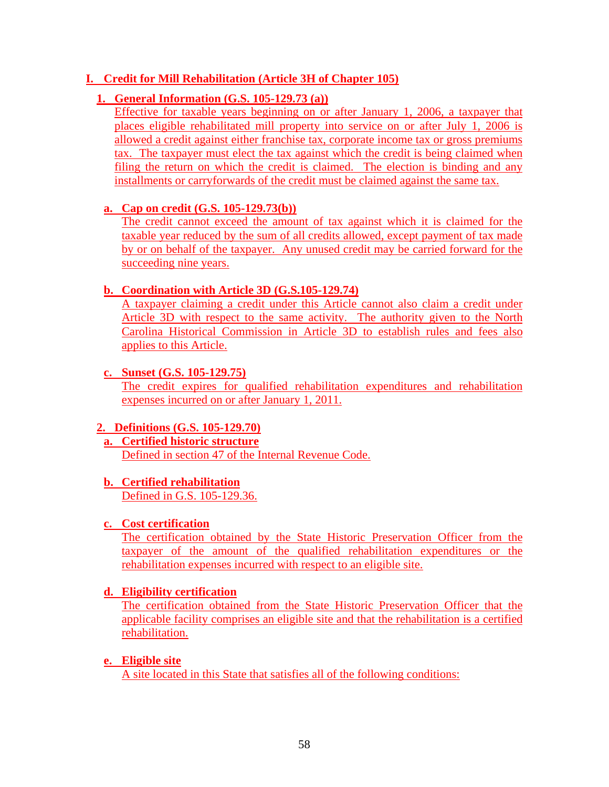# **I. Credit for Mill Rehabilitation (Article 3H of Chapter 105)**

### **1. General Information (G.S. 105-129.73 (a))**

Effective for taxable years beginning on or after January 1, 2006, a taxpayer that places eligible rehabilitated mill property into service on or after July 1, 2006 is allowed a credit against either franchise tax, corporate income tax or gross premiums tax. The taxpayer must elect the tax against which the credit is being claimed when filing the return on which the credit is claimed. The election is binding and any installments or carryforwards of the credit must be claimed against the same tax.

### **a. Cap on credit (G.S. 105-129.73(b))**

The credit cannot exceed the amount of tax against which it is claimed for the taxable year reduced by the sum of all credits allowed, except payment of tax made by or on behalf of the taxpayer. Any unused credit may be carried forward for the succeeding nine years.

#### **b. Coordination with Article 3D (G.S.105-129.74)**

A taxpayer claiming a credit under this Article cannot also claim a credit under Article 3D with respect to the same activity. The authority given to the North Carolina Historical Commission in Article 3D to establish rules and fees also applies to this Article.

### **c. Sunset (G.S. 105-129.75)**

The credit expires for qualified rehabilitation expenditures and rehabilitation expenses incurred on or after January 1, 2011.

# **2. Definitions (G.S. 105-129.70)**

**a. Certified historic structure** Defined in section 47 of the Internal Revenue Code.

#### **b. Certified rehabilitation**

Defined in G.S. 105-129.36.

#### **c. Cost certification**

The certification obtained by the State Historic Preservation Officer from the taxpayer of the amount of the qualified rehabilitation expenditures or the rehabilitation expenses incurred with respect to an eligible site.

#### **d. Eligibility certification**

The certification obtained from the State Historic Preservation Officer that the applicable facility comprises an eligible site and that the rehabilitation is a certified rehabilitation.

#### **e. Eligible site**

A site located in this State that satisfies all of the following conditions: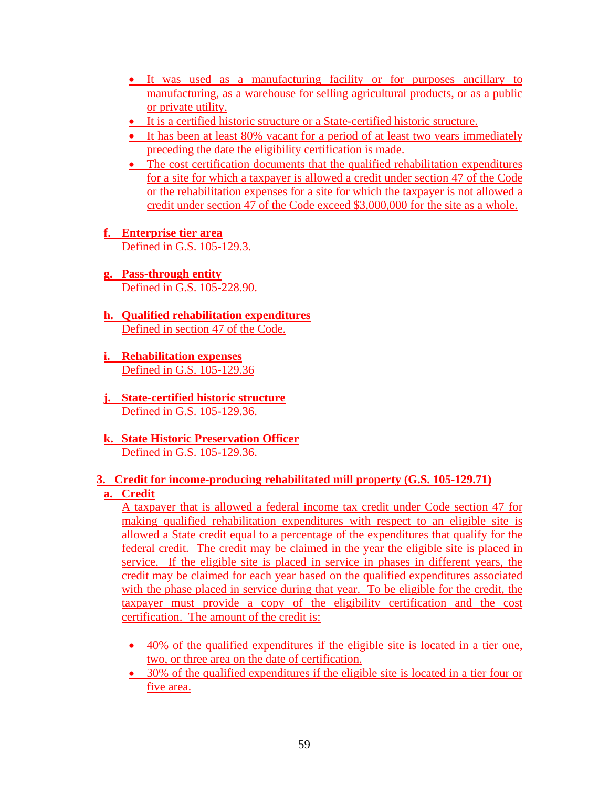- It was used as a manufacturing facility or for purposes ancillary to manufacturing, as a warehouse for selling agricultural products, or as a public or private utility.
- It is a certified historic structure or a State-certified historic structure.
- It has been at least 80% vacant for a period of at least two years immediately preceding the date the eligibility certification is made.
- The cost certification documents that the qualified rehabilitation expenditures for a site for which a taxpayer is allowed a credit under section 47 of the Code or the rehabilitation expenses for a site for which the taxpayer is not allowed a credit under section 47 of the Code exceed \$3,000,000 for the site as a whole.
- **f. Enterprise tier area** Defined in G.S. 105-129.3.
- **g. Pass-through entity** Defined in G.S. 105-228.90.
- **h. Qualified rehabilitation expenditures** Defined in section 47 of the Code.
- **i. Rehabilitation expenses** Defined in G.S. 105-129.36
- **j. State-certified historic structure** Defined in G.S. 105-129.36.
- **k. State Historic Preservation Officer** Defined in G.S. 105-129.36.

### **3. Credit for income-producing rehabilitated mill property (G.S. 105-129.71) a. Credit**

A taxpayer that is allowed a federal income tax credit under Code section 47 for making qualified rehabilitation expenditures with respect to an eligible site is allowed a State credit equal to a percentage of the expenditures that qualify for the federal credit. The credit may be claimed in the year the eligible site is placed in service. If the eligible site is placed in service in phases in different years, the credit may be claimed for each year based on the qualified expenditures associated with the phase placed in service during that year. To be eligible for the credit, the taxpayer must provide a copy of the eligibility certification and the cost certification. The amount of the credit is:

- 40% of the qualified expenditures if the eligible site is located in a tier one, two, or three area on the date of certification.
- 30% of the qualified expenditures if the eligible site is located in a tier four or five area.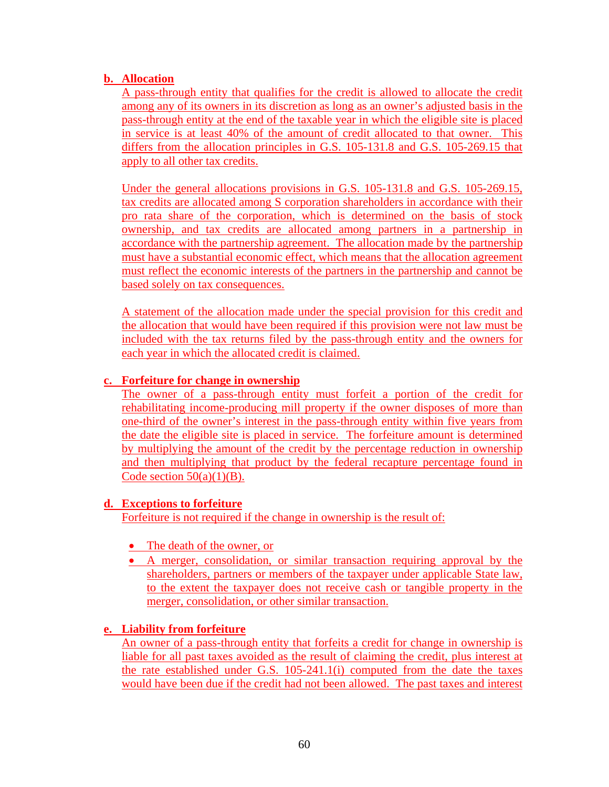# **b. Allocation**

A pass-through entity that qualifies for the credit is allowed to allocate the credit among any of its owners in its discretion as long as an owner's adjusted basis in the pass-through entity at the end of the taxable year in which the eligible site is placed in service is at least 40% of the amount of credit allocated to that owner. This differs from the allocation principles in G.S. 105-131.8 and G.S. 105-269.15 that apply to all other tax credits.

Under the general allocations provisions in G.S. 105-131.8 and G.S. 105-269.15, tax credits are allocated among S corporation shareholders in accordance with their pro rata share of the corporation, which is determined on the basis of stock ownership, and tax credits are allocated among partners in a partnership in accordance with the partnership agreement. The allocation made by the partnership must have a substantial economic effect, which means that the allocation agreement must reflect the economic interests of the partners in the partnership and cannot be based solely on tax consequences.

A statement of the allocation made under the special provision for this credit and the allocation that would have been required if this provision were not law must be included with the tax returns filed by the pass-through entity and the owners for each year in which the allocated credit is claimed.

# **c. Forfeiture for change in ownership**

The owner of a pass-through entity must forfeit a portion of the credit for rehabilitating income-producing mill property if the owner disposes of more than one-third of the owner's interest in the pass-through entity within five years from the date the eligible site is placed in service. The forfeiture amount is determined by multiplying the amount of the credit by the percentage reduction in ownership and then multiplying that product by the federal recapture percentage found in Code section  $50(a)(1)(B)$ .

# **d. Exceptions to forfeiture**

Forfeiture is not required if the change in ownership is the result of:

- The death of the owner, or
- A merger, consolidation, or similar transaction requiring approval by the shareholders, partners or members of the taxpayer under applicable State law, to the extent the taxpayer does not receive cash or tangible property in the merger, consolidation, or other similar transaction.

# **e. Liability from forfeiture**

An owner of a pass-through entity that forfeits a credit for change in ownership is liable for all past taxes avoided as the result of claiming the credit, plus interest at the rate established under G.S. 105-241.1(i) computed from the date the taxes would have been due if the credit had not been allowed. The past taxes and interest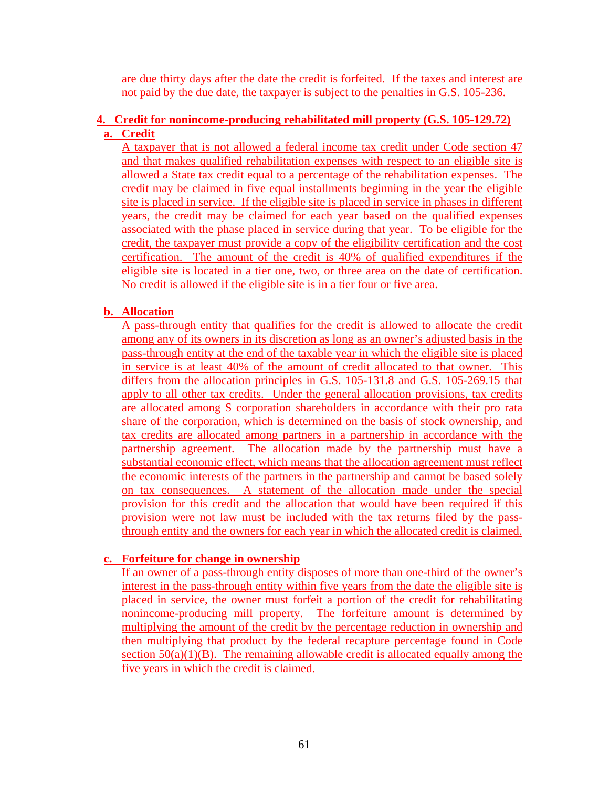are due thirty days after the date the credit is forfeited. If the taxes and interest are not paid by the due date, the taxpayer is subject to the penalties in G.S. 105-236.

# **4. Credit for nonincome-producing rehabilitated mill property (G.S. 105-129.72) a. Credit**

A taxpayer that is not allowed a federal income tax credit under Code section 47 and that makes qualified rehabilitation expenses with respect to an eligible site is allowed a State tax credit equal to a percentage of the rehabilitation expenses. The credit may be claimed in five equal installments beginning in the year the eligible site is placed in service. If the eligible site is placed in service in phases in different years, the credit may be claimed for each year based on the qualified expenses associated with the phase placed in service during that year. To be eligible for the credit, the taxpayer must provide a copy of the eligibility certification and the cost certification. The amount of the credit is 40% of qualified expenditures if the eligible site is located in a tier one, two, or three area on the date of certification. No credit is allowed if the eligible site is in a tier four or five area.

# **b. Allocation**

A pass-through entity that qualifies for the credit is allowed to allocate the credit among any of its owners in its discretion as long as an owner's adjusted basis in the pass-through entity at the end of the taxable year in which the eligible site is placed in service is at least 40% of the amount of credit allocated to that owner. This differs from the allocation principles in G.S. 105-131.8 and G.S. 105-269.15 that apply to all other tax credits. Under the general allocation provisions, tax credits are allocated among S corporation shareholders in accordance with their pro rata share of the corporation, which is determined on the basis of stock ownership, and tax credits are allocated among partners in a partnership in accordance with the partnership agreement. The allocation made by the partnership must have a substantial economic effect, which means that the allocation agreement must reflect the economic interests of the partners in the partnership and cannot be based solely on tax consequences. A statement of the allocation made under the special provision for this credit and the allocation that would have been required if this provision were not law must be included with the tax returns filed by the passthrough entity and the owners for each year in which the allocated credit is claimed.

# **c. Forfeiture for change in ownership**

If an owner of a pass-through entity disposes of more than one-third of the owner's interest in the pass-through entity within five years from the date the eligible site is placed in service, the owner must forfeit a portion of the credit for rehabilitating nonincome-producing mill property. The forfeiture amount is determined by multiplying the amount of the credit by the percentage reduction in ownership and then multiplying that product by the federal recapture percentage found in Code section  $50(a)(1)(B)$ . The remaining allowable credit is allocated equally among the five years in which the credit is claimed.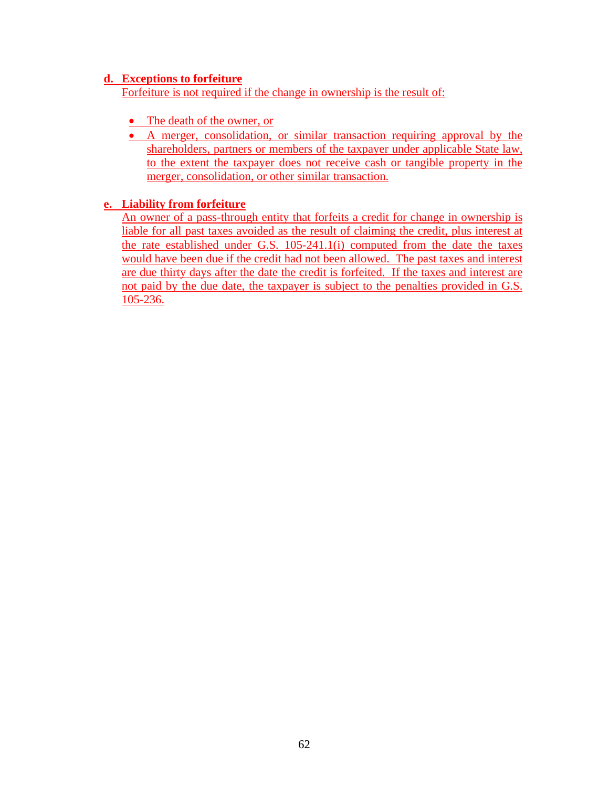### **d. Exceptions to forfeiture**

Forfeiture is not required if the change in ownership is the result of:

- The death of the owner, or
- A merger, consolidation, or similar transaction requiring approval by the shareholders, partners or members of the taxpayer under applicable State law, to the extent the taxpayer does not receive cash or tangible property in the merger, consolidation, or other similar transaction.

# **e. Liability from forfeiture**

An owner of a pass-through entity that forfeits a credit for change in ownership is liable for all past taxes avoided as the result of claiming the credit, plus interest at the rate established under G.S. 105-241.1(i) computed from the date the taxes would have been due if the credit had not been allowed. The past taxes and interest are due thirty days after the date the credit is forfeited. If the taxes and interest are not paid by the due date, the taxpayer is subject to the penalties provided in G.S. 105-236.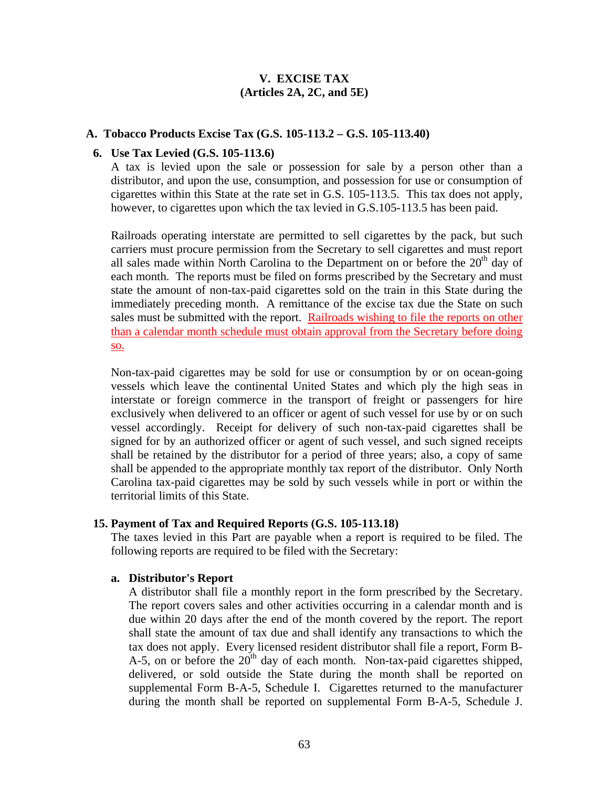# **V. EXCISE TAX (Articles 2A, 2C, and 5E)**

#### **A. Tobacco Products Excise Tax (G.S. 105-113.2 – G.S. 105-113.40)**

#### **6. Use Tax Levied (G.S. 105-113.6)**

A tax is levied upon the sale or possession for sale by a person other than a distributor, and upon the use, consumption, and possession for use or consumption of cigarettes within this State at the rate set in G.S. 105-113.5. This tax does not apply, however, to cigarettes upon which the tax levied in G.S.105-113.5 has been paid.

Railroads operating interstate are permitted to sell cigarettes by the pack, but such carriers must procure permission from the Secretary to sell cigarettes and must report all sales made within North Carolina to the Department on or before the  $20<sup>th</sup>$  day of each month. The reports must be filed on forms prescribed by the Secretary and must state the amount of non-tax-paid cigarettes sold on the train in this State during the immediately preceding month. A remittance of the excise tax due the State on such sales must be submitted with the report. Railroads wishing to file the reports on other than a calendar month schedule must obtain approval from the Secretary before doing so.

Non-tax-paid cigarettes may be sold for use or consumption by or on ocean-going vessels which leave the continental United States and which ply the high seas in interstate or foreign commerce in the transport of freight or passengers for hire exclusively when delivered to an officer or agent of such vessel for use by or on such vessel accordingly. Receipt for delivery of such non-tax-paid cigarettes shall be signed for by an authorized officer or agent of such vessel, and such signed receipts shall be retained by the distributor for a period of three years; also, a copy of same shall be appended to the appropriate monthly tax report of the distributor. Only North Carolina tax-paid cigarettes may be sold by such vessels while in port or within the territorial limits of this State.

#### **15. Payment of Tax and Required Reports (G.S. 105-113.18)**

The taxes levied in this Part are payable when a report is required to be filed. The following reports are required to be filed with the Secretary:

#### **a. Distributor's Report**

A distributor shall file a monthly report in the form prescribed by the Secretary. The report covers sales and other activities occurring in a calendar month and is due within 20 days after the end of the month covered by the report. The report shall state the amount of tax due and shall identify any transactions to which the tax does not apply. Every licensed resident distributor shall file a report, Form B-A-5, on or before the  $20<sup>th</sup>$  day of each month. Non-tax-paid cigarettes shipped, delivered, or sold outside the State during the month shall be reported on supplemental Form B-A-5, Schedule I. Cigarettes returned to the manufacturer during the month shall be reported on supplemental Form B-A-5, Schedule J.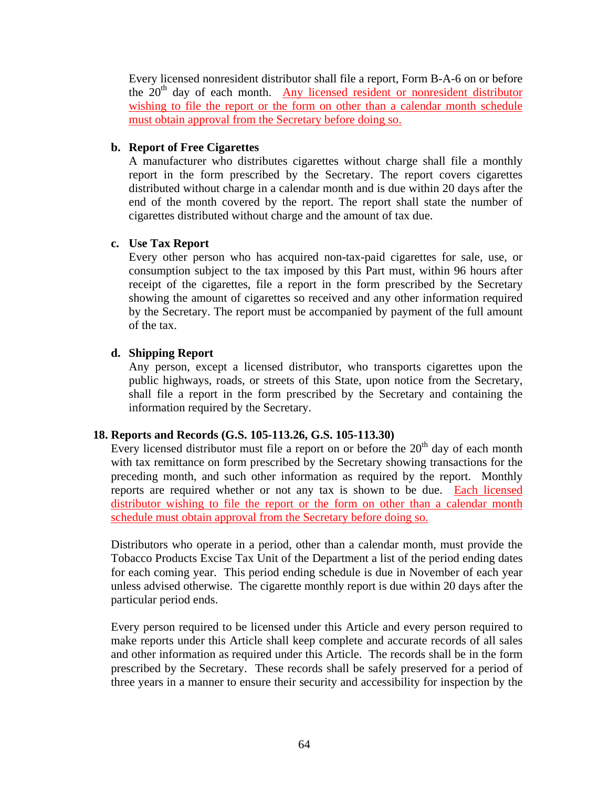Every licensed nonresident distributor shall file a report, Form B-A-6 on or before the  $20<sup>th</sup>$  day of each month. Any licensed resident or nonresident distributor wishing to file the report or the form on other than a calendar month schedule must obtain approval from the Secretary before doing so.

### **b. Report of Free Cigarettes**

A manufacturer who distributes cigarettes without charge shall file a monthly report in the form prescribed by the Secretary. The report covers cigarettes distributed without charge in a calendar month and is due within 20 days after the end of the month covered by the report. The report shall state the number of cigarettes distributed without charge and the amount of tax due.

# **c. Use Tax Report**

Every other person who has acquired non-tax-paid cigarettes for sale, use, or consumption subject to the tax imposed by this Part must, within 96 hours after receipt of the cigarettes, file a report in the form prescribed by the Secretary showing the amount of cigarettes so received and any other information required by the Secretary. The report must be accompanied by payment of the full amount of the tax.

# **d. Shipping Report**

Any person, except a licensed distributor, who transports cigarettes upon the public highways, roads, or streets of this State, upon notice from the Secretary, shall file a report in the form prescribed by the Secretary and containing the information required by the Secretary.

# **18. Reports and Records (G.S. 105-113.26, G.S. 105-113.30)**

Every licensed distributor must file a report on or before the  $20<sup>th</sup>$  day of each month with tax remittance on form prescribed by the Secretary showing transactions for the preceding month, and such other information as required by the report. Monthly reports are required whether or not any tax is shown to be due. Each licensed distributor wishing to file the report or the form on other than a calendar month schedule must obtain approval from the Secretary before doing so.

Distributors who operate in a period, other than a calendar month, must provide the Tobacco Products Excise Tax Unit of the Department a list of the period ending dates for each coming year. This period ending schedule is due in November of each year unless advised otherwise. The cigarette monthly report is due within 20 days after the particular period ends.

Every person required to be licensed under this Article and every person required to make reports under this Article shall keep complete and accurate records of all sales and other information as required under this Article. The records shall be in the form prescribed by the Secretary. These records shall be safely preserved for a period of three years in a manner to ensure their security and accessibility for inspection by the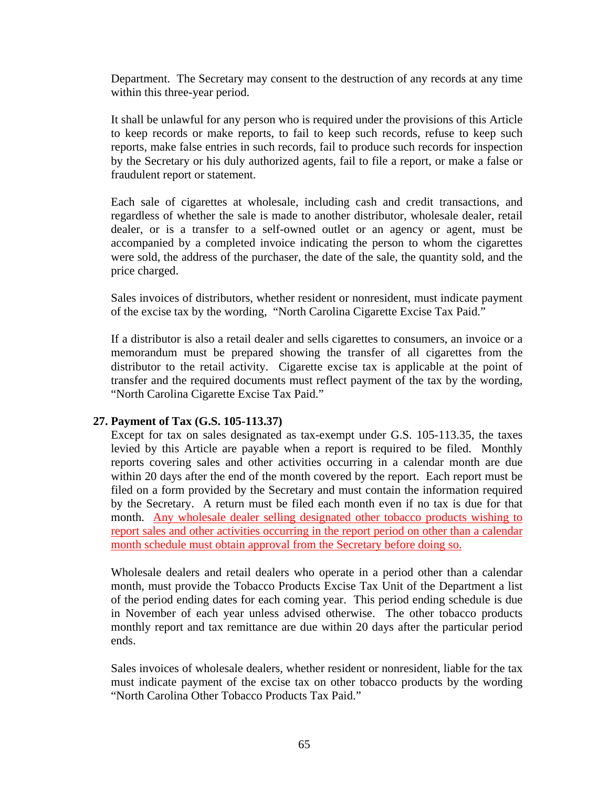Department. The Secretary may consent to the destruction of any records at any time within this three-year period.

It shall be unlawful for any person who is required under the provisions of this Article to keep records or make reports, to fail to keep such records, refuse to keep such reports, make false entries in such records, fail to produce such records for inspection by the Secretary or his duly authorized agents, fail to file a report, or make a false or fraudulent report or statement.

Each sale of cigarettes at wholesale, including cash and credit transactions, and regardless of whether the sale is made to another distributor, wholesale dealer, retail dealer, or is a transfer to a self-owned outlet or an agency or agent, must be accompanied by a completed invoice indicating the person to whom the cigarettes were sold, the address of the purchaser, the date of the sale, the quantity sold, and the price charged.

Sales invoices of distributors, whether resident or nonresident, must indicate payment of the excise tax by the wording, "North Carolina Cigarette Excise Tax Paid."

If a distributor is also a retail dealer and sells cigarettes to consumers, an invoice or a memorandum must be prepared showing the transfer of all cigarettes from the distributor to the retail activity. Cigarette excise tax is applicable at the point of transfer and the required documents must reflect payment of the tax by the wording, "North Carolina Cigarette Excise Tax Paid."

### **27. Payment of Tax (G.S. 105-113.37)**

Except for tax on sales designated as tax-exempt under G.S. 105-113.35, the taxes levied by this Article are payable when a report is required to be filed. Monthly reports covering sales and other activities occurring in a calendar month are due within 20 days after the end of the month covered by the report. Each report must be filed on a form provided by the Secretary and must contain the information required by the Secretary. A return must be filed each month even if no tax is due for that month. Any wholesale dealer selling designated other tobacco products wishing to report sales and other activities occurring in the report period on other than a calendar month schedule must obtain approval from the Secretary before doing so.

Wholesale dealers and retail dealers who operate in a period other than a calendar month, must provide the Tobacco Products Excise Tax Unit of the Department a list of the period ending dates for each coming year. This period ending schedule is due in November of each year unless advised otherwise. The other tobacco products monthly report and tax remittance are due within 20 days after the particular period ends.

Sales invoices of wholesale dealers, whether resident or nonresident, liable for the tax must indicate payment of the excise tax on other tobacco products by the wording "North Carolina Other Tobacco Products Tax Paid."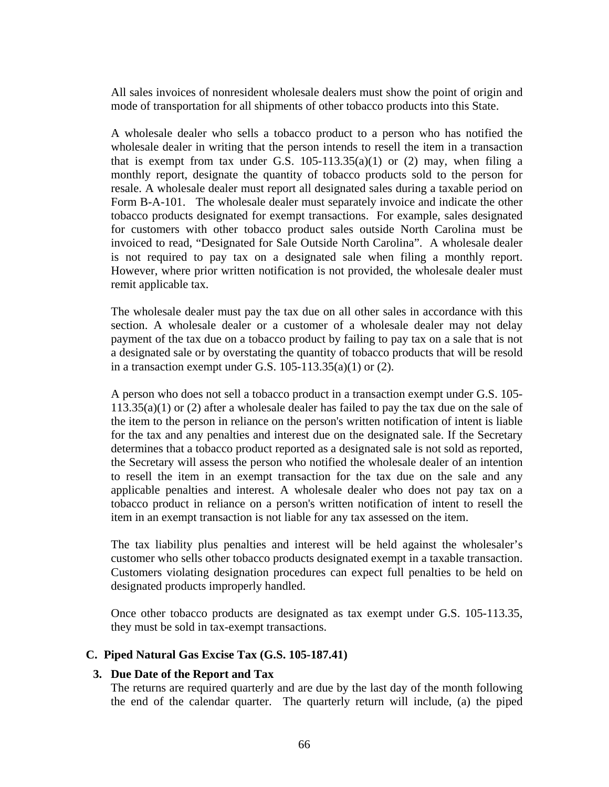All sales invoices of nonresident wholesale dealers must show the point of origin and mode of transportation for all shipments of other tobacco products into this State.

A wholesale dealer who sells a tobacco product to a person who has notified the wholesale dealer in writing that the person intends to resell the item in a transaction that is exempt from tax under G.S.  $105-113.35(a)(1)$  or (2) may, when filing a monthly report, designate the quantity of tobacco products sold to the person for resale. A wholesale dealer must report all designated sales during a taxable period on Form B-A-101. The wholesale dealer must separately invoice and indicate the other tobacco products designated for exempt transactions. For example, sales designated for customers with other tobacco product sales outside North Carolina must be invoiced to read, "Designated for Sale Outside North Carolina". A wholesale dealer is not required to pay tax on a designated sale when filing a monthly report. However, where prior written notification is not provided, the wholesale dealer must remit applicable tax.

The wholesale dealer must pay the tax due on all other sales in accordance with this section. A wholesale dealer or a customer of a wholesale dealer may not delay payment of the tax due on a tobacco product by failing to pay tax on a sale that is not a designated sale or by overstating the quantity of tobacco products that will be resold in a transaction exempt under G.S.  $105-113.35(a)(1)$  or  $(2)$ .

A person who does not sell a tobacco product in a transaction exempt under G.S. 105- 113.35(a)(1) or (2) after a wholesale dealer has failed to pay the tax due on the sale of the item to the person in reliance on the person's written notification of intent is liable for the tax and any penalties and interest due on the designated sale. If the Secretary determines that a tobacco product reported as a designated sale is not sold as reported, the Secretary will assess the person who notified the wholesale dealer of an intention to resell the item in an exempt transaction for the tax due on the sale and any applicable penalties and interest. A wholesale dealer who does not pay tax on a tobacco product in reliance on a person's written notification of intent to resell the item in an exempt transaction is not liable for any tax assessed on the item.

The tax liability plus penalties and interest will be held against the wholesaler's customer who sells other tobacco products designated exempt in a taxable transaction. Customers violating designation procedures can expect full penalties to be held on designated products improperly handled.

Once other tobacco products are designated as tax exempt under G.S. 105-113.35, they must be sold in tax-exempt transactions.

#### **C. Piped Natural Gas Excise Tax (G.S. 105-187.41)**

#### **3. Due Date of the Report and Tax**

The returns are required quarterly and are due by the last day of the month following the end of the calendar quarter. The quarterly return will include, (a) the piped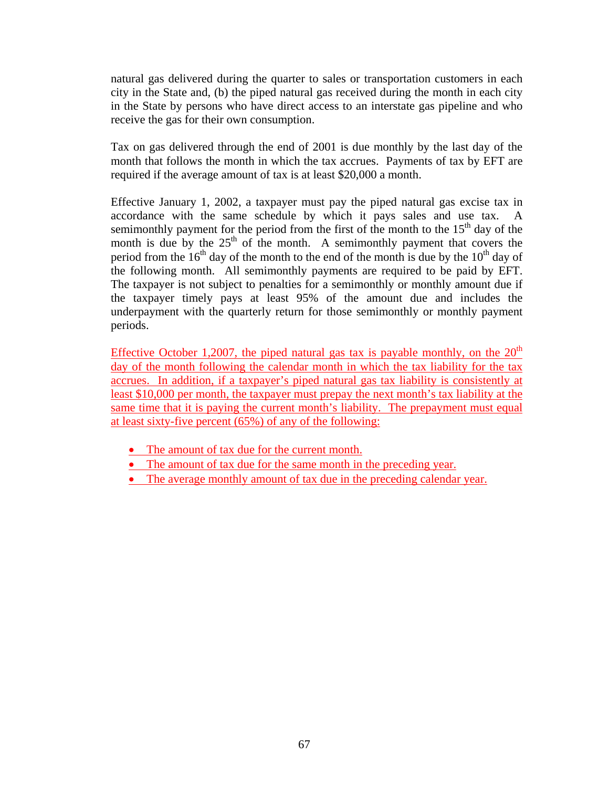natural gas delivered during the quarter to sales or transportation customers in each city in the State and, (b) the piped natural gas received during the month in each city in the State by persons who have direct access to an interstate gas pipeline and who receive the gas for their own consumption.

Tax on gas delivered through the end of 2001 is due monthly by the last day of the month that follows the month in which the tax accrues. Payments of tax by EFT are required if the average amount of tax is at least \$20,000 a month.

Effective January 1, 2002, a taxpayer must pay the piped natural gas excise tax in accordance with the same schedule by which it pays sales and use tax. A semimonthly payment for the period from the first of the month to the  $15<sup>th</sup>$  day of the month is due by the  $25<sup>th</sup>$  of the month. A semimonthly payment that covers the period from the  $16<sup>th</sup>$  day of the month to the end of the month is due by the  $10<sup>th</sup>$  day of the following month. All semimonthly payments are required to be paid by EFT. The taxpayer is not subject to penalties for a semimonthly or monthly amount due if the taxpayer timely pays at least 95% of the amount due and includes the underpayment with the quarterly return for those semimonthly or monthly payment periods.

Effective October 1,2007, the piped natural gas tax is payable monthly, on the  $20<sup>th</sup>$ day of the month following the calendar month in which the tax liability for the tax accrues. In addition, if a taxpayer's piped natural gas tax liability is consistently at least \$10,000 per month, the taxpayer must prepay the next month's tax liability at the same time that it is paying the current month's liability. The prepayment must equal at least sixty-five percent (65%) of any of the following:

- The amount of tax due for the current month.
- The amount of tax due for the same month in the preceding year.
- The average monthly amount of tax due in the preceding calendar year.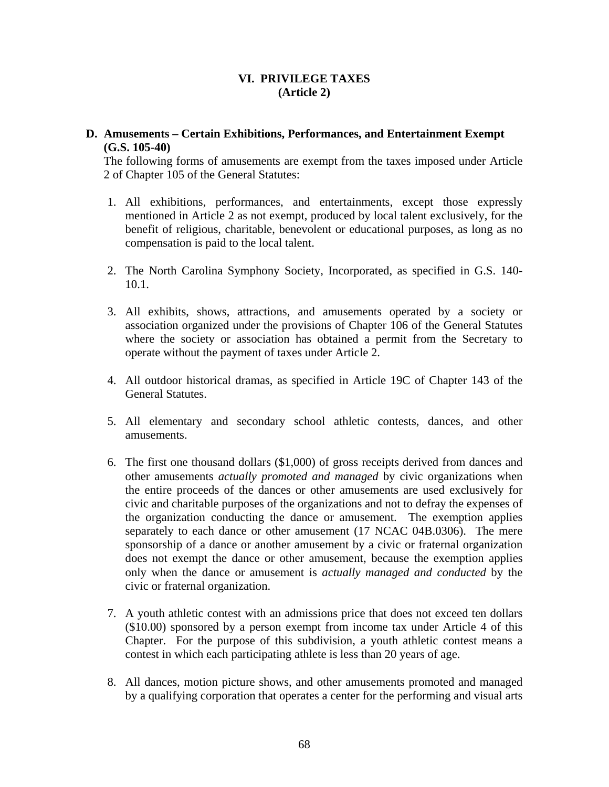# **VI. PRIVILEGE TAXES (Article 2)**

### **D. Amusements – Certain Exhibitions, Performances, and Entertainment Exempt (G.S. 105-40)**

The following forms of amusements are exempt from the taxes imposed under Article 2 of Chapter 105 of the General Statutes:

- 1. All exhibitions, performances, and entertainments, except those expressly mentioned in Article 2 as not exempt, produced by local talent exclusively, for the benefit of religious, charitable, benevolent or educational purposes, as long as no compensation is paid to the local talent.
- 2. The North Carolina Symphony Society, Incorporated, as specified in G.S. 140- 10.1.
- 3. All exhibits, shows, attractions, and amusements operated by a society or association organized under the provisions of Chapter 106 of the General Statutes where the society or association has obtained a permit from the Secretary to operate without the payment of taxes under Article 2.
- 4. All outdoor historical dramas, as specified in Article 19C of Chapter 143 of the General Statutes.
- 5. All elementary and secondary school athletic contests, dances, and other amusements.
- 6. The first one thousand dollars (\$1,000) of gross receipts derived from dances and other amusements *actually promoted and managed* by civic organizations when the entire proceeds of the dances or other amusements are used exclusively for civic and charitable purposes of the organizations and not to defray the expenses of the organization conducting the dance or amusement. The exemption applies separately to each dance or other amusement (17 NCAC 04B.0306). The mere sponsorship of a dance or another amusement by a civic or fraternal organization does not exempt the dance or other amusement, because the exemption applies only when the dance or amusement is *actually managed and conducted* by the civic or fraternal organization.
- 7. A youth athletic contest with an admissions price that does not exceed ten dollars (\$10.00) sponsored by a person exempt from income tax under Article 4 of this Chapter. For the purpose of this subdivision, a youth athletic contest means a contest in which each participating athlete is less than 20 years of age.
- 8. All dances, motion picture shows, and other amusements promoted and managed by a qualifying corporation that operates a center for the performing and visual arts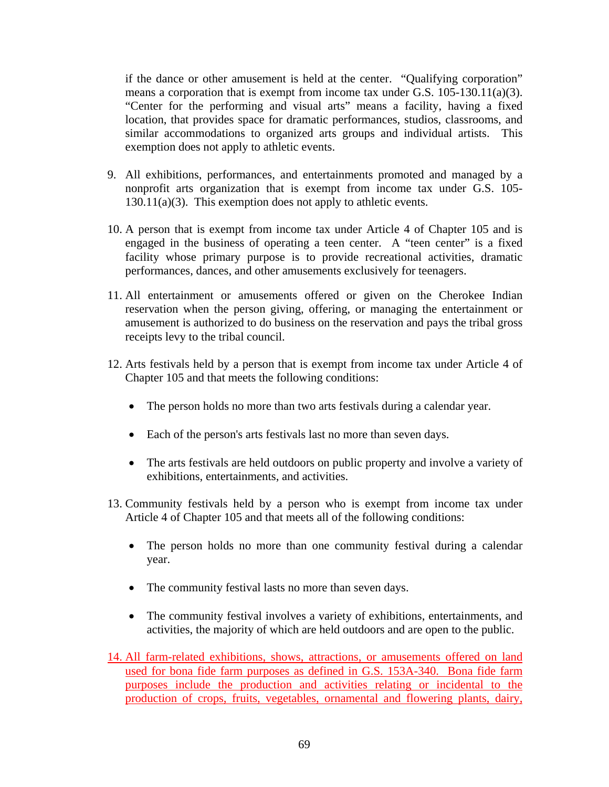if the dance or other amusement is held at the center. "Qualifying corporation" means a corporation that is exempt from income tax under G.S. 105-130.11(a)(3). "Center for the performing and visual arts" means a facility, having a fixed location, that provides space for dramatic performances, studios, classrooms, and similar accommodations to organized arts groups and individual artists. This exemption does not apply to athletic events.

- 9. All exhibitions, performances, and entertainments promoted and managed by a nonprofit arts organization that is exempt from income tax under G.S. 105- 130.11(a)(3). This exemption does not apply to athletic events.
- 10. A person that is exempt from income tax under Article 4 of Chapter 105 and is engaged in the business of operating a teen center. A "teen center" is a fixed facility whose primary purpose is to provide recreational activities, dramatic performances, dances, and other amusements exclusively for teenagers.
- 11. All entertainment or amusements offered or given on the Cherokee Indian reservation when the person giving, offering, or managing the entertainment or amusement is authorized to do business on the reservation and pays the tribal gross receipts levy to the tribal council.
- 12. Arts festivals held by a person that is exempt from income tax under Article 4 of Chapter 105 and that meets the following conditions:
	- The person holds no more than two arts festivals during a calendar year.
	- Each of the person's arts festivals last no more than seven days.
	- The arts festivals are held outdoors on public property and involve a variety of exhibitions, entertainments, and activities.
- 13. Community festivals held by a person who is exempt from income tax under Article 4 of Chapter 105 and that meets all of the following conditions:
	- The person holds no more than one community festival during a calendar year.
	- The community festival lasts no more than seven days.
	- The community festival involves a variety of exhibitions, entertainments, and activities, the majority of which are held outdoors and are open to the public.
- 14. All farm-related exhibitions, shows, attractions, or amusements offered on land used for bona fide farm purposes as defined in G.S. 153A-340. Bona fide farm purposes include the production and activities relating or incidental to the production of crops, fruits, vegetables, ornamental and flowering plants, dairy,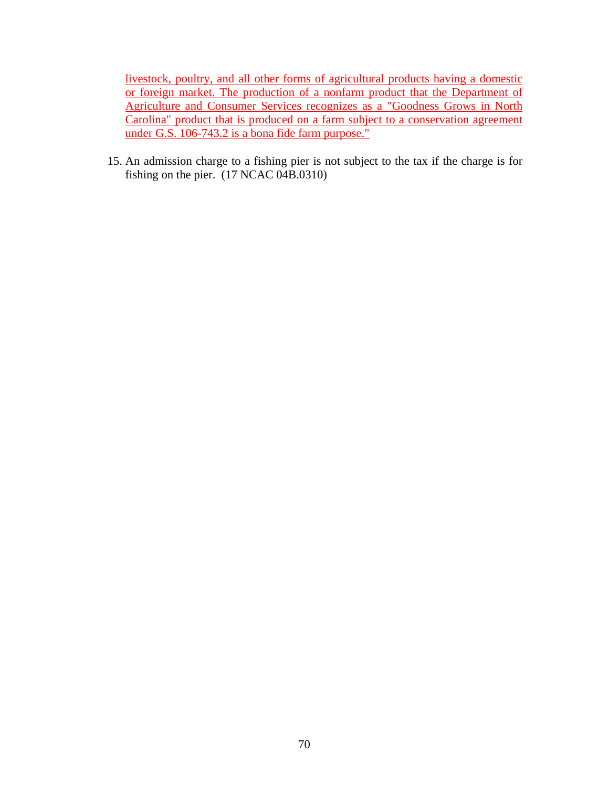livestock, poultry, and all other forms of agricultural products having a domestic or foreign market. The production of a nonfarm product that the Department of Agriculture and Consumer Services recognizes as a "Goodness Grows in North Carolina" product that is produced on a farm subject to a conservation agreement under G.S. 106-743.2 is a bona fide farm purpose."

15. An admission charge to a fishing pier is not subject to the tax if the charge is for fishing on the pier. (17 NCAC 04B.0310)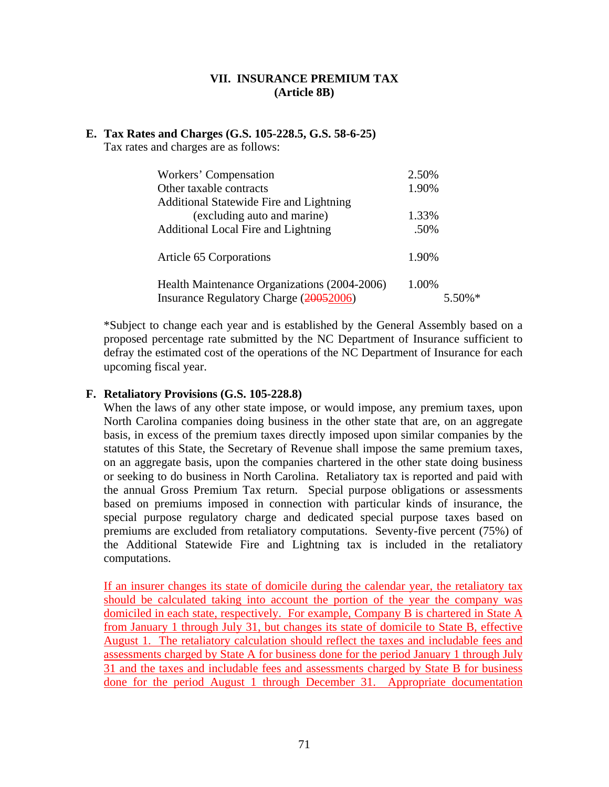# **VII. INSURANCE PREMIUM TAX (Article 8B)**

#### **E. Tax Rates and Charges (G.S. 105-228.5, G.S. 58-6-25)**

Tax rates and charges are as follows:

| Workers' Compensation                        | 2.50%     |
|----------------------------------------------|-----------|
| Other taxable contracts                      | 1.90%     |
| Additional Statewide Fire and Lightning      |           |
| (excluding auto and marine)                  | 1.33%     |
| Additional Local Fire and Lightning          | .50%      |
|                                              |           |
| Article 65 Corporations                      | 1.90%     |
|                                              |           |
| Health Maintenance Organizations (2004-2006) | 1.00%     |
| Insurance Regulatory Charge (20052006)       | $5.50\%*$ |

\*Subject to change each year and is established by the General Assembly based on a proposed percentage rate submitted by the NC Department of Insurance sufficient to defray the estimated cost of the operations of the NC Department of Insurance for each upcoming fiscal year.

#### **F. Retaliatory Provisions (G.S. 105-228.8)**

When the laws of any other state impose, or would impose, any premium taxes, upon North Carolina companies doing business in the other state that are, on an aggregate basis, in excess of the premium taxes directly imposed upon similar companies by the statutes of this State, the Secretary of Revenue shall impose the same premium taxes, on an aggregate basis, upon the companies chartered in the other state doing business or seeking to do business in North Carolina. Retaliatory tax is reported and paid with the annual Gross Premium Tax return. Special purpose obligations or assessments based on premiums imposed in connection with particular kinds of insurance, the special purpose regulatory charge and dedicated special purpose taxes based on premiums are excluded from retaliatory computations. Seventy-five percent (75%) of the Additional Statewide Fire and Lightning tax is included in the retaliatory computations.

If an insurer changes its state of domicile during the calendar year, the retaliatory tax should be calculated taking into account the portion of the year the company was domiciled in each state, respectively. For example, Company B is chartered in State A from January 1 through July 31, but changes its state of domicile to State B, effective August 1. The retaliatory calculation should reflect the taxes and includable fees and assessments charged by State A for business done for the period January 1 through July 31 and the taxes and includable fees and assessments charged by State B for business done for the period August 1 through December 31. Appropriate documentation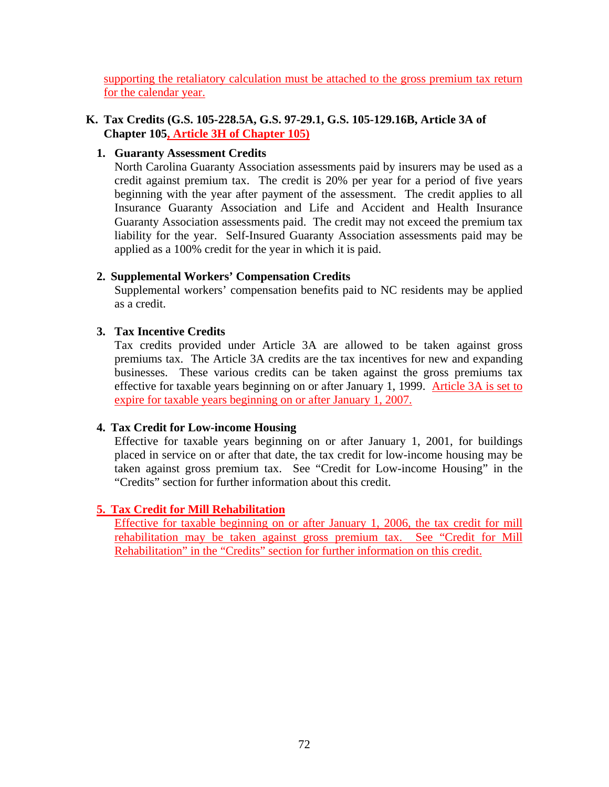supporting the retaliatory calculation must be attached to the gross premium tax return for the calendar year.

### **K. Tax Credits (G.S. 105-228.5A, G.S. 97-29.1, G.S. 105-129.16B, Article 3A of Chapter 105, Article 3H of Chapter 105)**

# **1. Guaranty Assessment Credits**

North Carolina Guaranty Association assessments paid by insurers may be used as a credit against premium tax. The credit is 20% per year for a period of five years beginning with the year after payment of the assessment. The credit applies to all Insurance Guaranty Association and Life and Accident and Health Insurance Guaranty Association assessments paid. The credit may not exceed the premium tax liability for the year. Self-Insured Guaranty Association assessments paid may be applied as a 100% credit for the year in which it is paid.

### **2. Supplemental Workers' Compensation Credits**

Supplemental workers' compensation benefits paid to NC residents may be applied as a credit.

### **3. Tax Incentive Credits**

Tax credits provided under Article 3A are allowed to be taken against gross premiums tax. The Article 3A credits are the tax incentives for new and expanding businesses. These various credits can be taken against the gross premiums tax effective for taxable years beginning on or after January 1, 1999. Article 3A is set to expire for taxable years beginning on or after January 1, 2007.

#### **4. Tax Credit for Low-income Housing**

Effective for taxable years beginning on or after January 1, 2001, for buildings placed in service on or after that date, the tax credit for low-income housing may be taken against gross premium tax. See "Credit for Low-income Housing" in the "Credits" section for further information about this credit.

# **5. Tax Credit for Mill Rehabilitation**

Effective for taxable beginning on or after January 1, 2006, the tax credit for mill rehabilitation may be taken against gross premium tax. See "Credit for Mill Rehabilitation" in the "Credits" section for further information on this credit.